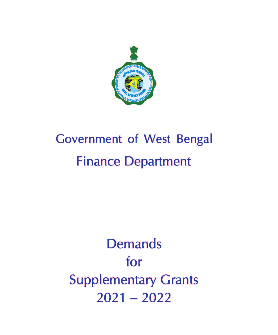

# **Government of West Bengal Finance Department**

# **Demands** for **Supplementary Grants**  $2021 - 2022$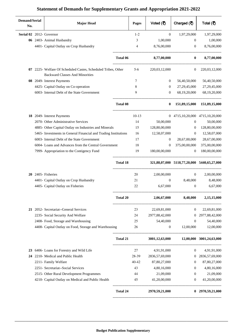## **Statement of Demands for Supplementary Grants and Appropriation 2021-2022** .

| <b>Demand/Serial</b><br>No. | <b>Major Head</b>                                                                                    |                 | Pages     | Voted (そ)      | Charged (₹)                                 | Total (₹)                   |
|-----------------------------|------------------------------------------------------------------------------------------------------|-----------------|-----------|----------------|---------------------------------------------|-----------------------------|
|                             |                                                                                                      |                 |           |                |                                             |                             |
| Serial 02 2012- Governor    |                                                                                                      |                 | $1-2$     | $\theta$       | 1,97,29,000                                 | 1,97,29,000                 |
|                             | 06 2403- Animal Husbandry                                                                            |                 | 3         | 1,00,000       | $\overline{0}$                              | 1,00,000                    |
|                             | 4401- Capital Outlay on Crop Husbandry                                                               |                 | 4         | 8,76,00,000    | $\overline{0}$                              | 8,76,00,000                 |
|                             |                                                                                                      | Total 06        |           | 8,77,00,000    | $\mathbf{0}$                                | 8,77,00,000                 |
| 07                          | 2225- Welfare Of Scheduled Castes, Scheduled Tribes, Other<br><b>Backward Classes And Minorities</b> |                 | $5-6$     | 220,03,12,000  | $\overline{0}$                              | 220,03,12,000               |
| 08                          | 2049- Interest Payments                                                                              |                 | 7         | $\theta$       | 56,40,50,000                                | 56,40,50,000                |
|                             | 4425- Capital Outlay on Co-operation                                                                 |                 | 8         | $\overline{0}$ | 27,29,45,000                                | 27,29,45,000                |
|                             | 6003- Internal Debt of the State Government                                                          |                 | 9         | $\overline{0}$ | 68,19,20,000                                | 68,19,20,000                |
|                             |                                                                                                      | Total 08        |           | $\bf{0}$       |                                             | 151,89,15,000 151,89,15,000 |
|                             | 18 2049- Interest Payments                                                                           |                 | $10-13$   |                | 0 4715,10,20,000 4715,10,20,000             |                             |
|                             | 2070- Other Administrative Services                                                                  |                 | 14        | 50,00,000      | $\overline{0}$                              | 50,00,000                   |
|                             | 4885- Other Capital Outlay on Industries and Minerals                                                |                 | 15        | 128,80,00,000  | $\overline{0}$                              | 128,80,00,000               |
|                             | 5465- Investments in General Financial and Trading Institutions                                      |                 | 16        | 12,58,07,000   | $\overline{0}$                              | 12,58,07,000                |
|                             | 6003- Internal Debt of the State Government                                                          |                 | 17        | $\theta$       | 28,67,00,000                                | 28,67,00,000                |
|                             | 6004- Loans and Advances from the Central Government                                                 |                 | 18        | $\overline{0}$ | 375,00,00,000                               | 375,00,00,000               |
|                             | 7999- Appropriation to the Contigency Fund                                                           |                 | 19        | 180,00,00,000  | $\overline{0}$                              | 180,00,00,000               |
|                             |                                                                                                      | <b>Total 18</b> |           |                | 321,88,07,000 5118,77,20,000 5440,65,27,000 |                             |
|                             | <b>20</b> 2405- Fisheries                                                                            |                 | 20        | 2,00,00,000    | $\overline{0}$                              | 2,00,00,000                 |
|                             | 4401- Capital Outlay on Crop Husbandry                                                               |                 | 21        | $\Omega$       | 8,48,000                                    | 8,48,000                    |
|                             | 4405- Capital Outlay on Fisheries                                                                    |                 | 22        | 6,67,000       | $\Omega$                                    | 6,67,000                    |
|                             |                                                                                                      | <b>Total 20</b> |           | 2,06,67,000    | 8,48,000                                    | 2,15,15,000                 |
|                             | 21 2052- Secretariat--General Services                                                               |                 | 23        | 22,69,81,000   | $\theta$                                    | 22,69,81,000                |
|                             | 2235- Social Security And Welfare                                                                    |                 | 24        | 2977,88,42,000 | $\overline{0}$                              | 2977,88,42,000              |
|                             | 2408- Food, Storage and Warehousing                                                                  |                 | 25        | 54,40,000      | $\mathbf{0}$                                | 54,40,000                   |
|                             | 4408- Capital Outlay on Food, Storage and Warehousing                                                |                 | 26        | $\overline{0}$ | 12,00,000                                   | 12,00,000                   |
|                             |                                                                                                      | Total 21        |           |                | 3001,12,63,000 12,00,000 3001,24,63,000     |                             |
| 23                          | 6406- Loans for Forestry and Wild Life                                                               |                 | 27        | 4,91,91,000    | $\mathbf{0}$                                | 4,91,91,000                 |
| 24                          | 2210- Medical and Public Health                                                                      |                 | 28-39     | 2836,57,69,000 | $\overline{0}$                              | 2836,57,69,000              |
|                             | 2211- Family Welfare                                                                                 |                 | $40 - 42$ | 87,80,27,000   | $\boldsymbol{0}$                            | 87,80,27,000                |
|                             | 2251- Secretariat--Social Services                                                                   |                 | 43        | 4,80,16,000    | $\mathbf{0}$                                | 4,80,16,000                 |
|                             | 2515- Other Rural Development Programmes                                                             |                 | 44        | 21,09,000      | $\boldsymbol{0}$                            | 21,09,000                   |
|                             | 4210- Capital Outlay on Medical and Public Health                                                    |                 | 45        | 41,20,00,000   | $\overline{0}$                              | 41,20,00,000                |
|                             |                                                                                                      | Total 24        |           | 2970,59,21,000 |                                             | 0 2970,59,21,000            |
|                             |                                                                                                      |                 |           |                |                                             |                             |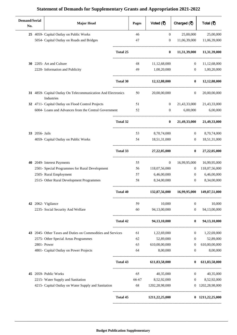# **Statement of Demands for Supplementary Grants and Appropriation 2021-2022**

| <b>Demand/Serial</b><br>No. |                | <b>Major Head</b>                                                          |                 | Pages    | Voted (そ)         | Charged $(\overline{\overline{C}})$      | Total (<)                                    |
|-----------------------------|----------------|----------------------------------------------------------------------------|-----------------|----------|-------------------|------------------------------------------|----------------------------------------------|
|                             |                | 25 4059- Capital Outlay on Public Works                                    |                 | 46       | $\overline{0}$    | 25,00,000                                | 25,00,000                                    |
|                             |                | 5054- Capital Outlay on Roads and Bridges                                  |                 | 47       | $\overline{0}$    | 11,06,39,000                             | 11,06,39,000                                 |
|                             |                |                                                                            | Total 25        |          | $\bf{0}$          | 11,31,39,000                             | 11,31,39,000                                 |
|                             |                | 30 2205- Art and Culture                                                   |                 | 48       | 11,12,68,000      | $\overline{0}$                           | 11,12,68,000                                 |
|                             |                | 2220- Information and Publicity                                            |                 | 49       | 1,00,20,000       | $\overline{0}$                           | 1,00,20,000                                  |
|                             |                |                                                                            | Total 30        |          | 12,12,88,000      | $\bf{0}$                                 | 12,12,88,000                                 |
|                             |                | 31 4859- Capital Outlay On Telecommunication And Electronics<br>Industries |                 | 50 — 10  | 20,00,00,000      | $\overline{0}$                           | 20,00,00,000                                 |
|                             |                | 32 4711- Capital Outlay on Flood Control Projects                          |                 | 51       | $\mathbf{0}$      | 21,43,33,000                             | 21,43,33,000                                 |
|                             |                | 6004- Loans and Advances from the Central Government                       |                 | 52       | $\overline{0}$    | 6,00,000                                 | 6,00,000                                     |
|                             |                |                                                                            | Total 32        |          | $\mathbf{0}$      | 21,49,33,000                             | 21,49,33,000                                 |
|                             | 33 2056- Jails |                                                                            |                 | 53 — 1   | 8,70,74,000       | $\overline{0}$                           | 8,70,74,000                                  |
|                             |                | 4059- Capital Outlay on Public Works                                       |                 | 54       | 18,51,31,000      | $\overline{0}$                           | 18,51,31,000                                 |
|                             |                |                                                                            | Total 33        |          | 27,22,05,000      | $\bf{0}$                                 | 27,22,05,000                                 |
|                             |                | 40 2049- Interest Payments                                                 |                 | 55       | $\overline{0}$    | 16,99,95,000                             | 16,99,95,000                                 |
|                             |                | 2501- Special Programmes for Rural Development                             |                 | 56       | 118,07,56,000     | $\bf{0}$                                 | 118,07,56,000                                |
|                             |                | 2505- Rural Employment                                                     |                 | 57       | 6,46,00,000       | $\overline{0}$                           | 6,46,00,000                                  |
|                             |                | 2515- Other Rural Development Programmes                                   |                 | 58       | 8,34,00,000       | $\overline{0}$                           | 8,34,00,000                                  |
|                             |                |                                                                            | <b>Total 40</b> |          |                   | 132,87,56,000 16,99,95,000 149,87,51,000 |                                              |
|                             |                | 42 2062- Vigilance                                                         |                 | 59       | 10,000            | $\overline{0}$                           | 10,000                                       |
|                             |                | 2235- Social Security And Welfare                                          |                 | 60       | 94,13,00,000      | $\overline{0}$                           | 94,13,00,000                                 |
|                             |                |                                                                            | Total 42        |          | 94,13,10,000      | $\bf{0}$                                 | 94,13,10,000                                 |
| 43                          |                | 2045- Other Taxes and Duties on Commodities and Services                   |                 |          | 61 1,22,69,000    | $\overline{0}$                           | 1,22,69,000                                  |
|                             |                | 2575- Other Special Areas Programmes                                       |                 | 62       | 52,89,000         |                                          | $\mathbf{0}$<br>52,89,000                    |
|                             |                | 2801- Power                                                                |                 | 63       | 610,00,00,000     | $\overline{0}$                           | 610,00,00,000                                |
|                             |                | 4801- Capital Outlay on Power Projects                                     |                 | 64       | 8,00,000          | $\overline{0}$                           | 8,00,000                                     |
|                             |                |                                                                            | Total 43        |          | 611,83,58,000     |                                          | 0 611,83,58,000                              |
|                             |                | 45 2059- Public Works                                                      |                 | 65       | 40,35,000         |                                          | 40,35,000<br>$\begin{matrix} 0 \end{matrix}$ |
|                             |                | 2215- Water Supply and Sanitation                                          |                 | 66-67    | 8,52,92,000       | $\sim$ 0                                 | 8,52,92,000                                  |
|                             |                | 4215- Capital Outlay on Water Supply and Sanitation                        |                 |          | 68 1202,28,98,000 |                                          | 0 1202,28,98,000                             |
|                             |                |                                                                            |                 | Total 45 | 1211,22,25,000    |                                          | 0 1211,22,25,000                             |
|                             |                |                                                                            |                 |          |                   |                                          |                                              |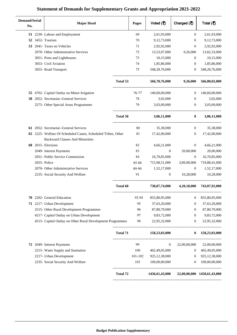# **Statement of Demands for Supplementary Grants and Appropriation 2021-2022**

| Total (そ)                   | Charged (₹)      | Voted (そ)        | Pages   |          | <b>Major Head</b>                                                                                    | <b>Demand/Serial</b><br>No. |
|-----------------------------|------------------|------------------|---------|----------|------------------------------------------------------------------------------------------------------|-----------------------------|
| 2,61,93,000                 | $\overline{0}$   | 2,61,93,000      | 69      |          | 51 2230- Labour and Employment                                                                       |                             |
| 9,12,73,000                 | $\theta$         | 9,12,73,000      | 70      |          | 3452- Tourism                                                                                        | 52                          |
| 2,92,92,000                 | $\theta$         | 2,92,92,000      | 71      |          | 2041- Taxes on Vehicles                                                                              | 53                          |
| 13,62,33,000                | 9,26,000         | 13,53,07,000     | 72      |          | 2070- Other Administrative Services                                                                  |                             |
| 10,15,000                   | $\overline{0}$   | 10,15,000        | 73      |          | 3051- Ports and Lighthouses                                                                          |                             |
| 1,85,86,000                 | $\overline{0}$   | 1,85,86,000      | 74      |          | 3053- Civil Aviation                                                                                 |                             |
| 548,28,76,000               | $\overline{0}$   | 548,28,76,000    | 75      |          | 3055- Road Transport                                                                                 |                             |
| 566,80,02,000               | 9,26,000         | 566,70,76,000    |         | Total 53 |                                                                                                      |                             |
| 140,60,00,000               | $\overline{0}$   | 140,60,00,000    | 76-77   |          | 55 4702- Capital Outlay on Minor Irrigation                                                          |                             |
| 3,02,000                    | $\overline{0}$   | 3,02,000         | 78      |          | 2052- Secretariat--General Services                                                                  | 58                          |
| 3,03,09,000                 | $\overline{0}$   | 3,03,09,000      | 79      |          | 2575- Other Special Areas Programmes                                                                 |                             |
| 3,06,11,000                 | $\mathbf{0}$     | 3,06,11,000      |         | Total 58 |                                                                                                      |                             |
| 35,38,000                   | $\overline{0}$   | 35,38,000        | 80      |          | 2052- Secretariat--General Services                                                                  | 61                          |
| 17,42,00,000                | $\overline{0}$   | 17,42,00,000     | 81      |          | 2225- Welfare Of Scheduled Castes, Scheduled Tribes, Other<br><b>Backward Classes And Minorities</b> | 65                          |
| 4,66,21,000                 | $\theta$         | 4,66,21,000      | 82      |          | 2015- Elections                                                                                      | 68                          |
| 20,00,000                   | 20,00,000        | $\theta$         | 83      |          | 2049- Interest Payments                                                                              |                             |
| 16,70,85,000                | $\overline{0}$   | 16,70,85,000     | 84      |          | 2051- Public Service Commission                                                                      |                             |
| 719,88,41,000               | 3,89,90,000      | 715,98,51,000    | 85-88   |          | 2055- Police                                                                                         |                             |
| 1,52,17,000                 | $\overline{0}$   | 1,52,17,000      | 89-90   |          | 2070- Other Administrative Services                                                                  |                             |
| 10,28,000                   | 10,28,000        | $\mathbf{0}$     | 91      |          | 2235- Social Security And Welfare                                                                    |                             |
| 743,07,92,000               | 4,20,18,000      | 738, 87, 74, 000 |         | Total 68 |                                                                                                      |                             |
| 855,80,95,000               | $\boldsymbol{0}$ | 855,80,95,000    | 92-94   |          | 2202- General Education                                                                              | 70                          |
| 37,63,20,000                | $\mathbf{0}$     | 37,63,20,000     | 95      |          | 2217- Urban Development                                                                              | 71                          |
| 87,80,79,000                | $\mathbf{0}$     | 87,80,79,000     | 96      |          | 2515- Other Rural Development Programmes                                                             |                             |
| 9,83,72,000                 | $\theta$         | 9,83,72,000      | 97      |          | 4217- Capital Outlay on Urban Development                                                            |                             |
| 22,95,32,000                | $\mathbf{0}$     | 22,95,32,000     | 98      |          | 4515- Capital Outlay on Other Rural Development Programmes                                           |                             |
| 158,23,03,000               | $\bf{0}$         | 158,23,03,000    |         | Total 71 |                                                                                                      |                             |
| 22,00,00,000                | 22,00,00,000     | $\mathbf{0}$     | 99      |          | 72 2049- Interest Payments                                                                           |                             |
| 402,49,05,000               | $\overline{0}$   | 402,49,05,000    | 100     |          | 2215- Water Supply and Sanitation                                                                    |                             |
| 925,12,38,000               | $\overline{0}$   | 925, 12, 38, 000 | 101-102 |          | 2217- Urban Development                                                                              |                             |
| 109,00,00,000               | $\overline{0}$   | 109,00,00,000    | 103     |          | 2235- Social Security And Welfare                                                                    |                             |
| 22,00,00,000 1458,61,43,000 |                  | 1436,61,43,000   |         | Total 72 |                                                                                                      |                             |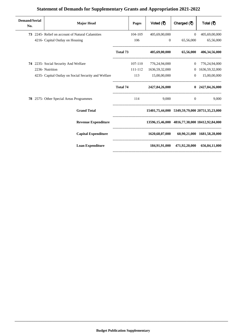|  |  | <b>Statement of Demands for Supplementary Grants and Appropriation 2021-2022</b> |
|--|--|----------------------------------------------------------------------------------|
|--|--|----------------------------------------------------------------------------------|

| <b>Demand/Serial</b><br>No. | <b>Major Head</b>                                   |          | Pages   | Voted (₹)                                      | Charged $(\overline{\mathbf{C}})$ | Total (₹)                                  |
|-----------------------------|-----------------------------------------------------|----------|---------|------------------------------------------------|-----------------------------------|--------------------------------------------|
|                             | 73 2245- Relief on account of Natural Calamities    |          | 104-105 | 405,69,00,000                                  | $\theta$                          | 405,69,00,000                              |
|                             | 4216- Capital Outlay on Housing                     |          | 106     | $\theta$                                       | 65,56,000                         | 65,56,000                                  |
|                             |                                                     | Total 73 |         | 405,69,00,000                                  |                                   | 65,56,000 406,34,56,000                    |
|                             | 74 2235- Social Security And Welfare                |          |         | 107-110 776,24,94,000                          |                                   | 0 776,24,94,000                            |
|                             | 2236- Nutrition                                     |          | 111-112 | 1636,59,32,000                                 |                                   | 0 1636, 59, 32, 000                        |
|                             | 4235- Capital Outlay on Social Security and Welfare |          |         | 113 15,00,00,000                               | $\Omega$                          | 15,00,00,000                               |
|                             |                                                     |          |         | Total 74 2427,84,26,000                        |                                   | 0 2427,84,26,000                           |
|                             | 78 2575- Other Special Areas Programmes             |          |         | 114 9,000                                      | $\theta$                          | 9,000                                      |
|                             | <b>Grand Total</b>                                  |          |         | 15401,75,44,000 5349,59,79,000 20751,35,23,000 |                                   |                                            |
|                             | <b>Revenue Expenditure</b>                          |          |         | 13596,15,46,000 4816,77,38,000 18412,92,84,000 |                                   |                                            |
|                             | <b>Capital Expenditure</b>                          |          |         |                                                |                                   | 1620,68,07,000 60,90,21,000 1681,58,28,000 |
|                             | <b>Loan Expenditure</b>                             |          |         |                                                |                                   | 184,91,91,000 471,92,20,000 656,84,11,000  |
|                             |                                                     |          |         |                                                |                                   |                                            |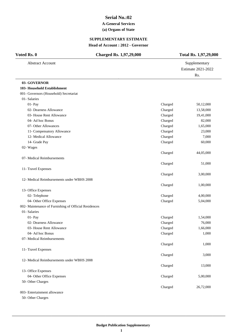## **Serial No.:02**

**A-General Services**

## **(a) Organs of State**

## **SUPPLEMENTARY ESTIMATE**

**Head of Account : 2012 - Governor**

| Voted Rs. 0                                           | <b>Charged Rs. 1,97,29,000</b> |         | Total Rs. 1,97,29,000               |
|-------------------------------------------------------|--------------------------------|---------|-------------------------------------|
| <b>Abstract Account</b>                               |                                |         | Supplementary<br>Estimate 2021-2022 |
|                                                       |                                |         | Rs.                                 |
| 03- GOVERNOR                                          |                                |         |                                     |
| 103- Household Establishment                          |                                |         |                                     |
| 001- Governors (Household) Secretariat                |                                |         |                                     |
| 01-Salaries                                           |                                |         |                                     |
| 01- Pay                                               |                                | Charged | 50,12,000                           |
| 02- Dearness Allowance                                |                                | Charged | 13,58,000                           |
| 03- House Rent Allowance                              |                                | Charged | 19,41,000                           |
| 04- Ad hoc Bonus                                      |                                | Charged | 82,000                              |
| 07- Other Allowances                                  |                                | Charged | 1,65,000                            |
| 11- Compensatory Allowance                            |                                | Charged | 23,000                              |
| 12- Medical Allowance                                 |                                | Charged | 7,000                               |
| 14- Grade Pay                                         |                                | Charged | 60,000                              |
| 02-Wages                                              |                                |         |                                     |
|                                                       |                                | Charged | 44,05,000                           |
| 07- Medical Reimbursements                            |                                |         |                                     |
|                                                       |                                | Charged | 51,000                              |
| 11- Travel Expenses                                   |                                |         |                                     |
|                                                       |                                | Charged | 3,00,000                            |
| 12- Medical Reimbursements under WBHS 2008            |                                |         |                                     |
|                                                       |                                | Charged | 1,00,000                            |
| 13- Office Expenses                                   |                                |         |                                     |
| 02-Telephone                                          |                                | Charged | 4,00,000                            |
| 04- Other Office Expenses                             |                                | Charged | 5,04,000                            |
| 002- Maintenance of Furnishing of Official Residences |                                |         |                                     |
| 01-Salaries                                           |                                |         |                                     |
| 01- Pay                                               |                                | Charged | 1,54,000                            |
| 02- Dearness Allowance                                |                                | Charged | 76,000                              |
| 03- House Rent Allowance                              |                                | Charged | 1,66,000                            |
| 04- Ad hoc Bonus                                      |                                | Charged | 1,000                               |
| 07- Medical Reimbursements                            |                                |         |                                     |
|                                                       |                                | Charged | 1,000                               |
| 11- Travel Expenses                                   |                                |         |                                     |
|                                                       |                                | Charged | 3,000                               |
| 12- Medical Reimbursements under WBHS 2008            |                                |         |                                     |
|                                                       |                                | Charged | 13,000                              |
| 13- Office Expenses                                   |                                |         |                                     |
| 04- Other Office Expenses                             |                                | Charged | 5,00,000                            |
| 50- Other Charges                                     |                                |         |                                     |
|                                                       |                                | Charged | 26,72,000                           |
| 003- Entertainment allowance                          |                                |         |                                     |
|                                                       |                                |         |                                     |

50- Other Charges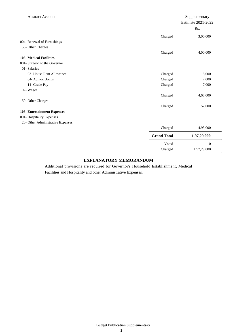| <b>Abstract Account</b>           |                    | Supplementary<br>Estimate 2021-2022<br>Rs. |
|-----------------------------------|--------------------|--------------------------------------------|
|                                   | Charged            | 3,00,000                                   |
| 004- Renewal of Furnishings       |                    |                                            |
| 50- Other Charges                 |                    |                                            |
|                                   | Charged            | 4,00,000                                   |
| <b>105-Medical Facilities</b>     |                    |                                            |
| 001- Surgeon to the Governor      |                    |                                            |
| 01-Salaries                       |                    |                                            |
| 03- House Rent Allowance          | Charged            | 8,000                                      |
| 04- Ad hoc Bonus                  | Charged            | 7,000                                      |
| 14- Grade Pay                     | Charged            | 7,000                                      |
| 02-Wages                          |                    |                                            |
|                                   | Charged            | 4,68,000                                   |
| 50- Other Charges                 |                    |                                            |
|                                   | Charged            | 52,000                                     |
| 106- Entertainment Expenses       |                    |                                            |
| 001- Hospitality Expenses         |                    |                                            |
| 20- Other Administrative Expenses |                    |                                            |
|                                   | Charged            | 4,93,000                                   |
|                                   | <b>Grand Total</b> | 1,97,29,000                                |
|                                   | Voted              | $\Omega$                                   |
|                                   | Charged            | 1,97,29,000                                |

 $\overline{a}$ 

## **EXPLANATORY MEMORANDUM**

.

Additional provisions are required for Governor's Household Establishment, Medical Facilities and Hospitality and other Administrative Expenses.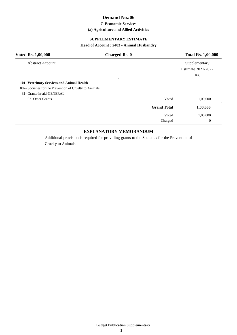## **C-Economic Services**

#### **(a) Agriculture and Allied Activities**

#### **SUPPLEMENTARY ESTIMATE**

## **Head of Account : 2403 - Animal Husbandry**

| <b>Voted Rs. 1,00,000</b>                               | <b>Charged Rs. 0</b> |                    | <b>Total Rs. 1,00,000</b>           |
|---------------------------------------------------------|----------------------|--------------------|-------------------------------------|
| <b>Abstract Account</b>                                 |                      |                    | Supplementary<br>Estimate 2021-2022 |
|                                                         |                      |                    | Rs.                                 |
| 101- Veterinary Services and Animal Health              |                      |                    |                                     |
| 082- Societies for the Prevention of Cruelty to Animals |                      |                    |                                     |
| 31- Grants-in-aid-GENERAL                               |                      |                    |                                     |
| 02- Other Grants                                        |                      | Voted              | 1,00,000                            |
|                                                         |                      | <b>Grand Total</b> | 1,00,000                            |
|                                                         |                      | Voted              | 1,00,000                            |
|                                                         |                      | Charged            | $\overline{0}$                      |

## **EXPLANATORY MEMORANDUM**

Additional provision is required for providing grants to the Societies for the Prevention of Cruelty to Animals.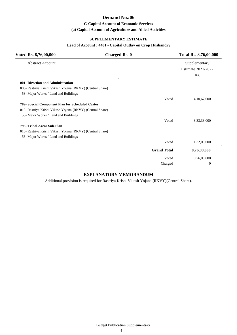# **C-Capital Account of Economic Services**

**(a) Capital Account of Agriculture and Allied Activities**

## **SUPPLEMENTARY ESTIMATE**

## **Head of Account : 4401 - Capital Outlay on Crop Husbandry**

| Voted Rs. 8,76,00,000                                     | Charged Rs. 0 |                    | Total Rs. 8,76,00,000               |
|-----------------------------------------------------------|---------------|--------------------|-------------------------------------|
| <b>Abstract Account</b>                                   |               |                    | Supplementary<br>Estimate 2021-2022 |
|                                                           |               |                    | Rs.                                 |
| 001- Direction and Administration                         |               |                    |                                     |
| 003- Rastriya Krishi Vikash Yojana (RKVY) (Central Share) |               |                    |                                     |
| 53- Major Works / Land and Buildings                      |               |                    |                                     |
|                                                           |               | Voted              | 4,10,67,000                         |
| 789- Special Component Plan for Scheduled Castes          |               |                    |                                     |
| 013- Rastriya Krishi Vikash Yojana (RKVY) (Central Share) |               |                    |                                     |
| 53- Major Works / Land and Buildings                      |               |                    |                                     |
|                                                           |               | Voted              | 3,33,33,000                         |
| 796- Tribal Areas Sub-Plan                                |               |                    |                                     |
| 013- Rastriya Krishi Vikash Yojana (RKVY) (Central Share) |               |                    |                                     |
| 53- Major Works / Land and Buildings                      |               |                    |                                     |
|                                                           |               | Voted              | 1,32,00,000                         |
|                                                           |               | <b>Grand Total</b> | 8,76,00,000                         |
|                                                           |               | Voted              | 8,76,00,000                         |
|                                                           |               | Charged            | $\boldsymbol{0}$                    |

## **EXPLANATORY MEMORANDUM**

Additional provision is required for Rastriya Krishi Vikash Yojana (RKVY)(Central Share).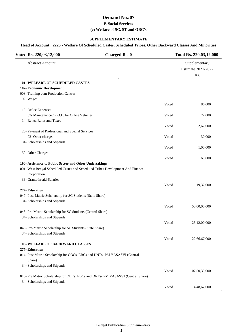#### **B-Social Services**

## **(e) Welfare of SC, ST and OBC's**

#### **SUPPLEMENTARY ESTIMATE**

#### **Head of Account : 2225 - Welfare Of Scheduled Castes, Scheduled Tribes, Other Backward Classes And Minorities**

| Voted Rs. 220,03,12,000                                                   | <b>Charged Rs. 0</b>                                                            |       | Total Rs. 220,03,12,000             |
|---------------------------------------------------------------------------|---------------------------------------------------------------------------------|-------|-------------------------------------|
| <b>Abstract Account</b>                                                   |                                                                                 |       | Supplementary<br>Estimate 2021-2022 |
|                                                                           |                                                                                 |       | Rs.                                 |
| 01- WELFARE OF SCHEDULED CASTES                                           |                                                                                 |       |                                     |
| 102- Economic Development                                                 |                                                                                 |       |                                     |
| 008- Training cum Production Centres                                      |                                                                                 |       |                                     |
| 02-Wages                                                                  |                                                                                 |       |                                     |
|                                                                           |                                                                                 | Voted | 86,000                              |
| 13- Office Expenses                                                       |                                                                                 |       |                                     |
| 03- Maintenance / P.O.L. for Office Vehicles                              |                                                                                 | Voted | 72,000                              |
| 14- Rents, Rates and Taxes                                                |                                                                                 |       |                                     |
|                                                                           |                                                                                 | Voted | 2,62,000                            |
| 28- Payment of Professional and Special Services                          |                                                                                 |       |                                     |
| 02- Other charges                                                         |                                                                                 | Voted | 30,000                              |
| 34- Scholarships and Stipends                                             |                                                                                 |       |                                     |
|                                                                           |                                                                                 | Voted | 1,00,000                            |
| 50- Other Charges                                                         |                                                                                 |       |                                     |
|                                                                           |                                                                                 | Voted | 63,000                              |
| 190- Assistance to Public Sector and Other Undertakings                   |                                                                                 |       |                                     |
|                                                                           | 001- West Bengal Scheduled Castes and Scheduled Tribes Development And Finance  |       |                                     |
| Corporation                                                               |                                                                                 |       |                                     |
| 36- Grants-in-aid-Salaries                                                |                                                                                 |       |                                     |
|                                                                           |                                                                                 | Voted | 19,32,000                           |
| 277- Education                                                            |                                                                                 |       |                                     |
| 047- Post-Matric Scholarship for SC Students (State Share)                |                                                                                 |       |                                     |
| 34- Scholarships and Stipends                                             |                                                                                 |       |                                     |
|                                                                           |                                                                                 | Voted | 50,00,00,000                        |
| 048- Pre-Matric Scholarship for SC Students (Central Share)               |                                                                                 |       |                                     |
| 34- Scholarships and Stipends                                             |                                                                                 |       |                                     |
|                                                                           |                                                                                 | Voted | 25,12,00,000                        |
| 049- Pre-Matric Scholarship for SC Students (State Share)                 |                                                                                 |       |                                     |
| 34- Scholarships and Stipends                                             |                                                                                 |       |                                     |
|                                                                           |                                                                                 | Voted | 22,66,67,000                        |
| <b>03- WELFARE OF BACKWARD CLASSES</b>                                    |                                                                                 |       |                                     |
| 277- Education                                                            |                                                                                 |       |                                     |
| 014- Post Matric Scholarship for OBCs, EBCs and DNTs- PM YASASVI (Central |                                                                                 |       |                                     |
| Share)                                                                    |                                                                                 |       |                                     |
| 34- Scholarships and Stipends                                             |                                                                                 |       |                                     |
|                                                                           |                                                                                 | Voted | 107,50,33,000                       |
|                                                                           | 016- Pre Matric Scholarship for OBCs, EBCs and DNTs- PM YASASVI (Central Share) |       |                                     |
| 34- Scholarships and Stipends                                             |                                                                                 |       |                                     |
|                                                                           |                                                                                 | Voted | 14,48,67,000                        |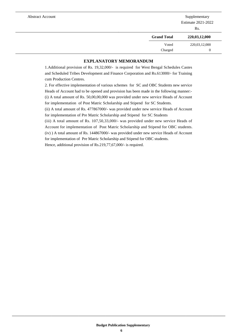|                    | Supplementary      |
|--------------------|--------------------|
|                    | Estimate 2021-2022 |
|                    | Rs.                |
| <b>Grand Total</b> | 220,03,12,000      |
| Voted              | 220,03,12,000      |
| Charged            | $\overline{0}$     |
|                    |                    |

#### **EXPLANATORY MEMORANDUM**

1.Additional provision of Rs. 19,32,000/- is required for West Bengal Schedules Castes and Scheduled Tribes Development and Finance Corporation and Rs.613000/- for Training cum Production Centres.

2. For effective implementation of various schemes for SC and OBC Students new service Heads of Account had to be opened and provision has been made in the following manner:- (i) A total amount of Rs. 50,00,00,000 was provided under new service Heads of Account for implementation of Post Matric Scholarship and Stipend for SC Students.

(ii) A total amount of Rs. 477867000/- was provided under new service Heads of Account for implementation of Pre Matric Scholarship and Stipend for SC Students

(iii) A total amount of Rs. 107,50,33,000/- was provided under new service Heads of Account for implementation of Post Matric Scholarship and Stipend for OBC students. (iv) ) A total amount of Rs. 144867000/- was provided under new service Heads of Account for implementation of Pre Matric Scholarship and Stipend for OBC students. Hence, additional provision of Rs.219,77,67,000/- is required.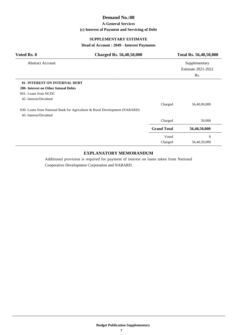## **A-General Services (c) Interest of Payment and Servicing of Debt**

#### **SUPPLEMENTARY ESTIMATE**

**Head of Account : 2049 - Interest Payments**

| Voted Rs. 0                          | <b>Charged Rs. 56,40,50,000</b>                                            |                    | Total Rs. 56,40,50,000              |
|--------------------------------------|----------------------------------------------------------------------------|--------------------|-------------------------------------|
| <b>Abstract Account</b>              |                                                                            |                    | Supplementary<br>Estimate 2021-2022 |
|                                      |                                                                            |                    | Rs.                                 |
| 01- INTEREST ON INTERNAL DEBT        |                                                                            |                    |                                     |
| 200- Interest on Other Intenal Debts |                                                                            |                    |                                     |
| 001-Loans from NCDC                  |                                                                            |                    |                                     |
| 45- Interest/Dividend                |                                                                            |                    |                                     |
|                                      |                                                                            | Charged            | 56,40,00,000                        |
|                                      | 030- Loans from National Bank for Agriculture & Rural Development (NABARD) |                    |                                     |
| 45- Interest/Dividend                |                                                                            |                    |                                     |
|                                      |                                                                            | Charged            | 50,000                              |
|                                      |                                                                            | <b>Grand Total</b> | 56,40,50,000                        |
|                                      |                                                                            | Voted              | $\overline{0}$                      |
|                                      |                                                                            | Charged            | 56,40,50,000                        |

## **EXPLANATORY MEMORANDUM**

.

Additional provision is required for payment of interest on loans taken from National Cooperative Development Corporation and NABARD.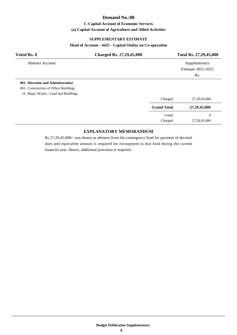## **C-Capital Account of Economic Services (a) Capital Account of Agriculture and Allied Activities**

#### **SUPPLEMENTARY ESTIMATE**

#### **Head of Account : 4425 - Capital Outlay on Co-operation**

| Voted Rs. 0                            | <b>Charged Rs. 27, 29, 45, 000</b> |                    | Total Rs. 27,29,45,000 |
|----------------------------------------|------------------------------------|--------------------|------------------------|
| <b>Abstract Account</b>                |                                    |                    | Supplementary          |
|                                        |                                    |                    | Estimate 2021-2022     |
|                                        |                                    |                    | Rs.                    |
| 001- Direction and Administration      |                                    |                    |                        |
| 001 - Construction of Office Buildings |                                    |                    |                        |
| 53- Major Works / Land and Buildings   |                                    |                    |                        |
|                                        |                                    | Charged            | 27, 29, 45, 000        |
|                                        |                                    | <b>Grand Total</b> | 27,29,45,000           |
|                                        |                                    | Voted              | $\boldsymbol{0}$       |
|                                        |                                    | Charged            | 27, 29, 45, 000        |

#### **EXPLANATORY MEMORANDUM**

.

Rs 27,29,45,000/- was drawn as advance from the contingency fund for payment of decretal dues and equivalent amount is required for recoupment to that fund during the current financial year. Hence, additional provision is required.

#### **Budget Publication Supplementary**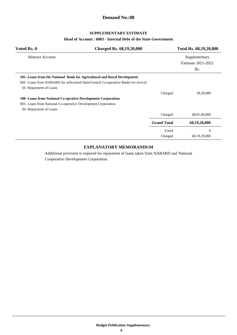## **SUPPLEMENTARY ESTIMATE**

#### **Head of Account : 6003 - Internal Debt of the State Government**

| Voted Rs. 0             | <b>Charged Rs. 68, 19, 20, 000</b>                                                 |                    | Total Rs. 68,19,20,000              |
|-------------------------|------------------------------------------------------------------------------------|--------------------|-------------------------------------|
| <b>Abstract Account</b> |                                                                                    |                    | Supplementary<br>Estimate 2021-2022 |
|                         |                                                                                    |                    | Rs.                                 |
|                         | 105- Loans from the National Bank for Agricultural and Rural Development           |                    |                                     |
|                         | 002- Loans from NABARD for unlicensed State/Central Co-operative Banks for revival |                    |                                     |
| 56- Repayment of Loans  |                                                                                    |                    |                                     |
|                         |                                                                                    | Charged            | 18,20,000                           |
|                         | 108- Loans from National Co-oprative Development Corporation                       |                    |                                     |
|                         | 003- Loans from National Co-operative Development Corporation                      |                    |                                     |
| 56- Repayment of Loans  |                                                                                    |                    |                                     |
|                         |                                                                                    | Charged            | 68,01,00,000                        |
|                         |                                                                                    | <b>Grand Total</b> | 68, 19, 20, 000                     |
|                         |                                                                                    | Voted              | 0                                   |
|                         |                                                                                    | Charged            | 68, 19, 20, 000                     |

## **EXPLANATORY MEMORANDUM**

Additional provision is required for repayment of loans taken from NABARD and National Cooperative Development Corporation.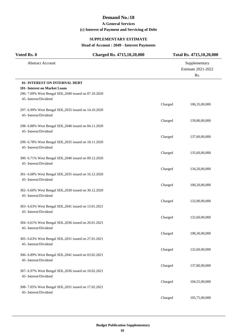## **A-General Services (c) Interest of Payment and Servicing of Debt**

#### **SUPPLEMENTARY ESTIMATE**

**Head of Account : 2049 - Interest Payments**

| Voted Rs. 0                                                                   | <b>Charged Rs. 4715,10,20,000</b> |         | Total Rs. 4715,10,20,000                   |
|-------------------------------------------------------------------------------|-----------------------------------|---------|--------------------------------------------|
| <b>Abstract Account</b>                                                       |                                   |         | Supplementary<br>Estimate 2021-2022<br>Rs. |
| 01- INTEREST ON INTERNAL DEBT                                                 |                                   |         |                                            |
| 101- Interest on Market Loans                                                 |                                   |         |                                            |
| 296-7.09% West Bengal SDL, 2040 issued on 07.10.2020                          |                                   |         |                                            |
| 45- Interest/Dividend                                                         |                                   |         |                                            |
|                                                                               |                                   | Charged | 106,35,00,000                              |
| 297-6.99% West Bengal SDL, 2035 issued on 14.10.2020                          |                                   |         |                                            |
| 45- Interest/Dividend                                                         |                                   |         |                                            |
|                                                                               |                                   | Charged | 139,80,00,000                              |
| 298- 6.88% West Bengal SDL, 2040 issued on 04.11.2020                         |                                   |         |                                            |
| 45- Interest/Dividend                                                         |                                   |         |                                            |
|                                                                               |                                   | Charged | 137,60,00,000                              |
| 299-6.78% West Bengal SDL, 2035 issued on 18.11.2020                          |                                   |         |                                            |
| 45- Interest/Dividend                                                         |                                   |         |                                            |
|                                                                               |                                   | Charged | 135,60,00,000                              |
| 300-6.71% West Bengal SDL, 2040 issued on 09.12.2020                          |                                   |         |                                            |
| 45- Interest/Dividend                                                         |                                   |         |                                            |
|                                                                               |                                   | Charged | 134,20,00,000                              |
| 301-6.68% West Bengal SDL, 2035 issued on 16.12.2020                          |                                   |         |                                            |
| 45- Interest/Dividend                                                         |                                   |         |                                            |
|                                                                               |                                   | Charged | 100,20,00,000                              |
| 302-6.60% West Bengal SDL, 2030 issued on 30.12.2020                          |                                   |         |                                            |
| 45- Interest/Dividend                                                         |                                   |         |                                            |
|                                                                               |                                   | Charged | 132,00,00,000                              |
| 303-6.63% West Bengal SDL, 2041 issued on 13.01.2021                          |                                   |         |                                            |
| 45- Interest/Dividend                                                         |                                   |         |                                            |
|                                                                               |                                   | Charged | 132,60,00,000                              |
| 304-6.61% West Bengal SDL, 2036 issued on 20.01.2021<br>45- Interest/Dividend |                                   |         |                                            |
|                                                                               |                                   | Charged | 198,30,00,000                              |
| 305-6.63% West Bengal SDL, 2031 issued on 27.01.2021                          |                                   |         |                                            |
| 45- Interest/Dividend                                                         |                                   |         |                                            |
|                                                                               |                                   | Charged | 132,60,00,000                              |
| 306-6.89% West Bengal SDL, 2041 issued on 03.02.2021                          |                                   |         |                                            |
| 45- Interest/Dividend                                                         |                                   |         |                                            |
|                                                                               |                                   | Charged | 137,80,00,000                              |
| 307-6.97% West Bengal SDL, 2036 issued on 10.02.2021                          |                                   |         |                                            |
| 45- Interest/Dividend                                                         |                                   |         |                                            |
|                                                                               |                                   | Charged | 104,55,00,000                              |
| 308-7.05% West Bengal SDL, 2031 issued on 17.02.2021                          |                                   |         |                                            |
| 45- Interest/Dividend                                                         |                                   |         |                                            |
|                                                                               |                                   | Charged | 105,75,00,000                              |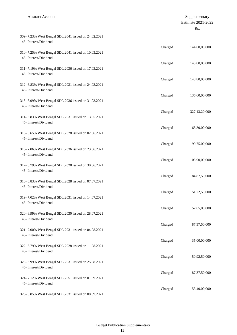| <b>Abstract Account</b>                                                        |         | Supplementary<br>Estimate 2021-2022<br>Rs. |
|--------------------------------------------------------------------------------|---------|--------------------------------------------|
| 309-7.23% West Bengal SDL, 2041 issued on 24.02.2021                           |         |                                            |
| 45- Interest/Dividend                                                          |         |                                            |
| 310-7.25% West Bengal SDL, 2041 issued on 10.03.2021<br>45- Interest/Dividend  | Charged | 144,60,00,000                              |
| 311-7.19% West Bengal SDL, 2036 issued on 17.03.2021<br>45- Interest/Dividend  | Charged | 145,00,00,000                              |
| 312- 6.83% West Bengal SDL, 2031 issued on 24.03.2021<br>45- Interest/Dividend | Charged | 143,80,00,000                              |
| 313-6.99% West Bengal SDL, 2036 issued on 31.03.2021<br>45- Interest/Dividend  | Charged | 136,60,00,000                              |
| 314- 6.83% West Bengal SDL, 2031 issued on 13.05.2021<br>45- Interest/Dividend | Charged | 327,13,20,000                              |
| 315-6.65% West Bengal SDL, 2028 issued on 02.06.2021                           | Charged | 68,30,00,000                               |
| 45- Interest/Dividend<br>316-7.06% West Bengal SDL, 2036 issued on 23.06.2021  | Charged | 99,75,00,000                               |
| 45- Interest/Dividend                                                          | Charged | 105,90,00,000                              |
| 317- 6.79% West Bengal SDL, 2028 issued on 30.06.2021<br>45- Interest/Dividend | Charged | 84, 87, 50, 000                            |
| 318-6.83% West Bengal SDL, 2028 issued on 07.07.2021<br>45- Interest/Dividend  |         |                                            |
| 319-7.02% West Bengal SDL, 2031 issued on 14.07.2021<br>45- Interest/Dividend  | Charged | 51,22,50,000                               |
| 320- 6.99% West Bengal SDL, 2030 issued on 28.07.2021<br>45- Interest/Dividend | Charged | 52,65,00,000                               |
| 321-7.00% West Bengal SDL, 2031 issued on 04.08.2021                           | Charged | 87, 37, 50, 000                            |
| 45- Interest/Dividend                                                          | Charged | 35,00,00,000                               |
| 322-6.79% West Bengal SDL, 2028 issued on 11.08.2021<br>45- Interest/Dividend  | Charged | 50,92,50,000                               |
| 323-6.99% West Bengal SDL, 2031 issued on 25.08.2021<br>45- Interest/Dividend  |         |                                            |
| 324-7.12% West Bengal SDL, 2051 issued on 01.09.2021<br>45- Interest/Dividend  | Charged | 87, 37, 50, 000                            |
| 325- 6.85% West Bengal SDL, 2031 issued on 08.09.2021                          | Charged | 53,40,00,000                               |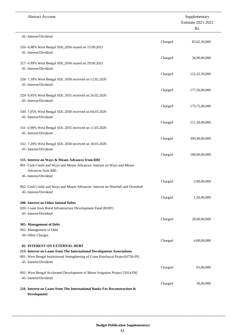| <b>Abstract Account</b>                                                                                    |         | Supplementary<br>Estimate 2021-2022<br>Rs. |
|------------------------------------------------------------------------------------------------------------|---------|--------------------------------------------|
| 45- Interest/Dividend                                                                                      |         |                                            |
| 326- 6.98% West Bengal SDL, 2036 issued on 15.09.2021<br>45- Interest/Dividend                             | Charged | 85,62,50,000                               |
|                                                                                                            | Charged | 34,90,00,000                               |
| 327-6.99% West Bengal SDL, 2036 issued on 29.09.2021<br>45- Interest/Dividend                              |         |                                            |
| 328-7.10% West Bengal SDL 2030 received on 12.02.2020                                                      | Charged | 122,32,50,000                              |
| 45- Interest/Dividend                                                                                      | Charged | 177,50,00,000                              |
| 329- 6.95% West Bengal SDL 2035 received on 26.02.2020<br>45- Interest/Dividend                            |         |                                            |
|                                                                                                            | Charged | 173,75,00,000                              |
| 330-7.05% West Bengal SDL 2030 received on 04.03.2020<br>45- Interest/Dividend                             |         |                                            |
| 331-6.98% West Bengal SDL 2035 received on 11.03.2020<br>45- Interest/Dividend                             | Charged | 211,50,00,000                              |
|                                                                                                            | Charged | 209,40,00,000                              |
| 332- 7.20% West Bengal SDL 2030 received on 18.03.2020<br>45- Interest/Dividend                            |         |                                            |
| 115- Interest on Ways & Means Advances from RBI                                                            | Charged | 180,00,00,000                              |
| 001- Cash Credit and Ways and Means Advances- Interest on Ways and Means<br><b>Advances from RBI</b>       |         |                                            |
| 45- Interest/Dividend                                                                                      |         |                                            |
| 002- Cash Credit and Ways and Means Advances- Interest on Shortfall and Overdraft<br>45- Interest/Dividend | Charged | 2,00,00,000                                |
|                                                                                                            | Charged | 1,50,00,000                                |
| 200- Interest on Other Intenal Debts<br>020- Loans from Rural Infrastructure Development Fund (RIDF)       |         |                                            |
| 45- Interest/Dividend                                                                                      | Charged | 28,00,00,000                               |
| 305-Management of Debt                                                                                     |         |                                            |
| 002- Management of Debt                                                                                    |         |                                            |
| 50- Other Charges                                                                                          | Charged | 4,00,00,000                                |
| 02- INTEREST ON EXTERNAL DEBT                                                                              |         |                                            |
| 213- Interest on Loans from The International Development Associations                                     |         |                                            |
| 001- West Bengal Institutional Strengthening of Gram Panchayat Project[4758-IN]<br>45- Interest/Dividend   |         |                                            |
| 002- West Bengal Acclerated Development of Minor Irrigation Project [5014-IN]                              | Charged | 65,00,000                                  |
| 45- Interest/Dividend                                                                                      | Charged | 30,00,000                                  |
| 216- Interest on Loans from The International Banks For Reconstruction &<br>Development                    |         |                                            |

L.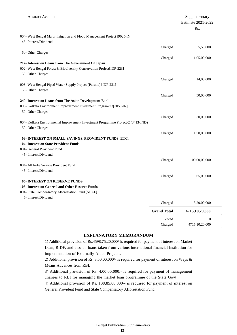| <b>Abstract Account</b>                                                          |                    | Supplementary<br>Estimate 2021-2022<br>Rs. |
|----------------------------------------------------------------------------------|--------------------|--------------------------------------------|
| 004- West Bengal Major Irrigation and Flood Management Project [9025-IN]         |                    |                                            |
| 45- Interest/Dividend                                                            |                    |                                            |
|                                                                                  | Charged            | 5,50,000                                   |
| 50- Other Charges                                                                |                    |                                            |
|                                                                                  | Charged            | 1,05,00,000                                |
| 217- Interest on Loans from The Government Of Japan                              |                    |                                            |
| 002- West Bengal Forest & Biodiversity Conservation Project[IDP-223]             |                    |                                            |
| 50- Other Charges                                                                |                    |                                            |
|                                                                                  | Charged            | 14,00,000                                  |
| 003- West Bengal Piped Water Supply Project (Purulia) [IDP-231]                  |                    |                                            |
| 50- Other Charges                                                                |                    |                                            |
|                                                                                  | Charged            | 50,00,000                                  |
| 249- Interest on Loans from The Asian Development Bank                           |                    |                                            |
| 003- Kolkata Environment Improvement Investment Programme[3053-IN]               |                    |                                            |
| 50- Other Charges                                                                |                    |                                            |
|                                                                                  | Charged            | 30,00,000                                  |
| 004- Kolkata Environmental Improvement Investment Programme Project-2 (3413-IND) |                    |                                            |
| 50- Other Charges                                                                |                    |                                            |
|                                                                                  | Charged            | 1,50,00,000                                |
| 03- INTEREST ON SMALL SAVINGS, PROVIDENT FUNDS, ETC.                             |                    |                                            |
| <b>104- Interest on State Provident Funds</b>                                    |                    |                                            |
| 001- General Provident Fund                                                      |                    |                                            |
| 45- Interest/Dividend                                                            |                    |                                            |
|                                                                                  | Charged            | 100,00,00,000                              |
| 004- All India Service Provident Fund                                            |                    |                                            |
| 45- Interest/Dividend                                                            |                    |                                            |
|                                                                                  | Charged            | 65,00,000                                  |
| <b>05- INTEREST ON RESERVE FUNDS</b>                                             |                    |                                            |
| 105- Interest on General and Other Reserve Funds                                 |                    |                                            |
| 004- State Compensatory Afforestation Fund [SCAF]                                |                    |                                            |
| 45- Interest/Dividend                                                            |                    |                                            |
|                                                                                  | Charged            | 8,20,00,000                                |
|                                                                                  | <b>Grand Total</b> | 4715,10,20,000                             |
|                                                                                  | Voted              | $\boldsymbol{0}$                           |
|                                                                                  | Charged            | 4715,10,20,000                             |

 $\overline{\phantom{a}}$ 

#### **EXPLANATORY MEMORANDUM**

1) Additional provision of Rs.4598,75,20,000/-is required for payment of interest on Market Loan, RIDF, and also on loans taken from various international financial institution for implementation of Externally Aided Projects.

2) Additional provision of Rs. 3,50,00,000/- is required for payment of interest on Ways & Means Advances from RBI.

3) Additional provision of Rs. 4,00,00,000/- is required for payment of management charges to RBI for managing the market loan programme of the State Govt.

4) Additional provision of Rs. 108,85,00,000/- is required for payment of interest on General Provident Fund and State Compensatory Afforestation Fund.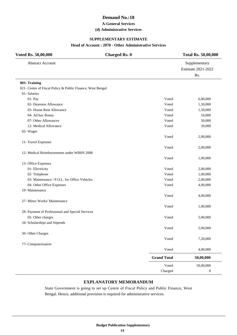#### **A-General Services**

**(d) Administrative Services**

#### **SUPPLEMENTARY ESTIMATE**

#### **Head of Account : 2070 - Other Administrative Services**

| Voted Rs. 50,00,000                                        | <b>Charged Rs. 0</b> |                    | <b>Total Rs. 50,00,000</b>                 |
|------------------------------------------------------------|----------------------|--------------------|--------------------------------------------|
| <b>Abstract Account</b>                                    |                      |                    | Supplementary<br>Estimate 2021-2022<br>Rs. |
| 003- Training                                              |                      |                    |                                            |
| 021- Centre of Fiscal Policy & Public Finance, West Bengal |                      |                    |                                            |
| 01-Salaries                                                |                      |                    |                                            |
| 01- Pay                                                    |                      | Voted              | 6,00,000                                   |
| 02- Dearness Allowance                                     |                      | Voted              | 1,50,000                                   |
| 03- House Rent Allowance                                   |                      | Voted              | 1,50,000                                   |
| 04- Ad hoc Bonus                                           |                      | Voted              | 10,000                                     |
| 07- Other Allowances                                       |                      | Voted              | 50,000                                     |
| 12- Medical Allowance                                      |                      | Voted              | 20,000                                     |
| 02-Wages                                                   |                      |                    |                                            |
|                                                            |                      | Voted              | 2,00,000                                   |
| 11- Travel Expenses                                        |                      |                    |                                            |
|                                                            |                      | Voted              | 2,00,000                                   |
| 12- Medical Reimbursements under WBHS 2008                 |                      |                    |                                            |
|                                                            |                      | Voted              | 1,00,000                                   |
| 13- Office Expenses                                        |                      |                    |                                            |
| 01- Electricity                                            |                      | Voted              | 2,00,000                                   |
| 02-Telephone                                               |                      | Voted              | 1,00,000                                   |
| 03- Maintenance / P.O.L. for Office Vehicles               |                      | Voted              | 2,00,000                                   |
| 04- Other Office Expenses                                  |                      | Voted              | 4,00,000                                   |
| 19- Maintenance                                            |                      |                    |                                            |
|                                                            |                      | Voted              | 4,00,000                                   |
| 27- Minor Works/ Maintenance                               |                      |                    |                                            |
|                                                            |                      | Voted              | 1,00,000                                   |
| 28- Payment of Professional and Special Services           |                      |                    |                                            |
| 02- Other charges                                          |                      | Voted              | 5,00,000                                   |
| 34- Scholarships and Stipends                              |                      |                    |                                            |
|                                                            |                      | Voted              | 5,00,000                                   |
| 50- Other Charges                                          |                      |                    |                                            |
|                                                            |                      | Voted              | 7,20,000                                   |
| 77- Computerisation                                        |                      |                    |                                            |
|                                                            |                      | Voted              | 4,00,000                                   |
|                                                            |                      | <b>Grand Total</b> | 50,00,000                                  |
|                                                            |                      | Voted              | 50,00,000                                  |
|                                                            |                      | Charged            | $\boldsymbol{0}$                           |

## **EXPLANATORY MEMORANDUM**

.

State Government is going to set up Centre of Fiscal Policy and Public Finance, West Bengal. Hence, additional provision is required for administrative services.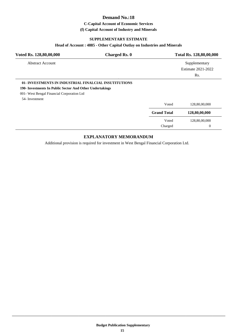## **C-Capital Account of Economic Services**

#### **(f) Capital Account of Industry and Minerals**

#### **SUPPLEMENTARY ESTIMATE**

#### **Head of Account : 4885 - Other Capital Outlay on Industries and Minerals**

| Voted Rs. 128,80,00,000                                  | Charged Rs. 0 |                    | Total Rs. 128,80,00,000 |
|----------------------------------------------------------|---------------|--------------------|-------------------------|
| <b>Abstract Account</b>                                  |               |                    | Supplementary           |
|                                                          |               |                    | Estimate 2021-2022      |
|                                                          |               |                    | Rs.                     |
| 01- INVESTMENTS IN INDUSTRIAL FINALCIAL INSUTITUTIONS    |               |                    |                         |
| 190- Investments In Public Sector And Other Undertakings |               |                    |                         |
| 001 - West Bengal Financial Corporation Ltd              |               |                    |                         |
| 54-Investment                                            |               |                    |                         |
|                                                          |               | Voted              | 128,80,00,000           |
|                                                          |               | <b>Grand Total</b> | 128,80,00,000           |
|                                                          |               | Voted              | 128,80,00,000           |
|                                                          |               | Charged            | $\theta$                |

#### **EXPLANATORY MEMORANDUM**

.

Additional provision is required for investment in West Bengal Financial Corporation Ltd.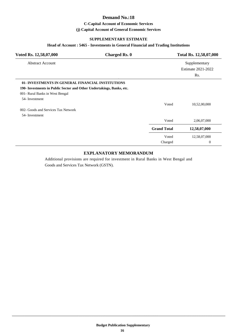## **C-Capital Account of Economic Services**

#### **(j) Capital Account of General Economic Services**

#### **SUPPLEMENTARY ESTIMATE**

#### **Head of Account : 5465 - Investments in General Financial and Trading Institutions**

| Voted Rs. 12,58,07,000                                                | Charged Rs. 0 |                                            | Total Rs. 12,58,07,000 |
|-----------------------------------------------------------------------|---------------|--------------------------------------------|------------------------|
| <b>Abstract Account</b>                                               |               | Supplementary<br>Estimate 2021-2022<br>Rs. |                        |
| 01- INVESTMENTS IN GENERAL FINANCIAL INSTITUTIONS                     |               |                                            |                        |
| 190- Investments in Public Sector and Other Undertakings, Banks, etc. |               |                                            |                        |
| 001- Rural Banks in West Bengal                                       |               |                                            |                        |
| 54-Investment                                                         |               |                                            |                        |
|                                                                       |               | Voted                                      | 10,52,00,000           |
| 002- Goods and Services Tax Network                                   |               |                                            |                        |
| 54- Investment                                                        |               |                                            |                        |
|                                                                       |               | Voted                                      | 2,06,07,000            |
|                                                                       |               | <b>Grand Total</b>                         | 12,58,07,000           |
|                                                                       |               | Voted                                      | 12,58,07,000           |
|                                                                       |               | Charged                                    | $\overline{0}$         |

## **EXPLANATORY MEMORANDUM**

Additional provisions are required for investment in Rural Banks in West Bengal and Goods and Services Tax Network (GSTN).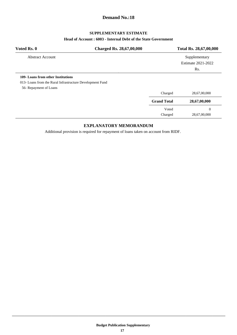## **SUPPLEMENTARY ESTIMATE**

#### **Head of Account : 6003 - Internal Debt of the State Government**

| Voted Rs. 0                                               | <b>Charged Rs. 28,67,00,000</b> |                    | Total Rs. 28,67,00,000 |
|-----------------------------------------------------------|---------------------------------|--------------------|------------------------|
| <b>Abstract Account</b>                                   |                                 |                    | Supplementary          |
|                                                           |                                 |                    | Estimate 2021-2022     |
|                                                           |                                 |                    | Rs.                    |
| 109- Loans from other Institutions                        |                                 |                    |                        |
| 013- Loans from the Rural Infrastructure Development Fund |                                 |                    |                        |
| 56- Repayment of Loans                                    |                                 |                    |                        |
|                                                           |                                 | Charged            | 28,67,00,000           |
|                                                           |                                 | <b>Grand Total</b> | 28,67,00,000           |
|                                                           |                                 | Voted              | $\boldsymbol{0}$       |
|                                                           |                                 | Charged            | 28,67,00,000           |

## **EXPLANATORY MEMORANDUM**

Additional provision is required for repayment of loans taken on account from RIDF.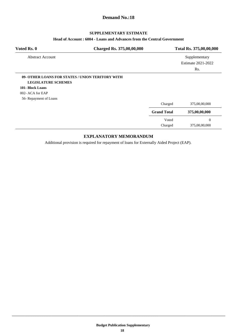## **SUPPLEMENTARY ESTIMATE**

#### **Head of Account : 6004 - Loans and Advances from the Central Government**

| Voted Rs. 0                                      | <b>Charged Rs. 375,00,00,000</b> |                    | Total Rs. 375,00,00,000 |
|--------------------------------------------------|----------------------------------|--------------------|-------------------------|
| <b>Abstract Account</b>                          |                                  |                    | Supplementary           |
|                                                  |                                  |                    | Estimate 2021-2022      |
|                                                  |                                  |                    | Rs.                     |
| 09- OTHER LOANS FOR STATES / UNION TERITORY WITH |                                  |                    |                         |
| <b>LEGISLATURE SCHEMES</b>                       |                                  |                    |                         |
| 101- Block Loans                                 |                                  |                    |                         |
| 002- ACA for EAP                                 |                                  |                    |                         |
| 56- Repayment of Loans                           |                                  |                    |                         |
|                                                  |                                  | Charged            | 375,00,00,000           |
|                                                  |                                  | <b>Grand Total</b> | 375,00,00,000           |
|                                                  |                                  | Voted              | $\overline{0}$          |
|                                                  |                                  | Charged            | 375,00,00,000           |

#### **EXPLANATORY MEMORANDUM**

.

Additional provision is required for repayment of loans for Externally Aided Project (EAP).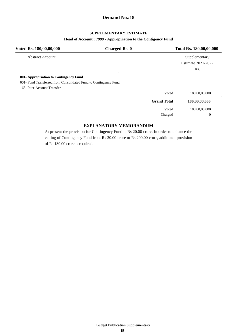## **SUPPLEMENTARY ESTIMATE**

## **Head of Account : 7999 - Appropriation to the Contigency Fund**

| Voted Rs. 180,00,00,000                                          | <b>Charged Rs. 0</b> |                    | Total Rs. 180,00,00,000 |
|------------------------------------------------------------------|----------------------|--------------------|-------------------------|
| <b>Abstract Account</b>                                          |                      |                    | Supplementary           |
|                                                                  |                      |                    | Estimate 2021-2022      |
|                                                                  |                      |                    | Rs.                     |
| 001- Appropriation to Contingency Fund                           |                      |                    |                         |
| 001- Fund Transferred from Consolidated Fund to Contingency Fund |                      |                    |                         |
| 63- Inter-Account Transfer                                       |                      |                    |                         |
|                                                                  |                      | Voted              | 180,00,00,000           |
|                                                                  |                      | <b>Grand Total</b> | 180,00,00,000           |
|                                                                  |                      | Voted              | 180,00,00,000           |
|                                                                  |                      | Charged            | $\boldsymbol{0}$        |

## **EXPLANATORY MEMORANDUM**

At present the provision for Contingency Fund is Rs 20.00 crore. In order to enhance the ceiling of Contingency Fund from Rs 20.00 crore to Rs 200.00 crore, additional provision of Rs 180.00 crore is required.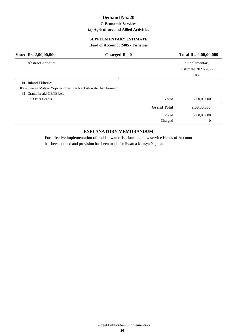## **C-Economic Services**

#### **(a) Agriculture and Allied Activities**

#### **SUPPLEMENTARY ESTIMATE**

**Head of Account : 2405 - Fisheries**

| Voted Rs. 2,00,00,000                                            | <b>Charged Rs. 0</b> |                    | Total Rs. 2,00,00,000               |  |
|------------------------------------------------------------------|----------------------|--------------------|-------------------------------------|--|
| <b>Abstract Account</b>                                          |                      |                    | Supplementary<br>Estimate 2021-2022 |  |
|                                                                  |                      |                    | Rs.                                 |  |
| <b>101- Inland Fisheries</b>                                     |                      |                    |                                     |  |
| 060- Swarna Matsya Yojona-Project on brackish water fish farming |                      |                    |                                     |  |
| 31- Grants-in-aid-GENERAL                                        |                      |                    |                                     |  |
| 02- Other Grants                                                 |                      | Voted              | 2,00,00,000                         |  |
|                                                                  |                      | <b>Grand Total</b> | 2,00,00,000                         |  |
|                                                                  |                      | Voted              | 2,00,00,000                         |  |
|                                                                  |                      | Charged            | $\overline{0}$                      |  |

## **EXPLANATORY MEMORANDUM**

For effective implementation of brakish water fish farming, new service Heads of Account has been opened and provision has been made for Swarna Matsya Yojana.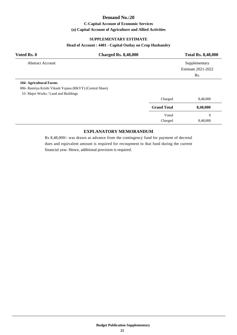# **C-Capital Account of Economic Services**

## **(a) Capital Account of Agriculture and Allied Activities**

## **SUPPLEMENTARY ESTIMATE**

#### **Head of Account : 4401 - Capital Outlay on Crop Husbandry**

| Voted Rs. 0                                               | <b>Charged Rs. 8,48,000</b> |                    | <b>Total Rs. 8,48,000</b>           |
|-----------------------------------------------------------|-----------------------------|--------------------|-------------------------------------|
| <b>Abstract Account</b>                                   |                             |                    | Supplementary<br>Estimate 2021-2022 |
|                                                           |                             |                    | Rs.                                 |
| 104- Agricultural Farms                                   |                             |                    |                                     |
| 006- Rastriya Krishi Vikash Yojana (RKVY) (Central Share) |                             |                    |                                     |
| 53- Major Works / Land and Buildings                      |                             |                    |                                     |
|                                                           |                             | Charged            | 8,48,000                            |
|                                                           |                             | <b>Grand Total</b> | 8,48,000                            |
|                                                           |                             | Voted              | $\overline{0}$                      |
|                                                           |                             | Charged            | 8,48,000                            |

#### **EXPLANATORY MEMORANDUM**

.

Rs 8,48,000/- was drawn as advance from the contingency fund for payment of decretal dues and equivalent amount is required for recoupment to that fund during the current financial year. Hence, additional provision is required.

## **Budget Publication Supplementary**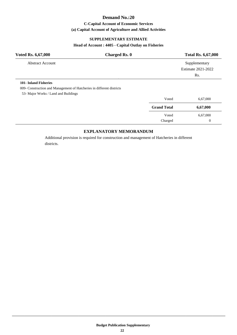## **C-Capital Account of Economic Services (a) Capital Account of Agriculture and Allied Activities**

#### **SUPPLEMENTARY ESTIMATE**

#### **Head of Account : 4405 - Capital Outlay on Fisheries**

| Voted Rs. 6,67,000                                                    | Charged Rs. 0 |                    | <b>Total Rs. 6,67,000</b>           |
|-----------------------------------------------------------------------|---------------|--------------------|-------------------------------------|
| <b>Abstract Account</b>                                               |               |                    | Supplementary<br>Estimate 2021-2022 |
|                                                                       |               |                    | Rs.                                 |
| 101- Inland Fisheries                                                 |               |                    |                                     |
| 009- Construction and Management of Hatcheries in different districts |               |                    |                                     |
| 53- Major Works / Land and Buildings                                  |               |                    |                                     |
|                                                                       |               | Voted              | 6,67,000                            |
|                                                                       |               | <b>Grand Total</b> | 6,67,000                            |
|                                                                       |               | Voted              | 6,67,000                            |
|                                                                       |               | Charged            | $\overline{0}$                      |

#### **EXPLANATORY MEMORANDUM**

Additional provision is required for construction and management of Hatcheries in different districts.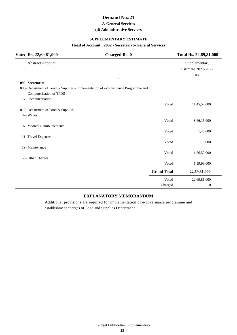## **A-General Services**

#### **(d) Administrative Services**

#### **SUPPLEMENTARY ESTIMATE**

#### **Head of Account : 2052 - Secretariat--General Services**

| Voted Rs. 22,69,81,000             | <b>Charged Rs. 0</b>                                                              |                    | Total Rs. 22,69,81,000                     |
|------------------------------------|-----------------------------------------------------------------------------------|--------------------|--------------------------------------------|
| <b>Abstract Account</b>            |                                                                                   |                    | Supplementary<br>Estimate 2021-2022<br>Rs. |
| 090- Secretariat                   |                                                                                   |                    |                                            |
|                                    | 006- Department of Food & Supplies - Implementation of e-Governance Programme and |                    |                                            |
| Computerisation of TPDS            |                                                                                   |                    |                                            |
| 77- Computerisation                |                                                                                   |                    |                                            |
|                                    |                                                                                   | Voted              | 11,45,58,000                               |
| 015- Department of Food & Supplies |                                                                                   |                    |                                            |
| 02-Wages                           |                                                                                   |                    |                                            |
|                                    |                                                                                   | Voted              | 8,46,15,000                                |
| 07- Medical Reimbursements         |                                                                                   |                    |                                            |
|                                    |                                                                                   | Voted              | 1,40,000                                   |
| 11- Travel Expenses                |                                                                                   |                    |                                            |
|                                    |                                                                                   | Voted              | 19,000                                     |
| 19- Maintenance                    |                                                                                   |                    |                                            |
|                                    |                                                                                   | Voted              | 1,56,50,000                                |
| 50- Other Charges                  |                                                                                   |                    |                                            |
|                                    |                                                                                   | Voted              | 1,19,99,000                                |
|                                    |                                                                                   | <b>Grand Total</b> | 22,69,81,000                               |
|                                    |                                                                                   | Voted              | 22,69,81,000                               |
|                                    |                                                                                   | Charged            | $\boldsymbol{0}$                           |

## **EXPLANATORY MEMORANDUM**

Additional provisions are required for implementation of e-governance programme and establishment charges of Food and Supplies Department.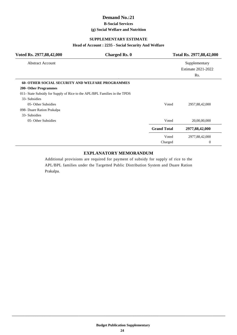#### **B-Social Services**

#### **(g) Social Welfare and Nutrition**

#### **SUPPLEMENTARY ESTIMATE**

#### **Head of Account : 2235 - Social Security And Welfare**

| Voted Rs. 2977,88,42,000                                                  | <b>Charged Rs. 0</b> |                    | Total Rs. 2977,88,42,000                   |
|---------------------------------------------------------------------------|----------------------|--------------------|--------------------------------------------|
| <b>Abstract Account</b>                                                   |                      |                    | Supplementary<br>Estimate 2021-2022<br>Rs. |
| <b>60- OTHER SOCIAL SECURITY AND WELFARE PROGRAMMES</b>                   |                      |                    |                                            |
| <b>200- Other Programmes</b>                                              |                      |                    |                                            |
| 011- State Subsidy for Supply of Rice to the APL/BPL Families in the TPDS |                      |                    |                                            |
| 33- Subsidies                                                             |                      |                    |                                            |
| 05- Other Subsidies                                                       |                      | Voted              | 2957,88,42,000                             |
| 098- Duare Ration Prakalpa                                                |                      |                    |                                            |
| 33- Subsidies                                                             |                      |                    |                                            |
| 05- Other Subsidies                                                       |                      | Voted              | 20,00,00,000                               |
|                                                                           |                      | <b>Grand Total</b> | 2977,88,42,000                             |
|                                                                           |                      | Voted              | 2977,88,42,000                             |
|                                                                           |                      | Charged            | $\overline{0}$                             |

## **EXPLANATORY MEMORANDUM**

.

Additional provisions are required for payment of subsidy for supply of rice to the APL/BPL families under the Targetted Public Distribution System and Duare Ration Prakalpa.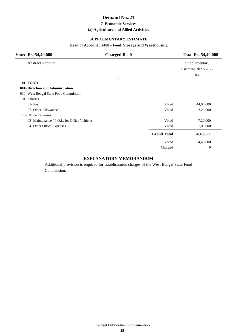## **C-Economic Services**

#### **(a) Agriculture and Allied Activities**

#### **SUPPLEMENTARY ESTIMATE**

#### **Head of Account : 2408 - Food, Storage and Warehousing**

| Voted Rs. 54,40,000                          | <b>Charged Rs. 0</b> |                    | Total Rs. 54,40,000                        |
|----------------------------------------------|----------------------|--------------------|--------------------------------------------|
| <b>Abstract Account</b>                      |                      |                    | Supplementary<br>Estimate 2021-2022<br>Rs. |
| 01-FOOD                                      |                      |                    |                                            |
| 001- Direction and Administration            |                      |                    |                                            |
| 010- West Bengal State Food Commission       |                      |                    |                                            |
| 01-Salaries                                  |                      |                    |                                            |
| 01- Pay                                      |                      | Voted              | 44,00,000                                  |
| 07- Other Allowances                         |                      | Voted              | 2,20,000                                   |
| 13- Office Expenses                          |                      |                    |                                            |
| 03- Maintenance / P.O.L. for Office Vehicles |                      | Voted              | 7,20,000                                   |
| 04- Other Office Expenses                    |                      | Voted              | 1,00,000                                   |
|                                              |                      | <b>Grand Total</b> | 54,40,000                                  |
|                                              |                      | Voted              | 54,40,000                                  |
|                                              |                      | Charged            | $\boldsymbol{0}$                           |

## **EXPLANATORY MEMORANDUM**

Additional provision is required for establishment charges of the West Bengal State Food Commission.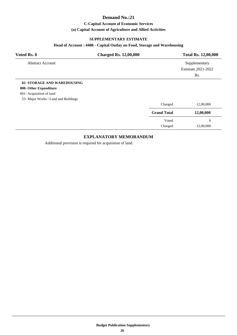## **C-Capital Account of Economic Services**

## **(a) Capital Account of Agriculture and Allied Activities**

## **SUPPLEMENTARY ESTIMATE**

#### **Head of Account : 4408 - Capital Outlay on Food, Storage and Warehousing**

| Voted Rs. 0                          | <b>Charged Rs. 12,00,000</b> |                    | <b>Total Rs. 12,00,000</b> |
|--------------------------------------|------------------------------|--------------------|----------------------------|
| <b>Abstract Account</b>              |                              |                    | Supplementary              |
|                                      |                              |                    | Estimate 2021-2022         |
|                                      |                              |                    | Rs.                        |
| 02- STORAGE AND WAREHOUSING          |                              |                    |                            |
| 800- Other Expenditure               |                              |                    |                            |
| 001- Acquisition of land             |                              |                    |                            |
| 53- Major Works / Land and Buildings |                              |                    |                            |
|                                      |                              | Charged            | 12,00,000                  |
|                                      |                              | <b>Grand Total</b> | 12,00,000                  |
|                                      |                              | Voted              | $\overline{0}$             |
|                                      |                              | Charged            | 12,00,000                  |

## **EXPLANATORY MEMORANDUM**

.

Additional provision is required for acquisition of land.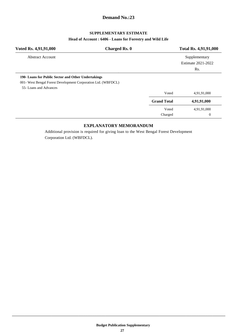## **SUPPLEMENTARY ESTIMATE**

## **Head of Account : 6406 - Loans for Forestry and Wild Life**

| Voted Rs. 4,91,91,000                                         | <b>Charged Rs. 0</b> |                    | Total Rs. 4,91,91,000 |
|---------------------------------------------------------------|----------------------|--------------------|-----------------------|
| <b>Abstract Account</b>                                       |                      |                    | Supplementary         |
|                                                               |                      |                    | Estimate 2021-2022    |
|                                                               |                      |                    | Rs.                   |
| 190- Loans for Public Sector and Other Undertakings           |                      |                    |                       |
| 001- West Bengal Forest Development Corporation Ltd. (WBFDCL) |                      |                    |                       |
| 55-Loans and Advances                                         |                      |                    |                       |
|                                                               |                      | Voted              | 4,91,91,000           |
|                                                               |                      | <b>Grand Total</b> | 4,91,91,000           |
|                                                               |                      | Voted              | 4,91,91,000           |
|                                                               |                      | Charged            | $\mathbf{0}$          |

## **EXPLANATORY MEMORANDUM**

Additional provision is required for giving loan to the West Bengal Forest Development Corporation Ltd. (WBFDCL).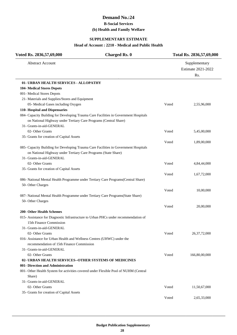#### **B-Social Services**

## **(b) Health and Family Welfare**

## **SUPPLEMENTARY ESTIMATE**

#### **Head of Account : 2210 - Medical and Public Health**

| Voted Rs. 2836,57,69,000                                                        | Charged Rs. 0                                                                        |       | Total Rs. 2836,57,69,000                   |
|---------------------------------------------------------------------------------|--------------------------------------------------------------------------------------|-------|--------------------------------------------|
| <b>Abstract Account</b>                                                         |                                                                                      |       | Supplementary<br>Estimate 2021-2022<br>Rs. |
| 01- URBAN HEALTH SERVICES - ALLOPATHY                                           |                                                                                      |       |                                            |
| <b>104- Medical Stores Depots</b>                                               |                                                                                      |       |                                            |
| 001- Medical Stores Depots                                                      |                                                                                      |       |                                            |
| 21- Materials and Supplies/Stores and Equipment                                 |                                                                                      |       |                                            |
| 05- Medical Gases including Oxygen                                              |                                                                                      | Voted | 2,55,96,000                                |
| 110- Hospital and Dispensaries                                                  |                                                                                      |       |                                            |
|                                                                                 | 084- Capacity Building for Developing Trauma Care Facilities in Government Hospitals |       |                                            |
| on National Highway under Tertiary Care Programs (Central Share)                |                                                                                      |       |                                            |
| 31- Grants-in-aid-GENERAL                                                       |                                                                                      |       |                                            |
| 02- Other Grants                                                                |                                                                                      | Voted | 5,45,00,000                                |
| 35- Grants for creation of Capital Assets                                       |                                                                                      |       |                                            |
|                                                                                 |                                                                                      | Voted | 1,89,00,000                                |
|                                                                                 | 085- Capacity Building for Developing Trauma Care Facilities in Government Hospitals |       |                                            |
| on National Highway under Tertiary Care Programs (State Share)                  |                                                                                      |       |                                            |
| 31- Grants-in-aid-GENERAL                                                       |                                                                                      |       |                                            |
| 02- Other Grants                                                                |                                                                                      | Voted | 4,84,44,000                                |
| 35- Grants for creation of Capital Assets                                       |                                                                                      |       |                                            |
|                                                                                 | 086- National Mental Health Programme under Tertiary Care Programs(Central Share)    | Voted | 1,67,72,000                                |
| 50- Other Charges                                                               |                                                                                      |       |                                            |
|                                                                                 |                                                                                      | Voted | 10,00,000                                  |
| 087- National Mental Health Programme under Tertiary Care Programs(State Share) |                                                                                      |       |                                            |
| 50- Other Charges                                                               |                                                                                      |       |                                            |
|                                                                                 |                                                                                      | Voted | 20,00,000                                  |
| 200- Other Health Schemes                                                       |                                                                                      |       |                                            |
|                                                                                 | 015- Assistance for Diagnostic Infrastructure to Urban PHCs under recommendation of  |       |                                            |
| 15th Finance Commission                                                         |                                                                                      |       |                                            |
| 31- Grants-in-aid-GENERAL                                                       |                                                                                      |       |                                            |
| 02- Other Grants                                                                |                                                                                      | Voted | 26, 37, 72, 000                            |
| 016- Assistance for Urban Health and Wellness Centres (UHWC) under the          |                                                                                      |       |                                            |
| recommendation of 15th Finance Commission                                       |                                                                                      |       |                                            |
| 31- Grants-in-aid-GENERAL                                                       |                                                                                      |       |                                            |
| 02- Other Grants                                                                |                                                                                      | Voted | 166,80,00,000                              |
| 02- URBAN HEALTH SERVICES--OTHER SYSTEMS OF MEDICINES                           |                                                                                      |       |                                            |
| 001- Direction and Administration                                               |                                                                                      |       |                                            |
|                                                                                 | 001- Other Health System for activities covered under Flexible Pool of NUHM (Central |       |                                            |
| Share)                                                                          |                                                                                      |       |                                            |
| 31- Grants-in-aid-GENERAL                                                       |                                                                                      |       |                                            |
| 02- Other Grants                                                                |                                                                                      | Voted | 11,50,67,000                               |
| 35- Grants for creation of Capital Assets                                       |                                                                                      |       |                                            |
|                                                                                 |                                                                                      | Voted | 2,65,33,000                                |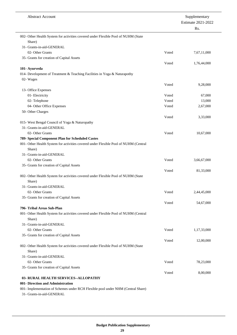| <b>Abstract Account</b>                                                              |       | Supplementary<br>Estimate 2021-2022<br>Rs. |
|--------------------------------------------------------------------------------------|-------|--------------------------------------------|
| 002- Other Health System for activities covered under Flexible Pool of NUHM (State   |       |                                            |
| Share)                                                                               |       |                                            |
| 31- Grants-in-aid-GENERAL                                                            |       |                                            |
| 02- Other Grants                                                                     | Voted | 7,67,11,000                                |
| 35- Grants for creation of Capital Assets                                            |       |                                            |
|                                                                                      | Voted | 1,76,44,000                                |
| 101- Ayurveda                                                                        |       |                                            |
| 014- Development of Treatment & Teaching Facilities in Yoga & Naturapothy            |       |                                            |
| 02-Wages                                                                             |       |                                            |
|                                                                                      | Voted | 9,28,000                                   |
| 13- Office Expenses                                                                  |       |                                            |
| 01- Electricity                                                                      | Voted | 67,000                                     |
| 02-Telephone                                                                         | Voted | 13,000                                     |
| 04- Other Office Expenses                                                            | Voted | 2,67,000                                   |
| 50- Other Charges                                                                    |       |                                            |
|                                                                                      | Voted | 3,33,000                                   |
| 015- West Bengal Council of Yoga & Naturopathy                                       |       |                                            |
| 31- Grants-in-aid-GENERAL                                                            |       |                                            |
| 02- Other Grants                                                                     | Voted | 10,67,000                                  |
| 789- Special Component Plan for Scheduled Castes                                     |       |                                            |
| 001- Other Health System for activities covered under Flexible Pool of NUHM (Central |       |                                            |
| Share)                                                                               |       |                                            |
| 31- Grants-in-aid-GENERAL                                                            |       |                                            |
| 02- Other Grants                                                                     | Voted | 3,66,67,000                                |
| 35- Grants for creation of Capital Assets                                            |       |                                            |
|                                                                                      | Voted | 81,33,000                                  |
| 002- Other Health System for activities covered under Flexible Pool of NUHM (State   |       |                                            |
| Share)                                                                               |       |                                            |
| 31- Grants-in-aid-GENERAL                                                            |       |                                            |
| 02- Other Grants                                                                     | Voted | 2,44,45,000                                |
| 35- Grants for creation of Capital Assets                                            | Voted | 54,67,000                                  |
| 796- Tribal Areas Sub-Plan                                                           |       |                                            |
| 001- Other Health System for activities covered under Flexible Pool of NUHM (Central |       |                                            |
| Share)                                                                               |       |                                            |
| 31- Grants-in-aid-GENERAL                                                            |       |                                            |
| 02- Other Grants                                                                     | Voted | 1,17,33,000                                |
| 35- Grants for creation of Capital Assets                                            |       |                                            |
|                                                                                      | Voted | 12,00,000                                  |
| 002- Other Health System for activities covered under Flexible Pool of NUHM (State   |       |                                            |
| Share)                                                                               |       |                                            |
| 31- Grants-in-aid-GENERAL                                                            |       |                                            |
| 02- Other Grants                                                                     | Voted | 78,23,000                                  |
| 35- Grants for creation of Capital Assets                                            |       |                                            |
|                                                                                      | Voted | 8,00,000                                   |
| 03- RURAL HEALTH SERVICES--ALLOPATHY                                                 |       |                                            |
| 001- Direction and Administration                                                    |       |                                            |
| 001- Implementation of Schemes under RCH Flexible pool under NHM (Central Share)     |       |                                            |
|                                                                                      |       |                                            |

31- Grants-in-aid-GENERAL

 $\overline{\phantom{a}}$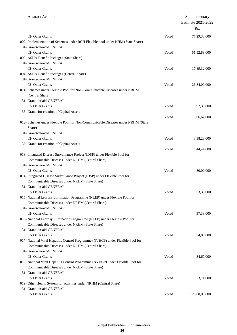| <b>Abstract Account</b>                                                                                                             |       | Supplementary<br>Estimate 2021-2022<br>Rs. |
|-------------------------------------------------------------------------------------------------------------------------------------|-------|--------------------------------------------|
| 02- Other Grants                                                                                                                    | Voted | 77,29,33,000                               |
| 002- Implementation of Schemes under RCH Flexible pool under NHM (State Share)<br>31- Grants-in-aid-GENERAL                         |       |                                            |
| 02- Other Grants                                                                                                                    | Voted | 51,52,89,000                               |
| 003- ASHA Benefit Packages (State Share)                                                                                            |       |                                            |
| 31- Grants-in-aid-GENERAL                                                                                                           |       |                                            |
| 02- Other Grants                                                                                                                    | Voted | 17,89,32,000                               |
| 004- ASHA Benefit Packages (Central Share)                                                                                          |       |                                            |
| 31- Grants-in-aid-GENERAL                                                                                                           |       |                                            |
| 02- Other Grants                                                                                                                    | Voted | 26,84,00,000                               |
| 011- Schemes under Flexible Pool for Non-Communicable Diseases under NRHM<br>(Central Share)                                        |       |                                            |
| 31- Grants-in-aid-GENERAL                                                                                                           |       |                                            |
| 02- Other Grants                                                                                                                    | Voted | 5,97,33,000                                |
| 35- Grants for creation of Capital Assets                                                                                           |       |                                            |
|                                                                                                                                     | Voted | 66,67,000                                  |
| 012- Schemes under Flexible Pool for Non-Communicable Diseases under NRHM (State<br>Share)                                          |       |                                            |
| 31- Grants-in-aid-GENERAL                                                                                                           |       |                                            |
| 02- Other Grants                                                                                                                    | Voted | 3,98,23,000                                |
| 35- Grants for creation of Capital Assets                                                                                           |       |                                            |
|                                                                                                                                     | Voted | 44,44,000                                  |
| 013- Integrated Disease Surveillance Project (IDSP) under Flexible Pool for                                                         |       |                                            |
| Communicable Diseases under NRHM (Central Share)                                                                                    |       |                                            |
| 31- Grants-in-aid-GENERAL                                                                                                           |       |                                            |
| 02- Other Grants                                                                                                                    | Voted | 80,00,000                                  |
| 014- Integrated Disease Surveillance Project (IDSP) under Flexible Pool for                                                         |       |                                            |
| Communicable Diseases under NRHM (State Share)                                                                                      |       |                                            |
| 31- Grants-in-aid-GENERAL                                                                                                           |       |                                            |
| 02- Other Grants                                                                                                                    | Voted | 53,33,000                                  |
| 015- National Leprosy Elimination Programme (NLEP) under Flexible Pool for                                                          |       |                                            |
| Communicable Diseases under NRHM (Central Share)                                                                                    |       |                                            |
| 31- Grants-in-aid-GENERAL                                                                                                           |       |                                            |
| 02- Other Grants                                                                                                                    | Voted | 37,33,000                                  |
| 016- National Leprosy Elimination Programme (NLEP) under Flexible Pool for                                                          |       |                                            |
| Communicable Diseases under NRHM (State Share)                                                                                      |       |                                            |
| 31- Grants-in-aid-GENERAL                                                                                                           |       |                                            |
| 02- Other Grants                                                                                                                    | Voted | 24,89,000                                  |
| 017- National Viral Hepatitis Control Programme (NVHCP) under Flexible Pool for<br>Communicable Diseases under NRHM (Central Share) |       |                                            |
| 31- Grants-in-aid-GENERAL                                                                                                           |       |                                            |
| 02- Other Grants                                                                                                                    | Voted | 34,67,000                                  |
| 018- National Viral Hepatitis Control Programme (NVHCP) under Flexible Pool for                                                     |       |                                            |
| Communicable Diseases under NRHM (State Share)                                                                                      |       |                                            |
| 31- Grants-in-aid-GENERAL                                                                                                           |       |                                            |
| 02- Other Grants                                                                                                                    | Voted | 23,11,000                                  |
| 019- Other Health System for activities under NRHM (Central Share)                                                                  |       |                                            |
| 31- Grants-in-aid-GENERAL                                                                                                           |       |                                            |
| 02- Other Grants                                                                                                                    | Voted | 125,00,00,000                              |
|                                                                                                                                     |       |                                            |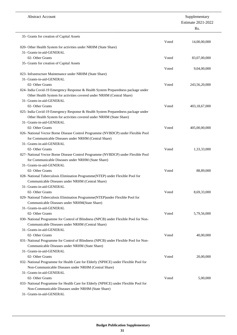| <b>Abstract Account</b>                                                                       |       | Supplementary<br>Estimate 2021-2022 |
|-----------------------------------------------------------------------------------------------|-------|-------------------------------------|
|                                                                                               |       | Rs.                                 |
| 35- Grants for creation of Capital Assets                                                     |       |                                     |
|                                                                                               | Voted | 14,00,00,000                        |
| 020- Other Health System for activities under NRHM (State Share)<br>31- Grants-in-aid-GENERAL |       |                                     |
| 02- Other Grants                                                                              | Voted | 83,07,00,000                        |
| 35- Grants for creation of Capital Assets                                                     |       |                                     |
|                                                                                               | Voted | 9,04,00,000                         |
| 023- Infrastructure Maintenance under NRHM (State Share)                                      |       |                                     |
| 31- Grants-in-aid-GENERAL                                                                     |       |                                     |
| 02- Other Grants                                                                              | Voted | 243,56,20,000                       |
| 024- India Covid-19 Emergency Response & Health System Preparedness package under             |       |                                     |
| Other Health System for activities covered under NRHM (Central Share)                         |       |                                     |
| 31- Grants-in-aid-GENERAL                                                                     |       |                                     |
| 02- Other Grants                                                                              | Voted | 403,18,67,000                       |
| 025- India Covid-19 Emergency Response & Health System Preparedness package under             |       |                                     |
| Other Health System for activities covered under NRHM (State Share)                           |       |                                     |
| 31- Grants-in-aid-GENERAL                                                                     |       |                                     |
| 02- Other Grants                                                                              | Voted | 405,00,00,000                       |
| 026- National Vector Borne Disease Control Programme (NVBDCP) under Flexible Pool             |       |                                     |
| for Communicable Diseases under NRHM (Central Share)                                          |       |                                     |
| 31- Grants-in-aid-GENERAL                                                                     |       |                                     |
| 02- Other Grants                                                                              | Voted | 1,33,33,000                         |
| 027- National Vector Borne Disease Control Programme (NVBDCP) under Flexible Pool             |       |                                     |
| for Communicable Diseases under NRHM (State Share)                                            |       |                                     |
| 31- Grants-in-aid-GENERAL                                                                     |       |                                     |
| 02- Other Grants                                                                              | Voted | 88,89,000                           |
| 028- National Tuberculosis Elimination Programme(NTEP) under Flexible Pool for                |       |                                     |
| Communicable Diseases under NRHM (Central Share)                                              |       |                                     |
| 31- Grants-in-aid-GENERAL                                                                     |       |                                     |
| 02- Other Grants                                                                              | Voted | 8,69,33,000                         |
| 029- National Tuberculosis Elimination Programme(NTEP)under Flexible Pool for                 |       |                                     |
| Communicable Diseases under NRHM(State Share)                                                 |       |                                     |
| 31- Grants-in-aid-GENERAL                                                                     |       |                                     |
| 02- Other Grants                                                                              | Voted | 5,79,56,000                         |
| 030- National Programme for Control of Blindness (NPCB) under Flexible Pool for Non-          |       |                                     |
| Communicable Diseases under NRHM (Central Share)<br>31- Grants-in-aid-GENERAL                 |       |                                     |
| 02- Other Grants                                                                              | Voted | 40,00,000                           |
| 031- National Programme for Control of Blindness (NPCB) under Flexible Pool for Non-          |       |                                     |
| Communicable Diseases under NRHM (State Share)                                                |       |                                     |
| 31- Grants-in-aid-GENERAL                                                                     |       |                                     |
| 02- Other Grants                                                                              | Voted | 20,00,000                           |
| 032- National Programme for Health Care for Elderly (NPHCE) under Flexible Pool for           |       |                                     |
| Non-Communicable Diseases under NRHM (Central Share)                                          |       |                                     |
| 31- Grants-in-aid-GENERAL                                                                     |       |                                     |
| 02- Other Grants                                                                              | Voted | 5,00,000                            |
| 033- National Programme for Health Care for Elderly (NPHCE) under Flexible Pool for           |       |                                     |
| Non-Communicable Diseases under NRHM (State Share)                                            |       |                                     |
| 31- Grants-in-aid-GENERAL                                                                     |       |                                     |

 $\overline{a}$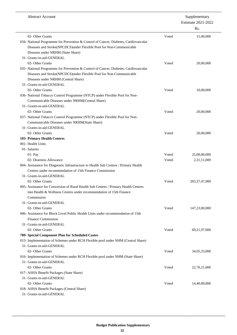| <b>Abstract Account</b>                                                              |       | Supplementary<br>Estimate 2021-2022<br>Rs. |
|--------------------------------------------------------------------------------------|-------|--------------------------------------------|
| 02- Other Grants                                                                     | Voted | 15,00,000                                  |
| 034- National Programme for Prevention & Control of Cancer, Diabetes, Cardiovascular |       |                                            |
| Diseases and Stroke(NPCDCS)under Flexible Pool for Non-Communicable                  |       |                                            |
| Diseases under NRHM (State Share)                                                    |       |                                            |
| 31- Grants-in-aid-GENERAL                                                            |       |                                            |
| 02- Other Grants                                                                     | Voted | 20,00,000                                  |
| 035- National Programme for Prevention & Control of Cancer, Diabetes, Cardiovascular |       |                                            |
| Diseases and Stroke(NPCDCS)under Flexible Pool for Non-Communicable                  |       |                                            |
| Diseases under NRHM (Central Share)                                                  |       |                                            |
| 31- Grants-in-aid-GENERAL                                                            |       |                                            |
| 02- Other Grants                                                                     | Voted | 10,00,000                                  |
| 036- National Tobacco Control Programme (NTCP) under Flexible Pool for Non-          |       |                                            |
| Communicable Diseases under NRHM(Central Share)                                      |       |                                            |
| 31- Grants-in-aid-GENERAL                                                            |       |                                            |
| 02- Other Grants                                                                     | Voted | 20,00,000                                  |
| 037- National Tobacco Control Programme (NTCP) under Flexible Pool for Non-          |       |                                            |
| Communicable Diseases under NRHM(State Share)                                        |       |                                            |
| 31- Grants-in-aid-GENERAL                                                            |       |                                            |
| 02- Other Grants                                                                     | Voted | 20,00,000                                  |
| 103- Primary Health Centres                                                          |       |                                            |
| 001- Health Units                                                                    |       |                                            |
| 01-Salaries                                                                          |       |                                            |
| $01 - Pay$                                                                           | Voted | 25,00,00,000                               |
| 02- Dearness Allowance                                                               | Voted | 2,31,11,000                                |
| 004- Assistance for Diagnostic Infrastructure to Health Sub Centres / Primary Health |       |                                            |
| Centres under recommendation of 15th Finance Commission                              |       |                                            |
| 31- Grants-in-aid-GENERAL                                                            |       |                                            |
| 02- Other Grants                                                                     | Voted | 203, 37, 47, 000                           |
| 005- Assistance for Conversion of Rural Health Sub Centres / Primary Health Centres  |       |                                            |
| into Health & Wellness Centres under recommendation of 15th Finance                  |       |                                            |
| Commission                                                                           |       |                                            |
| 31- Grants-in-aid-GENERAL                                                            |       |                                            |
| 02- Other Grants                                                                     | Voted | 147,23,00,000                              |
| 006- Assistance for Block Level Public Health Units under recommendation of 15th     |       |                                            |
| <b>Finance Commission</b>                                                            |       |                                            |
| 31- Grants-in-aid-GENERAL                                                            |       |                                            |
| 02- Other Grants                                                                     | Voted | 69,21,97,000                               |
| 789- Special Component Plan for Scheduled Castes                                     |       |                                            |
| 015- Implementation of Schemes under RCH Flexible pool under NHM (Central Share)     |       |                                            |
| 31- Grants-in-aid-GENERAL                                                            |       |                                            |
| 02- Other Grants                                                                     | Voted | 34,05,33,000                               |
| 016- Implementation of Schemes under RCH Flexible pool under NHM (State Share)       |       |                                            |
| 31- Grants-in-aid-GENERAL                                                            |       |                                            |
| 02- Other Grants                                                                     | Voted |                                            |
|                                                                                      |       | 22,70,21,000                               |
| 017- ASHA Benefit Packages (State Share)<br>31- Grants-in-aid-GENERAL                |       |                                            |
|                                                                                      |       |                                            |
| 02- Other Grants                                                                     | Voted | 14,40,89,000                               |
| 018- ASHA Benefit Packages (Central Share)                                           |       |                                            |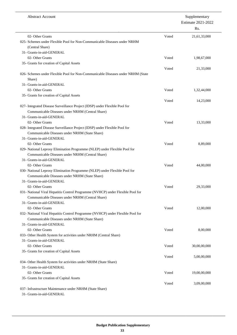| <b>Abstract Account</b>                                                                       |       | Supplementary<br>Estimate 2021-2022<br>Rs. |
|-----------------------------------------------------------------------------------------------|-------|--------------------------------------------|
| 02- Other Grants                                                                              | Voted | 21,61,33,000                               |
| 025- Schemes under Flexible Pool for Non-Communicable Diseases under NRHM<br>(Central Share)  |       |                                            |
| 31- Grants-in-aid-GENERAL                                                                     |       |                                            |
| 02- Other Grants                                                                              | Voted | 1,98,67,000                                |
| 35- Grants for creation of Capital Assets                                                     |       |                                            |
|                                                                                               | Voted | 21,33,000                                  |
| 026- Schemes under Flexible Pool for Non-Communicable Diseases under NRHM (State              |       |                                            |
| Share)                                                                                        |       |                                            |
| 31- Grants-in-aid-GENERAL                                                                     |       |                                            |
| 02- Other Grants                                                                              | Voted | 1,32,44,000                                |
| 35- Grants for creation of Capital Assets                                                     |       |                                            |
|                                                                                               | Voted | 14,23,000                                  |
| 027- Integrated Disease Surveillance Project (IDSP) under Flexible Pool for                   |       |                                            |
| Communicable Diseases under NRHM (Central Share)                                              |       |                                            |
| 31- Grants-in-aid-GENERAL                                                                     |       |                                            |
| 02- Other Grants                                                                              | Voted | 13,33,000                                  |
| 028- Integrated Disease Surveillance Project (IDSP) under Flexible Pool for                   |       |                                            |
| Communicable Diseases under NRHM (State Share)                                                |       |                                            |
| 31- Grants-in-aid-GENERAL                                                                     |       |                                            |
| 02- Other Grants                                                                              | Voted | 8,89,000                                   |
| 029- National Leprosy Elimination Programme (NLEP) under Flexible Pool for                    |       |                                            |
| Communicable Diseases under NRHM (Central Share)                                              |       |                                            |
| 31- Grants-in-aid-GENERAL                                                                     |       |                                            |
| 02- Other Grants                                                                              | Voted | 44,00,000                                  |
| 030- National Leprosy Elimination Programme (NLEP) under Flexible Pool for                    |       |                                            |
| Communicable Diseases under NRHM (State Share)                                                |       |                                            |
| 31- Grants-in-aid-GENERAL                                                                     |       |                                            |
| 02- Other Grants                                                                              | Voted | 29,33,000                                  |
| 031- National Viral Hepatitis Control Programme (NVHCP) under Flexible Pool for               |       |                                            |
| Communicable Diseases under NRHM (Central Share)                                              |       |                                            |
| 31- Grants-in-aid-GENERAL                                                                     |       |                                            |
| 02- Other Grants                                                                              | Voted | 12,00,000                                  |
| 032- National Viral Hepatitis Control Programme (NVHCP) under Flexible Pool for               |       |                                            |
| Communicable Diseases under NRHM (State Share)                                                |       |                                            |
| 31- Grants-in-aid-GENERAL                                                                     |       |                                            |
| 02- Other Grants                                                                              | Voted | 8,00,000                                   |
| 033- Other Health System for activities under NRHM (Central Share)                            |       |                                            |
| 31- Grants-in-aid-GENERAL                                                                     |       |                                            |
| 02- Other Grants                                                                              | Voted | 30,00,00,000                               |
| 35- Grants for creation of Capital Assets                                                     |       |                                            |
|                                                                                               | Voted |                                            |
|                                                                                               |       | 5,00,00,000                                |
| 034- Other Health System for activities under NRHM (State Share)<br>31- Grants-in-aid-GENERAL |       |                                            |
|                                                                                               |       |                                            |
| 02- Other Grants                                                                              | Voted | 19,00,00,000                               |
| 35- Grants for creation of Capital Assets                                                     |       |                                            |
|                                                                                               | Voted | 3,09,00,000                                |
| 037- Infrastructure Maintenance under NRHM (State Share)<br>21 Cropte in oid CEMED AL         |       |                                            |
|                                                                                               |       |                                            |

31- Grants-in-aid-GENERAL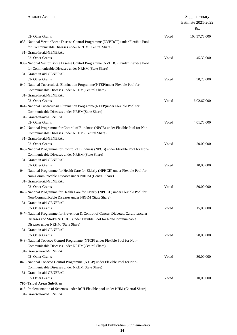| <b>Abstract Account</b>                                                              |       | Supplementary<br><b>Estimate 2021-2022</b><br>Rs. |
|--------------------------------------------------------------------------------------|-------|---------------------------------------------------|
| 02- Other Grants                                                                     | Voted | 103, 37, 78, 000                                  |
| 038- National Vector Borne Disease Control Programme (NVBDCP) under Flexible Pool    |       |                                                   |
| for Communicable Diseases under NRHM (Central Share)                                 |       |                                                   |
| 31- Grants-in-aid-GENERAL                                                            |       |                                                   |
| 02- Other Grants                                                                     | Voted | 45,33,000                                         |
| 039- National Vector Borne Disease Control Programme (NVBDCP) under Flexible Pool    |       |                                                   |
| for Communicable Diseases under NRHM (State Share)                                   |       |                                                   |
| 31- Grants-in-aid-GENERAL                                                            |       |                                                   |
| 02- Other Grants                                                                     | Voted | 30,23,000                                         |
| 040- National Tuberculosis Elimination Programme(NTEP)under Flexible Pool for        |       |                                                   |
| Communicable Diseases under NRHM(Central Share)                                      |       |                                                   |
| 31- Grants-in-aid-GENERAL                                                            |       |                                                   |
| 02- Other Grants                                                                     | Voted | 6,02,67,000                                       |
| 041- National Tuberculosis Elimination Programme(NTEP)under Flexible Pool for        |       |                                                   |
| Communicable Diseases under NRHM(State Share)                                        |       |                                                   |
| 31- Grants-in-aid-GENERAL                                                            |       |                                                   |
| 02- Other Grants                                                                     | Voted | 4,01,78,000                                       |
| 042- National Programme for Control of Blindness (NPCB) under Flexible Pool for Non- |       |                                                   |
| Communicable Diseases under NRHM (Central Share)                                     |       |                                                   |
| 31- Grants-in-aid-GENERAL                                                            |       |                                                   |
| 02- Other Grants                                                                     | Voted | 20,00,000                                         |
| 043- National Programme for Control of Blindness (NPCB) under Flexible Pool for Non- |       |                                                   |
| Communicable Diseases under NRHM (State Share)                                       |       |                                                   |
| 31- Grants-in-aid-GENERAL                                                            |       |                                                   |
| 02- Other Grants                                                                     | Voted | 10,00,000                                         |
| 044- National Programme for Health Care for Elderly (NPHCE) under Flexible Pool for  |       |                                                   |
| Non-Communicable Diseases under NRHM (Central Share)                                 |       |                                                   |
| 31- Grants-in-aid-GENERAL                                                            |       |                                                   |
| 02- Other Grants                                                                     | Voted |                                                   |
|                                                                                      |       | 50,00,000                                         |
| 045- National Programme for Health Care for Elderly (NPHCE) under Flexible Pool for  |       |                                                   |
| Non-Communicable Diseases under NRHM (State Share)<br>31- Grants-in-aid-GENERAL      |       |                                                   |
|                                                                                      |       |                                                   |
| 02- Other Grants                                                                     | Voted | 15,00,000                                         |
| 047- National Programme for Prevention & Control of Cancer, Diabetes, Cardiovascular |       |                                                   |
| Diseases and Stroke(NPCDCS)under Flexible Pool for Non-Communicable                  |       |                                                   |
| Diseases under NRHM (State Share)                                                    |       |                                                   |
| 31- Grants-in-aid-GENERAL                                                            |       |                                                   |
| 02- Other Grants                                                                     | Voted | 20,00,000                                         |
| 048- National Tobacco Control Programme (NTCP) under Flexible Pool for Non-          |       |                                                   |
| Communicable Diseases under NRHM(Central Share)                                      |       |                                                   |
| 31- Grants-in-aid-GENERAL                                                            |       |                                                   |
| 02- Other Grants                                                                     | Voted | 30,00,000                                         |
| 049- National Tobacco Control Programme (NTCP) under Flexible Pool for Non-          |       |                                                   |
| Communicable Diseases under NRHM(State Share)                                        |       |                                                   |
| 31- Grants-in-aid-GENERAL                                                            |       |                                                   |
| 02- Other Grants                                                                     | Voted | 10,00,000                                         |
| 796- Tribal Areas Sub-Plan                                                           |       |                                                   |
| 015- Implementation of Schemes under RCH Flexible pool under NHM (Central Share)     |       |                                                   |
| 21 Cropte in aid CENED AL                                                            |       |                                                   |

31- Grants-in-aid-GENERAL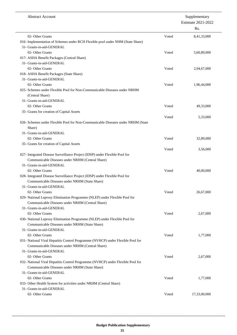| <b>Abstract Account</b>                                                          |       | Supplementary<br>Estimate 2021-2022 |
|----------------------------------------------------------------------------------|-------|-------------------------------------|
|                                                                                  |       | Rs.                                 |
| 02- Other Grants                                                                 | Voted | 8,41,33,000                         |
| 016- Implementation of Schemes under RCH Flexible pool under NHM (State Share)   |       |                                     |
| 31- Grants-in-aid-GENERAL                                                        |       |                                     |
| 02- Other Grants                                                                 | Voted | 5,60,89,000                         |
| 017- ASHA Benefit Packages (Central Share)                                       |       |                                     |
| 31- Grants-in-aid-GENERAL                                                        |       |                                     |
| 02- Other Grants                                                                 | Voted | 2,94,67,000                         |
| 018- ASHA Benefit Packages (State Share)                                         |       |                                     |
| 31- Grants-in-aid-GENERAL                                                        |       |                                     |
| 02- Other Grants                                                                 | Voted | 1,96,44,000                         |
| 025- Schemes under Flexible Pool for Non-Communicable Diseases under NRHM        |       |                                     |
| (Central Share)                                                                  |       |                                     |
| 31- Grants-in-aid-GENERAL                                                        |       |                                     |
| 02- Other Grants                                                                 | Voted | 49,33,000                           |
| 35- Grants for creation of Capital Assets                                        |       |                                     |
|                                                                                  | Voted | 5,33,000                            |
| 026- Schemes under Flexible Pool for Non-Communicable Diseases under NRHM (State |       |                                     |
| Share)                                                                           |       |                                     |
| 31- Grants-in-aid-GENERAL                                                        |       |                                     |
| 02- Other Grants                                                                 | Voted | 32,89,000                           |
| 35- Grants for creation of Capital Assets                                        |       |                                     |
|                                                                                  | Voted | 3,56,000                            |
| 027- Integrated Disease Surveillance Project (IDSP) under Flexible Pool for      |       |                                     |
| Communicable Diseases under NRHM (Central Share)                                 |       |                                     |
| 31- Grants-in-aid-GENERAL                                                        |       |                                     |
| 02- Other Grants                                                                 | Voted | 40,00,000                           |
| 028- Integrated Disease Surveillance Project (IDSP) under Flexible Pool for      |       |                                     |
| Communicable Diseases under NRHM (State Share)                                   |       |                                     |
| 31- Grants-in-aid-GENERAL                                                        |       |                                     |
| 02- Other Grants                                                                 | Voted | 26,67,000                           |
| 029- National Leprosy Elimination Programme (NLEP) under Flexible Pool for       |       |                                     |
| Communicable Diseases under NRHM (Central Share)                                 |       |                                     |
| 31- Grants-in-aid-GENERAL                                                        |       |                                     |
| 02- Other Grants                                                                 | Voted | 2,67,000                            |
| 030- National Leprosy Elimination Programme (NLEP) under Flexible Pool for       |       |                                     |
| Communicable Diseases under NRHM (State Share)                                   |       |                                     |
| 31- Grants-in-aid-GENERAL                                                        |       |                                     |
| 02- Other Grants                                                                 | Voted | 1,77,000                            |
| 031- National Viral Hepatitis Control Programme (NVHCP) under Flexible Pool for  |       |                                     |
| Communicable Diseases under NRHM (Central Share)                                 |       |                                     |
| 31- Grants-in-aid-GENERAL                                                        |       |                                     |
| 02- Other Grants                                                                 | Voted | 2,67,000                            |
| 032- National Viral Hepatitis Control Programme (NVHCP) under Flexible Pool for  |       |                                     |
| Communicable Diseases under NRHM (State Share)                                   |       |                                     |
| 31- Grants-in-aid-GENERAL                                                        |       |                                     |
| 02- Other Grants                                                                 | Voted | 1,77,000                            |
| 033- Other Health System for activities under NRHM (Central Share)               |       |                                     |
| 31- Grants-in-aid-GENERAL                                                        |       |                                     |
| 02- Other Grants                                                                 | Voted | 17,33,00,000                        |
|                                                                                  |       |                                     |

 $\overline{a}$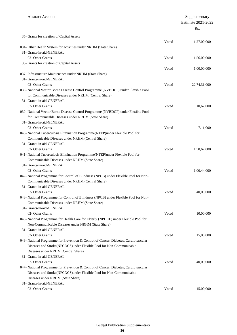| <b>Abstract Account</b>                                                                                                                   |       | Supplementary<br>Estimate 2021-2022<br>Rs. |
|-------------------------------------------------------------------------------------------------------------------------------------------|-------|--------------------------------------------|
| 35- Grants for creation of Capital Assets                                                                                                 |       |                                            |
|                                                                                                                                           | Voted | 1,27,00,000                                |
| 034- Other Health System for activities under NRHM (State Share)                                                                          |       |                                            |
| 31- Grants-in-aid-GENERAL                                                                                                                 |       |                                            |
| 02- Other Grants                                                                                                                          | Voted | 11,56,00,000                               |
| 35- Grants for creation of Capital Assets                                                                                                 | Voted | 1,00,00,000                                |
| 037- Infrastructure Maintenance under NRHM (State Share)                                                                                  |       |                                            |
| 31- Grants-in-aid-GENERAL                                                                                                                 |       |                                            |
| 02- Other Grants                                                                                                                          | Voted | 22,74,31,000                               |
| 038- National Vector Borne Disease Control Programme (NVBDCP) under Flexible Pool                                                         |       |                                            |
| for Communicable Diseases under NRHM (Central Share)                                                                                      |       |                                            |
| 31- Grants-in-aid-GENERAL                                                                                                                 |       |                                            |
| 02- Other Grants                                                                                                                          | Voted | 10,67,000                                  |
| 039- National Vector Borne Disease Control Programme (NVBDCP) under Flexible Pool                                                         |       |                                            |
| for Communicable Diseases under NRHM (State Share)                                                                                        |       |                                            |
| 31- Grants-in-aid-GENERAL                                                                                                                 |       |                                            |
| 02- Other Grants                                                                                                                          | Voted | 7,11,000                                   |
| 040- National Tuberculosis Elimination Programme(NTEP)under Flexible Pool for                                                             |       |                                            |
| Communicable Diseases under NRHM (Central Share)                                                                                          |       |                                            |
| 31- Grants-in-aid-GENERAL                                                                                                                 |       |                                            |
| 02- Other Grants                                                                                                                          | Voted | 1,50,67,000                                |
| 041- National Tuberculosis Elimination Programme(NTEP)under Flexible Pool for                                                             |       |                                            |
| Communicable Diseases under NRHM (State Share)                                                                                            |       |                                            |
| 31- Grants-in-aid-GENERAL                                                                                                                 |       |                                            |
| 02- Other Grants                                                                                                                          | Voted | 1,00,44,000                                |
| 042- National Programme for Control of Blindness (NPCB) under Flexible Pool for Non-                                                      |       |                                            |
| Communicable Diseases under NRHM (Central Share)                                                                                          |       |                                            |
| 31- Grants-in-aid-GENERAL                                                                                                                 |       |                                            |
| 02- Other Grants                                                                                                                          | Voted | 40,00,000                                  |
| 043- National Programme for Control of Blindness (NPCB) under Flexible Pool for Non-                                                      |       |                                            |
| Communicable Diseases under NRHM (State Share)                                                                                            |       |                                            |
| 31- Grants-in-aid-GENERAL<br>02- Other Grants                                                                                             |       |                                            |
|                                                                                                                                           | Voted | 10,00,000                                  |
| 045- National Programme for Health Care for Elderly (NPHCE) under Flexible Pool for<br>Non-Communicable Diseases under NRHM (State Share) |       |                                            |
| 31- Grants-in-aid-GENERAL                                                                                                                 |       |                                            |
| 02- Other Grants                                                                                                                          | Voted | 15,00,000                                  |
| 046- National Programme for Prevention & Control of Cancer, Diabetes, Cardiovascular                                                      |       |                                            |
| Diseases and Stroke(NPCDCS) under Flexible Pool for Non-Communicable                                                                      |       |                                            |
| Diseases under NRHM (Central Share)                                                                                                       |       |                                            |
| 31- Grants-in-aid-GENERAL                                                                                                                 |       |                                            |
| 02- Other Grants                                                                                                                          | Voted | 40,00,000                                  |
| 047- National Programme for Prevention & Control of Cancer, Diabetes, Cardiovascular                                                      |       |                                            |
| Diseases and Stroke(NPCDCS)under Flexible Pool for Non-Communicable                                                                       |       |                                            |
| Diseases under NRHM (State Share)                                                                                                         |       |                                            |
| 31- Grants-in-aid-GENERAL                                                                                                                 |       |                                            |
| 02- Other Grants                                                                                                                          | Voted | 15,00,000                                  |
|                                                                                                                                           |       |                                            |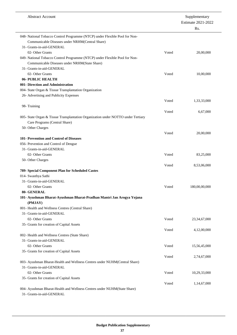| 048- National Tobacco Control Programme (NTCP) under Flexible Pool for Non-<br>Communicable Diseases under NRHM(Central Share)<br>31- Grants-in-aid-GENERAL<br>02- Other Grants<br>049- National Tobacco Control Programme (NTCP) under Flexible Pool for Non-<br>Communicable Diseases under NRHM(State Share)<br>31- Grants-in-aid-GENERAL<br>02- Other Grants<br>06- PUBLIC HEALTH<br>001- Direction and Administration<br>004- State Organ & Tissue Transplantation Organization<br>26- Advertising and Publicity Expenses<br>98-Training<br>005- State Organ & Tissue Transplantation Organization under NOTTO under Tertiary<br>Care Programs (Central Share)<br>50- Other Charges | Voted<br>Voted | 20,00,000     |
|------------------------------------------------------------------------------------------------------------------------------------------------------------------------------------------------------------------------------------------------------------------------------------------------------------------------------------------------------------------------------------------------------------------------------------------------------------------------------------------------------------------------------------------------------------------------------------------------------------------------------------------------------------------------------------------|----------------|---------------|
|                                                                                                                                                                                                                                                                                                                                                                                                                                                                                                                                                                                                                                                                                          |                |               |
|                                                                                                                                                                                                                                                                                                                                                                                                                                                                                                                                                                                                                                                                                          |                |               |
|                                                                                                                                                                                                                                                                                                                                                                                                                                                                                                                                                                                                                                                                                          |                |               |
|                                                                                                                                                                                                                                                                                                                                                                                                                                                                                                                                                                                                                                                                                          |                |               |
|                                                                                                                                                                                                                                                                                                                                                                                                                                                                                                                                                                                                                                                                                          |                |               |
|                                                                                                                                                                                                                                                                                                                                                                                                                                                                                                                                                                                                                                                                                          |                |               |
|                                                                                                                                                                                                                                                                                                                                                                                                                                                                                                                                                                                                                                                                                          |                |               |
|                                                                                                                                                                                                                                                                                                                                                                                                                                                                                                                                                                                                                                                                                          |                | 10,00,000     |
|                                                                                                                                                                                                                                                                                                                                                                                                                                                                                                                                                                                                                                                                                          |                |               |
|                                                                                                                                                                                                                                                                                                                                                                                                                                                                                                                                                                                                                                                                                          |                |               |
|                                                                                                                                                                                                                                                                                                                                                                                                                                                                                                                                                                                                                                                                                          |                |               |
|                                                                                                                                                                                                                                                                                                                                                                                                                                                                                                                                                                                                                                                                                          |                |               |
|                                                                                                                                                                                                                                                                                                                                                                                                                                                                                                                                                                                                                                                                                          | Voted          | 1,33,33,000   |
|                                                                                                                                                                                                                                                                                                                                                                                                                                                                                                                                                                                                                                                                                          |                |               |
|                                                                                                                                                                                                                                                                                                                                                                                                                                                                                                                                                                                                                                                                                          | Voted          | 6,67,000      |
|                                                                                                                                                                                                                                                                                                                                                                                                                                                                                                                                                                                                                                                                                          |                |               |
|                                                                                                                                                                                                                                                                                                                                                                                                                                                                                                                                                                                                                                                                                          |                |               |
|                                                                                                                                                                                                                                                                                                                                                                                                                                                                                                                                                                                                                                                                                          |                |               |
|                                                                                                                                                                                                                                                                                                                                                                                                                                                                                                                                                                                                                                                                                          | Voted          | 20,00,000     |
| 101- Prevention and Control of Diseases                                                                                                                                                                                                                                                                                                                                                                                                                                                                                                                                                                                                                                                  |                |               |
| 056- Prevention and Control of Dengue                                                                                                                                                                                                                                                                                                                                                                                                                                                                                                                                                                                                                                                    |                |               |
| 31- Grants-in-aid-GENERAL                                                                                                                                                                                                                                                                                                                                                                                                                                                                                                                                                                                                                                                                |                |               |
| 02- Other Grants                                                                                                                                                                                                                                                                                                                                                                                                                                                                                                                                                                                                                                                                         | Voted          | 83,25,000     |
| 50- Other Charges                                                                                                                                                                                                                                                                                                                                                                                                                                                                                                                                                                                                                                                                        |                |               |
|                                                                                                                                                                                                                                                                                                                                                                                                                                                                                                                                                                                                                                                                                          | Voted          | 8,53,06,000   |
| 789- Special Component Plan for Scheduled Castes                                                                                                                                                                                                                                                                                                                                                                                                                                                                                                                                                                                                                                         |                |               |
| 014- Swasthya Sathi                                                                                                                                                                                                                                                                                                                                                                                                                                                                                                                                                                                                                                                                      |                |               |
| 31- Grants-in-aid-GENERAL                                                                                                                                                                                                                                                                                                                                                                                                                                                                                                                                                                                                                                                                |                |               |
| 02- Other Grants                                                                                                                                                                                                                                                                                                                                                                                                                                                                                                                                                                                                                                                                         | Voted          | 180,00,00,000 |
| 80- GENERAL                                                                                                                                                                                                                                                                                                                                                                                                                                                                                                                                                                                                                                                                              |                |               |
| 101- Ayushman Bharat-Ayushman Bharat-Pradhan Mantri Jan Arogya Yojana                                                                                                                                                                                                                                                                                                                                                                                                                                                                                                                                                                                                                    |                |               |
| (PMJAY)                                                                                                                                                                                                                                                                                                                                                                                                                                                                                                                                                                                                                                                                                  |                |               |
| 001- Health and Wellness Centres (Central Share)                                                                                                                                                                                                                                                                                                                                                                                                                                                                                                                                                                                                                                         |                |               |
| 31- Grants-in-aid-GENERAL                                                                                                                                                                                                                                                                                                                                                                                                                                                                                                                                                                                                                                                                |                |               |
| 02- Other Grants                                                                                                                                                                                                                                                                                                                                                                                                                                                                                                                                                                                                                                                                         | Voted          | 23,34,67,000  |
| 35- Grants for creation of Capital Assets                                                                                                                                                                                                                                                                                                                                                                                                                                                                                                                                                                                                                                                |                |               |
|                                                                                                                                                                                                                                                                                                                                                                                                                                                                                                                                                                                                                                                                                          | Voted          | 4,12,00,000   |
| 002- Health and Wellness Centres (State Share)                                                                                                                                                                                                                                                                                                                                                                                                                                                                                                                                                                                                                                           |                |               |
| 31- Grants-in-aid-GENERAL                                                                                                                                                                                                                                                                                                                                                                                                                                                                                                                                                                                                                                                                |                |               |
| 02- Other Grants                                                                                                                                                                                                                                                                                                                                                                                                                                                                                                                                                                                                                                                                         | Voted          | 15,56,45,000  |
| 35- Grants for creation of Capital Assets                                                                                                                                                                                                                                                                                                                                                                                                                                                                                                                                                                                                                                                |                |               |
|                                                                                                                                                                                                                                                                                                                                                                                                                                                                                                                                                                                                                                                                                          | Voted          |               |
|                                                                                                                                                                                                                                                                                                                                                                                                                                                                                                                                                                                                                                                                                          |                | 2,74,67,000   |
| 003- Ayushman Bharat-Health and Wellness Centres under NUHM(Central Share)<br>31- Grants-in-aid-GENERAL                                                                                                                                                                                                                                                                                                                                                                                                                                                                                                                                                                                  |                |               |
|                                                                                                                                                                                                                                                                                                                                                                                                                                                                                                                                                                                                                                                                                          |                |               |
| 02- Other Grants                                                                                                                                                                                                                                                                                                                                                                                                                                                                                                                                                                                                                                                                         |                |               |
| 35- Grants for creation of Capital Assets                                                                                                                                                                                                                                                                                                                                                                                                                                                                                                                                                                                                                                                | Voted          | 10,29,33,000  |
|                                                                                                                                                                                                                                                                                                                                                                                                                                                                                                                                                                                                                                                                                          |                |               |
| 004- Ayushman Bharat-Health and Wellness Centres under NUHM(State Share)<br>31- Grants-in-aid-GENERAL                                                                                                                                                                                                                                                                                                                                                                                                                                                                                                                                                                                    | Voted          | 1,14,67,000   |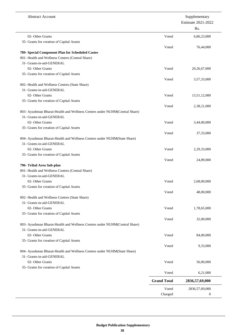| <b>Abstract Account</b>                                                                                                           |                    | Supplementary<br>Estimate 2021-2022<br>Rs. |
|-----------------------------------------------------------------------------------------------------------------------------------|--------------------|--------------------------------------------|
| 02- Other Grants                                                                                                                  | Voted              | 6,86,23,000                                |
| 35- Grants for creation of Capital Assets                                                                                         |                    |                                            |
| 789- Special Component Plan for Scheduled Castes<br>001- Health and Wellness Centres (Central Share)<br>31- Grants-in-aid-GENERAL | Voted              | 76,44,000                                  |
| 02- Other Grants                                                                                                                  | Voted              | 20,26,67,000                               |
| 35- Grants for creation of Capital Assets                                                                                         |                    |                                            |
| 002- Health and Wellness Centres (State Share)<br>31- Grants-in-aid-GENERAL                                                       | Voted              | 3,57,33,000                                |
| 02- Other Grants                                                                                                                  | Voted              | 13,51,12,000                               |
| 35- Grants for creation of Capital Assets                                                                                         | Voted              |                                            |
| 003- Ayushman Bharat-Health and Wellness Centres under NUHM(Central Share)<br>31- Grants-in-aid-GENERAL                           |                    | 2,38,21,000                                |
| 02- Other Grants                                                                                                                  | Voted              | 3,44,00,000                                |
| 35- Grants for creation of Capital Assets                                                                                         | Voted              | 37,33,000                                  |
| 004- Ayushman Bharat-Health and Wellness Centres under NUHM(State Share)<br>31- Grants-in-aid-GENERAL                             |                    |                                            |
| 02- Other Grants<br>35- Grants for creation of Capital Assets                                                                     | Voted              | 2,29,33,000                                |
|                                                                                                                                   | Voted              | 24,89,000                                  |
| 796- Tribal Area Sub-plan                                                                                                         |                    |                                            |
| 001- Health and Wellness Centres (Central Share)<br>31- Grants-in-aid-GENERAL                                                     |                    |                                            |
| 02- Other Grants                                                                                                                  | Voted              | 2,68,00,000                                |
| 35- Grants for creation of Capital Assets                                                                                         | Voted              | 48,00,000                                  |
| 002- Health and Wellness Centres (State Share)                                                                                    |                    |                                            |
| 31- Grants-in-aid-GENERAL                                                                                                         |                    |                                            |
| 02- Other Grants                                                                                                                  | Voted              | 1,78,65,000                                |
| 35- Grants for creation of Capital Assets                                                                                         | Voted              | 32,00,000                                  |
| 003- Ayushman Bharat-Health and Wellness Centres under NUHM(Central Share)                                                        |                    |                                            |
| 31- Grants-in-aid-GENERAL                                                                                                         |                    |                                            |
| 02- Other Grants                                                                                                                  | Voted              | 84,00,000                                  |
| 35- Grants for creation of Capital Assets                                                                                         |                    |                                            |
| 004- Ayushman Bharat-Health and Wellness Centres under NUHM(State Share)<br>31- Grants-in-aid-GENERAL                             | Voted              | 9,33,000                                   |
| 02- Other Grants                                                                                                                  | Voted              | 56,00,000                                  |
| 35- Grants for creation of Capital Assets                                                                                         | Voted              | 6,21,000                                   |
|                                                                                                                                   | <b>Grand Total</b> | 2836,57,69,000                             |
|                                                                                                                                   |                    |                                            |
|                                                                                                                                   | Voted<br>Charged   | 2836,57,69,000<br>$\boldsymbol{0}$         |

 **\_\_\_\_\_\_\_\_\_\_\_\_\_\_\_\_\_\_\_\_\_\_\_\_\_\_\_\_\_\_\_\_\_\_\_\_\_\_\_\_\_\_\_\_\_\_\_\_\_\_\_\_\_\_\_\_\_\_\_\_\_\_\_\_\_\_\_\_\_\_\_\_\_\_\_\_\_\_\_\_\_\_\_\_\_\_\_\_\_\_\_\_\_\_\_\_\_\_\_\_\_\_\_\_\_\_\_\_\_\_\_\_\_\_\_\_\_\_\_**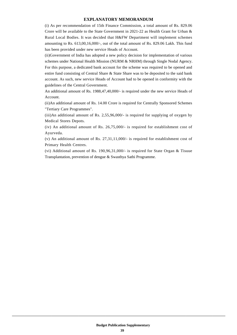#### **EXPLANATORY MEMORANDUM**

(i) As per recommendation of 15th Finance Commission, a total amount of Rs. 829.06 Crore will be available to the State Government in 2021-22 as Health Grant for Urban & Rural Local Bodies. It was decided that H&FW Department will implement schemes amounting to Rs. 613,00,16,000/-, out of the total amount of Rs. 829.06 Lakh. This fund has been provided under new service Heads of Account.

(ii)Government of India has adopted a new policy decision for implementation of various schemes under National Health Mission (NURM & NRHM) through Single Nodal Agency. For this purpose, a dedicated bank account for the scheme was required to be opened and entire fund consisting of Central Share & State Share was to be deposited to the said bank account. As such, new service Heads of Account had to be opened in conformity with the guidelines of the Central Government.

An additional amount of Rs. 1988,47,40,000/- is required under the new service Heads of Account.

(ii)An additional amount of Rs. 14.00 Crore is required for Centrally Sponsored Schemes "Tertiary Care Programmes".

(iii)An additional amount of Rs. 2,55,96,000/- is required for supplying of oxygen by Medical Stores Depots.

(iv) An additional amount of Rs. 26,75,000/- is required for establishment cost of Ayurveda.

(v) An additional amount of Rs. 27,31,11,000/- is required for establishment cost of Primary Health Centres.

(vi) Additional amount of Rs. 190,96,31,000/- is required for State Organ & Tisuue Transplantation, prevention of dengue & Swasthya Sathi Programme.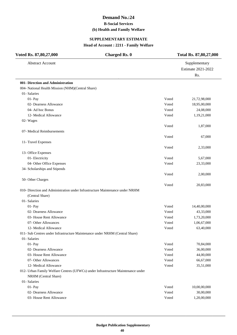#### **B-Social Services**

**(b) Health and Family Welfare**

### **SUPPLEMENTARY ESTIMATE**

**Head of Account : 2211 - Family Welfare**

| Voted Rs. 87,80,27,000                                                       | Charged Rs. 0                                                                    |       | Total Rs. 87,80,27,000                     |
|------------------------------------------------------------------------------|----------------------------------------------------------------------------------|-------|--------------------------------------------|
| <b>Abstract Account</b>                                                      |                                                                                  |       | Supplementary<br>Estimate 2021-2022<br>Rs. |
| 001- Direction and Administration                                            |                                                                                  |       |                                            |
| 004- National Health Mission (NHM)(Central Share)                            |                                                                                  |       |                                            |
| 01-Salaries                                                                  |                                                                                  |       |                                            |
| 01- Pay                                                                      |                                                                                  | Voted | 21,72,98,000                               |
| 02- Dearness Allowance                                                       |                                                                                  | Voted | 18,95,00,000                               |
| 04- Ad hoc Bonus                                                             |                                                                                  | Voted | 24,08,000                                  |
| 12- Medical Allowance                                                        |                                                                                  | Voted | 1,19,21,000                                |
| 02-Wages                                                                     |                                                                                  |       |                                            |
|                                                                              |                                                                                  | Voted | 1,87,000                                   |
| 07- Medical Reimbursements                                                   |                                                                                  |       |                                            |
|                                                                              |                                                                                  | Voted | 67,000                                     |
| 11- Travel Expenses                                                          |                                                                                  |       |                                            |
|                                                                              |                                                                                  | Voted | 2,33,000                                   |
| 13- Office Expenses                                                          |                                                                                  |       |                                            |
| 01- Electricity                                                              |                                                                                  | Voted | 5,67,000                                   |
| 04- Other Office Expenses                                                    |                                                                                  | Voted | 23,33,000                                  |
| 34- Scholarships and Stipends                                                |                                                                                  |       |                                            |
|                                                                              |                                                                                  | Voted | 2,00,000                                   |
| 50- Other Charges                                                            |                                                                                  |       |                                            |
|                                                                              |                                                                                  | Voted | 20,83,000                                  |
|                                                                              | 010- Direction and Administration under Infrastructure Maintenance under NRHM    |       |                                            |
| (Central Share)                                                              |                                                                                  |       |                                            |
| 01-Salaries                                                                  |                                                                                  |       |                                            |
| $01 - Pay$                                                                   |                                                                                  | Voted | 14,40,00,000                               |
| 02- Dearness Allowance                                                       |                                                                                  | Voted | 43,33,000                                  |
| 03- House Rent Allowance                                                     |                                                                                  | Voted | 1,73,20,000                                |
| 07- Other Allowances                                                         |                                                                                  | Voted | 1,06,67,000                                |
| 12- Medical Allowance                                                        |                                                                                  | Voted | 63,40,000                                  |
| 011- Sub Centres under Infrastructure Maintenance under NRHM (Central Share) |                                                                                  |       |                                            |
| 01-Salaries                                                                  |                                                                                  |       |                                            |
| 01- Pay                                                                      |                                                                                  | Voted | 70,84,000                                  |
| 02- Dearness Allowance                                                       |                                                                                  | Voted | 36,00,000                                  |
| 03- House Rent Allowance                                                     |                                                                                  | Voted | 44,00,000                                  |
| 07- Other Allowances                                                         |                                                                                  | Voted | 66,67,000                                  |
| 12- Medical Allowance                                                        |                                                                                  | Voted | 35,51,000                                  |
|                                                                              | 012- Urban Family Welfare Centres (UFWCs) under Infrastructure Maintenance under |       |                                            |
| NRHM (Central Share)                                                         |                                                                                  |       |                                            |
| 01-Salaries                                                                  |                                                                                  |       |                                            |
| 01- Pay                                                                      |                                                                                  | Voted | 10,00,00,000                               |
| 02- Dearness Allowance                                                       |                                                                                  | Voted | 30,00,000                                  |
| 03- House Rent Allowance                                                     |                                                                                  | Voted | 1,20,00,000                                |
|                                                                              |                                                                                  |       |                                            |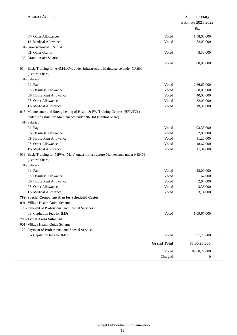Abstract Account Supplementary Supplementary Supplementary Supplementary Estimate 2021-2022 Rs. . 07- Other Allowances and the state of the state of the US and the Voted and 1,58,68,000 of the US and the US and the US and the US and the US and the US and the US and the US and the US and the US and the US and the US and 12- Medical Allowance Voted 82,00,000 31- Grants-in-aid-GENERAL 02- Other Grants 5,33,000 36- Grants-in-aid-Salaries Voted 3,00,00,000 014- Basic Training for ANM/LHVs under Infrastructure Maintenance under NRHM (Central Share) 01- Salaries 01- Pay 2,66,67,000 2,66,67,000 02- Dearness Allowance Voted 8,00,000 03- House Rent Allowance Voted 40,00,000 07- Other Allowances and the state of the state of the state of the state of the state of the state of the state of the state of the state of the state of the state of the state of the state of the state of the state of th 12- Medical Allowance Voted 19,39,000 015- Maintenance and Strengthening of Health & FW Training Centres (HFWTCs) under Infrastructure Maintenance under NRHM (Central Share) 01- Salaries 01- Pay 3,33,000 Pay 93,33,000 Pay 93,33,000 Pay 93,33,000 Pay 93,33,000 Pay 93,33,000 Pay 93,33,000 Pay 93,33,000 02- Dearness Allowance Voted 2,80,000 03- House Rent Allowance Voted 11,20,000 07- Other Allowances and the state of the state of the state of the state of the state of the state of the state of the state of the state of the state of the state of the state of the state of the state of the state of th 12- Medical Allowance Voted 11,34,000 016- Basic Training for MPWs (Male) under Infrastructure Maintenance under NRHM (Central Share) 01- Salaries 01- Pay Voted 22,00,000 02- Dearness Allowance Voted 67,000 03- House Rent Allowance Voted 2,67,000 07- Other Allowances Voted 3,33,000 12- Medical Allowance Voted 3,14,000 **789- Special Component Plan for Scheduled Castes** 001- Village Health Guide Scheme 28- Payment of Professional and Special Services 01- Capitation fees for IMPs  $\qquad \qquad$  Voted  $1,09,67,000$ **796- Tribal Areas Sub-Plan** 001- Village Health Guide Scheme 28- Payment of Professional and Special Services 01- Capitation fees for IMPs 30 and 20179,000 and 20179,000 and 20179,000 and 20179,000 and 20179,000 and 20179,000 and 20179,000 and 20179,000 and 20179,000 and 20179,000 and 20179,000 and 20179,000 and 20179,000 and 2017 **Grand Total 87,80,27,000**  Voted 87,80,27,000 Charged 0

.

.

.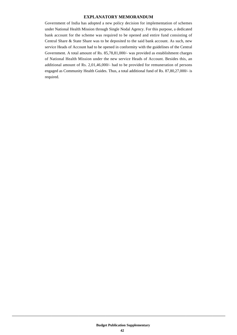#### **EXPLANATORY MEMORANDUM**

Government of India has adopted a new policy decision for implementation of schemes under National Health Mission through Single Nodal Agency. For this purpose, a dedicated bank account for the scheme was required to be opened and entire fund consisting of Central Share & State Share was to be deposited to the said bank account. As such, new service Heads of Account had to be opened in conformity with the guidelines of the Central Government. A total amount of Rs. 85,78,81,000/- was provided as establishment charges of National Health Mission under the new service Heads of Account. Besides this, an additional amount of Rs. 2,01,46,000/- had to be provided for remuneration of persons engaged as Community Health Guides. Thus, a total additional fund of Rs. 87,80,27,000/- is required.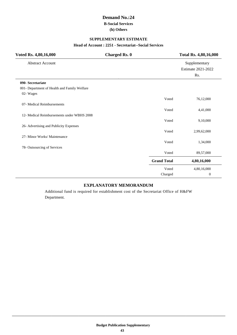**B-Social Services**

### **(h) Others**

### **SUPPLEMENTARY ESTIMATE**

#### **Head of Account : 2251 - Secretariat--Social Services**

| Voted Rs. 4,80,16,000                        | <b>Charged Rs. 0</b> |                    | Total Rs. 4,80,16,000               |
|----------------------------------------------|----------------------|--------------------|-------------------------------------|
| <b>Abstract Account</b>                      |                      |                    | Supplementary<br>Estimate 2021-2022 |
|                                              |                      |                    | Rs.                                 |
| 090- Secretariate                            |                      |                    |                                     |
| 001- Department of Health and Family Welfare |                      |                    |                                     |
| 02-Wages                                     |                      |                    |                                     |
|                                              |                      | Voted              | 76,12,000                           |
| 07- Medical Reimbursements                   |                      |                    |                                     |
|                                              |                      | Voted              | 4,41,000                            |
| 12- Medical Reimbursements under WBHS 2008   |                      |                    |                                     |
|                                              |                      | Voted              | 9,10,000                            |
| 26- Advertising and Publicity Expenses       |                      | Voted              |                                     |
| 27- Minor Works/ Maintenance                 |                      |                    | 2,99,62,000                         |
|                                              |                      | Voted              | 1,34,000                            |
| 78- Outsourcing of Services                  |                      |                    |                                     |
|                                              |                      | Voted              | 89,57,000                           |
|                                              |                      | <b>Grand Total</b> | 4,80,16,000                         |
|                                              |                      | Voted              | 4,80,16,000                         |
|                                              |                      | Charged            | $\mathbf{0}$                        |

# **EXPLANATORY MEMORANDUM**

Additional fund is required for establishment cost of the Secretariat Office of H&FW Department.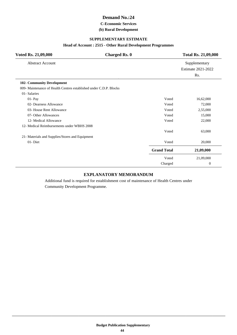### **C-Economic Services**

#### **(b) Rural Development**

#### **SUPPLEMENTARY ESTIMATE**

#### **Head of Account : 2515 - Other Rural Development Programmes**

| Voted Rs. 21,09,000                                                | Charged Rs. 0 |                    | <b>Total Rs. 21,09,000</b>          |
|--------------------------------------------------------------------|---------------|--------------------|-------------------------------------|
| <b>Abstract Account</b>                                            |               |                    | Supplementary<br>Estimate 2021-2022 |
|                                                                    |               |                    | Rs.                                 |
| 102- Community Development                                         |               |                    |                                     |
| 009- Maintenance of Health Centres established under C.D.P. Blocks |               |                    |                                     |
| 01-Salaries                                                        |               |                    |                                     |
| $01 - Pay$                                                         |               | Voted              | 16,62,000                           |
| 02- Dearness Allowance                                             |               | Voted              | 72,000                              |
| 03- House Rent Allowance                                           |               | Voted              | 2,55,000                            |
| 07- Other Allowances                                               |               | Voted              | 15,000                              |
| 12- Medical Allowance                                              |               | Voted              | 22,000                              |
| 12- Medical Reimbursements under WBHS 2008                         |               |                    |                                     |
|                                                                    |               | Voted              | 63,000                              |
| 21- Materials and Supplies/Stores and Equipment                    |               |                    |                                     |
| 01-Diet                                                            |               | Voted              | 20,000                              |
|                                                                    |               | <b>Grand Total</b> | 21,09,000                           |
|                                                                    |               | Voted              | 21,09,000                           |
|                                                                    |               | Charged            | $\boldsymbol{0}$                    |

### **EXPLANATORY MEMORANDUM**

Additional fund is required for establishment cost of maintenance of Health Centres under Community Development Programme.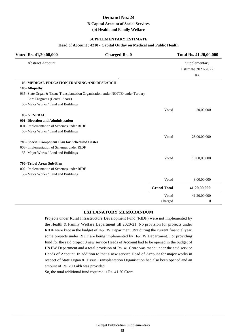**B-Capital Account of Social Services (b) Health and Family Welfare**

#### **SUPPLEMENTARY ESTIMATE**

#### **Head of Account : 4210 - Capital Outlay on Medical and Public Health**

| Voted Rs. 41,20,00,000                           | Charged Rs. 0                                                                     |                    | Total Rs. 41,20,00,000    |
|--------------------------------------------------|-----------------------------------------------------------------------------------|--------------------|---------------------------|
| <b>Abstract Account</b>                          |                                                                                   |                    | Supplementary             |
|                                                  |                                                                                   |                    | <b>Estimate 2021-2022</b> |
|                                                  |                                                                                   |                    | Rs.                       |
| 03- MEDICAL EDUCATION, TRAINING AND RESEARCH     |                                                                                   |                    |                           |
| 105-Allopathy                                    |                                                                                   |                    |                           |
|                                                  | 035- State Organ & Tissue Transplantation Organization under NOTTO under Tertiary |                    |                           |
| Care Programs (Central Share)                    |                                                                                   |                    |                           |
| 53- Major Works / Land and Buildings             |                                                                                   |                    |                           |
|                                                  |                                                                                   | Voted              | 20,00,000                 |
| 80- GENERAL                                      |                                                                                   |                    |                           |
| 001- Direction and Administration                |                                                                                   |                    |                           |
| 001- Implementation of Schemes under RIDF        |                                                                                   |                    |                           |
| 53- Major Works / Land and Buildings             |                                                                                   |                    |                           |
|                                                  |                                                                                   | Voted              | 28,00,00,000              |
| 789- Special Component Plan for Scheduled Castes |                                                                                   |                    |                           |
| 003- Implementation of Schemes under RIDF        |                                                                                   |                    |                           |
| 53- Major Works / Land and Buildings             |                                                                                   |                    |                           |
|                                                  |                                                                                   | Voted              | 10,00,00,000              |
| 796- Tribal Areas Sub-Plan                       |                                                                                   |                    |                           |
| 002- Implementation of Schemes under RIDF        |                                                                                   |                    |                           |
| 53- Major Works / Land and Buildings             |                                                                                   |                    |                           |
|                                                  |                                                                                   | Voted              | 3,00,00,000               |
|                                                  |                                                                                   | <b>Grand Total</b> | 41,20,00,000              |
|                                                  |                                                                                   | Voted              | 41,20,00,000              |
|                                                  |                                                                                   | Charged            | $\boldsymbol{0}$          |

### **EXPLANATORY MEMORANDUM**

Projects under Rural Infrastructure Development Fund (RIDF) were not implemented by the Health & Family Welfare Department till 2020-21. No provision for projects under RIDF were kept in the budget of H&FW Department. But during the current financial year, some projects under RIDF are being implemented by H&FW Department. For providing fund for the said project 3 new service Heads of Account had to be opened in the budget of H&FW Department and a total provision of Rs. 41 Crore was made under the said service Heads of Account. In addition to that a new service Head of Account for major works in respect of State Organ & Tissue Transplantation Organisation had also been opened and an amount of Rs. 20 Lakh was provided.

So, the total additional fund required is Rs. 41.20 Crore.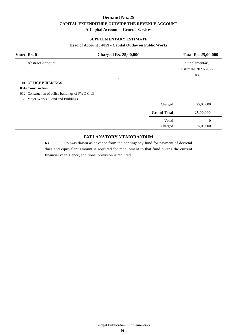# **Demand No.:25 CAPITAL EXPENDITURE OUTSIDE THE REVENUE ACCOUNT A-Capital Account of General Services**

#### **SUPPLEMENTARY ESTIMATE**

#### **Head of Account : 4059 - Capital Outlay on Public Works**

| Voted Rs. 0                                        | <b>Charged Rs. 25,00,000</b> |                    | <b>Total Rs. 25,00,000</b> |
|----------------------------------------------------|------------------------------|--------------------|----------------------------|
| <b>Abstract Account</b>                            |                              |                    | Supplementary              |
|                                                    |                              |                    | Estimate 2021-2022         |
|                                                    |                              |                    | Rs.                        |
| 01- OFFICE BUILDINGS                               |                              |                    |                            |
| 051- Construction                                  |                              |                    |                            |
| 012- Construction of office buildings of PWD Civil |                              |                    |                            |
| 53- Major Works / Land and Buildings               |                              |                    |                            |
|                                                    |                              | Charged            | 25,00,000                  |
|                                                    |                              | <b>Grand Total</b> | 25,00,000                  |
|                                                    |                              | Voted              | $\theta$                   |
|                                                    |                              | Charged            | 25,00,000                  |

### **EXPLANATORY MEMORANDUM**

.

Rs 25,00,000/- was drawn as advance from the contingency fund for payment of decretal dues and equivalent amount is required for recoupment to that fund during the current financial year. Hence, additional provision is required.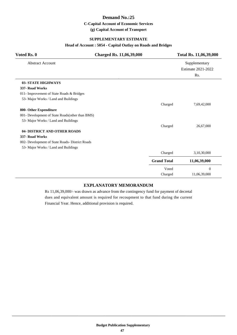**C-Capital Account of Economic Services**

**(g) Capital Account of Transport**

### **SUPPLEMENTARY ESTIMATE**

#### **Head of Account : 5054 - Capital Outlay on Roads and Bridges**

| Voted Rs. 0                                     | <b>Charged Rs. 11,06,39,000</b> | Total Rs. 11,06,39,000                     |
|-------------------------------------------------|---------------------------------|--------------------------------------------|
| <b>Abstract Account</b>                         |                                 | Supplementary<br>Estimate 2021-2022<br>Rs. |
| <b>03- STATE HIGHWAYS</b>                       |                                 |                                            |
| 337- Road Works                                 |                                 |                                            |
| 011- Improvement of State Roads & Bridges       |                                 |                                            |
| 53- Major Works / Land and Buildings            |                                 |                                            |
|                                                 | Charged                         | 7,69,42,000                                |
| 800- Other Expenditure                          |                                 |                                            |
| 001- Development of State Roads(other than BMS) |                                 |                                            |
| 53- Major Works / Land and Buildings            |                                 |                                            |
|                                                 | Charged                         | 26,67,000                                  |
| 04- DISTRICT AND OTHER ROADS                    |                                 |                                            |
| 337- Road Works                                 |                                 |                                            |
| 002- Development of State Roads- District Roads |                                 |                                            |
| 53- Major Works / Land and Buildings            |                                 |                                            |
|                                                 | Charged                         | 3,10,30,000                                |
|                                                 | <b>Grand Total</b>              | 11,06,39,000                               |
|                                                 | Voted                           | $\overline{0}$                             |
|                                                 | Charged                         | 11,06,39,000                               |

### **EXPLANATORY MEMORANDUM**

Rs 11,06,39,000/- was drawn as advance from the contingency fund for payment of decretal dues and equivalent amount is required for recoupment to that fund during the current Financial Year. Hence, additional provision is required.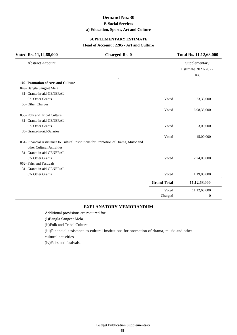# **B-Social Services**

**a) Education, Sports, Art and Culture**

### **SUPPLEMENTARY ESTIMATE**

**Head of Account : 2205 - Art and Culture**

| Voted Rs. 11,12,68,000                                                               | <b>Charged Rs. 0</b> | Total Rs. 11,12,68,000              |
|--------------------------------------------------------------------------------------|----------------------|-------------------------------------|
| <b>Abstract Account</b>                                                              |                      | Supplementary<br>Estimate 2021-2022 |
|                                                                                      |                      | Rs.                                 |
| 102- Promotion of Arts and Culture                                                   |                      |                                     |
| 049- Bangla Sangeet Mela                                                             |                      |                                     |
| 31- Grants-in-aid-GENERAL                                                            |                      |                                     |
| 02- Other Grants                                                                     | Voted                | 23,33,000                           |
| 50- Other Charges                                                                    |                      |                                     |
|                                                                                      | Voted                | 6,98,35,000                         |
| 050- Folk and Tribal Culture                                                         |                      |                                     |
| 31- Grants-in-aid-GENERAL                                                            |                      |                                     |
| 02- Other Grants                                                                     | Voted                | 3,00,000                            |
|                                                                                      |                      |                                     |
| 36- Grants-in-aid-Salaries                                                           |                      |                                     |
|                                                                                      | Voted                | 45,00,000                           |
| 051- Financial Assistance to Cultural Institutions for Promotion of Drama, Music and |                      |                                     |
| other Cultural Activities                                                            |                      |                                     |
| 31- Grants-in-aid-GENERAL                                                            |                      |                                     |
| 02- Other Grants                                                                     | Voted                | 2,24,00,000                         |
| 052- Fairs and Festivals                                                             |                      |                                     |
| 31- Grants-in-aid-GENERAL                                                            |                      |                                     |
| 02- Other Grants                                                                     | Voted                | 1,19,00,000                         |
|                                                                                      | <b>Grand Total</b>   | 11,12,68,000                        |
|                                                                                      | Voted                | 11,12,68,000                        |
|                                                                                      | Charged              | $\boldsymbol{0}$                    |

### **EXPLANATORY MEMORANDUM**

.

Additional provisions are required for:

(I)Bangla Sangeet Mela.

(ii)Folk and Tribal Culture.

(iii)Financial assistance to cultural institutions for promotion of drama, music and other

cultural activities.

(iv)Fairs and festivals.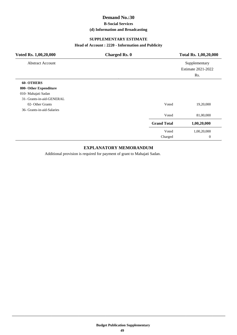#### **B-Social Services**

### **(d) Information and Broadcasting**

### **SUPPLEMENTARY ESTIMATE**

### **Head of Account : 2220 - Information and Publicity**

| Voted Rs. 1,00,20,000      | Charged Rs. 0 |                    | Total Rs. 1,00,20,000                      |
|----------------------------|---------------|--------------------|--------------------------------------------|
| <b>Abstract Account</b>    |               |                    | Supplementary<br>Estimate 2021-2022<br>Rs. |
| <b>60- OTHERS</b>          |               |                    |                                            |
| 800- Other Expenditure     |               |                    |                                            |
| 010- Mahajati Sadan        |               |                    |                                            |
| 31- Grants-in-aid-GENERAL  |               |                    |                                            |
| 02- Other Grants           |               | Voted              | 19,20,000                                  |
| 36- Grants-in-aid-Salaries |               |                    |                                            |
|                            |               | Voted              | 81,00,000                                  |
|                            |               | <b>Grand Total</b> | 1,00,20,000                                |
|                            |               | Voted              | 1,00,20,000                                |
|                            |               | Charged            | $\boldsymbol{0}$                           |

### **EXPLANATORY MEMORANDUM**

.

Additional provision is required for payment of grant to Mahajati Sadan.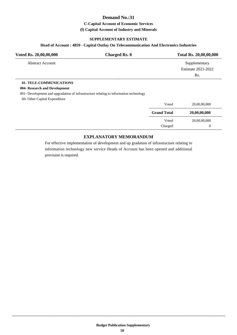### **C-Capital Account of Economic Services**

#### **(f) Capital Account of Industry and Minerals**

### **SUPPLEMENTARY ESTIMATE**

#### **Head of Account : 4859 - Capital Outlay On Telecommunication And Electronics Industries**

| Voted Rs. 20,00,00,000        | Charged Rs. 0                                                                         |                    | Total Rs. 20,00,00,000 |
|-------------------------------|---------------------------------------------------------------------------------------|--------------------|------------------------|
| <b>Abstract Account</b>       |                                                                                       |                    | Supplementary          |
|                               |                                                                                       |                    | Estimate 2021-2022     |
|                               |                                                                                       |                    | Rs.                    |
| 01- TELE-COMMUNICATIONS       |                                                                                       |                    |                        |
| 004- Research and Development |                                                                                       |                    |                        |
|                               | 001- Development and upgradation of infrastructure relating to information technology |                    |                        |
| 60- Other Capital Expenditure |                                                                                       |                    |                        |
|                               |                                                                                       | Voted              | 20,00,00,000           |
|                               |                                                                                       | <b>Grand Total</b> | 20,00,00,000           |
|                               |                                                                                       | Voted              | 20,00,00,000           |
|                               |                                                                                       | Charged            | $\theta$               |

### **EXPLANATORY MEMORANDUM**

.

For effective implementation of development and up gradation of infrastructure relating to information technology new service Heads of Account has been opened and additional provision is required.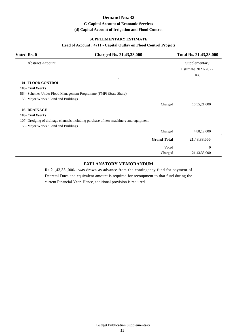# **C-Capital Account of Economic Services**

## **(d) Capital Account of Irrigation and Flood Control**

### **SUPPLEMENTARY ESTIMATE**

### **Head of Account : 4711 - Capital Outlay on Flood Control Projects**

| Voted Rs. 0                          | <b>Charged Rs. 21,43,33,000</b>                                                      |                    | Total Rs. 21,43,33,000 |
|--------------------------------------|--------------------------------------------------------------------------------------|--------------------|------------------------|
| <b>Abstract Account</b>              |                                                                                      |                    | Supplementary          |
|                                      |                                                                                      |                    | Estimate 2021-2022     |
|                                      |                                                                                      |                    | Rs.                    |
| 01- FLOOD CONTROL                    |                                                                                      |                    |                        |
| 103- Civil Works                     |                                                                                      |                    |                        |
|                                      | 564- Schemes Under Flood Management Programme (FMP) (State Share)                    |                    |                        |
| 53- Major Works / Land and Buildings |                                                                                      |                    |                        |
|                                      |                                                                                      | Charged            | 16,55,21,000           |
| 03- DRAINAGE                         |                                                                                      |                    |                        |
| 103- Civil Works                     |                                                                                      |                    |                        |
|                                      | 107- Dredging of drainage channels including purchase of new machinery and equipment |                    |                        |
| 53- Major Works / Land and Buildings |                                                                                      |                    |                        |
|                                      |                                                                                      | Charged            | 4,88,12,000            |
|                                      |                                                                                      | <b>Grand Total</b> | 21,43,33,000           |
|                                      |                                                                                      | Voted              | $\overline{0}$         |
|                                      |                                                                                      | Charged            | 21,43,33,000           |

### **EXPLANATORY MEMORANDUM**

.

Rs 21,43,33,,000/- was drawn as advance from the contingency fund for payment of Decretal Dues and equivalent amount is required for recoupment to that fund during the current Financial Year. Hence, additional provision is required.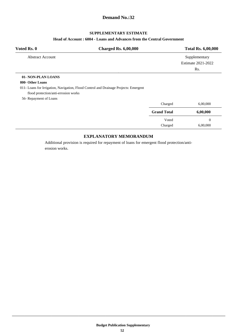### **SUPPLEMENTARY ESTIMATE**

#### **Head of Account : 6004 - Loans and Advances from the Central Government**

| Voted Rs. 0                          | <b>Charged Rs. 6,00,000</b>                                                          |                    | <b>Total Rs. 6,00,000</b> |
|--------------------------------------|--------------------------------------------------------------------------------------|--------------------|---------------------------|
| <b>Abstract Account</b>              |                                                                                      |                    | Supplementary             |
|                                      |                                                                                      |                    | Estimate 2021-2022        |
|                                      |                                                                                      |                    | Rs.                       |
| 01- NON-PLAN LOANS                   |                                                                                      |                    |                           |
| 800- Other Loans                     |                                                                                      |                    |                           |
|                                      | 011- Loans for Irrigation, Navigation, Flood Control and Drainage Projects: Emergent |                    |                           |
| flood protection/anti-errosion works |                                                                                      |                    |                           |
| 56- Repayment of Loans               |                                                                                      |                    |                           |
|                                      |                                                                                      | Charged            | 6,00,000                  |
|                                      |                                                                                      | <b>Grand Total</b> | 6,00,000                  |
|                                      |                                                                                      | Voted              | $\theta$                  |

#### **EXPLANATORY MEMORANDUM**

Charged 6,00,000

.

Additional provision is required for repayment of loans for emergent flood protection/antierosion works.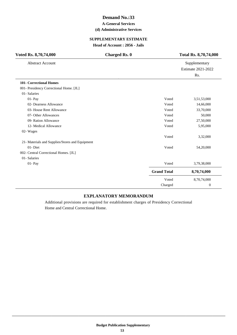**A-General Services**

**(d) Administrative Services**

### **SUPPLEMENTARY ESTIMATE**

**Head of Account : 2056 - Jails**

| Voted Rs. 8,70,74,000                           | <b>Charged Rs. 0</b> |                    | Total Rs. 8,70,74,000                      |
|-------------------------------------------------|----------------------|--------------------|--------------------------------------------|
| <b>Abstract Account</b>                         |                      |                    | Supplementary<br>Estimate 2021-2022<br>Rs. |
| <b>101- Correctional Homes</b>                  |                      |                    |                                            |
| 001- Presidency Correctional Home. [JL]         |                      |                    |                                            |
| 01-Salaries                                     |                      |                    |                                            |
| $01 - Pay$                                      |                      | Voted              | 3,51,53,000                                |
| 02- Dearness Allowance                          |                      | Voted              | 14,66,000                                  |
| 03- House Rent Allowance                        |                      | Voted              | 33,70,000                                  |
| 07- Other Allowances                            |                      | Voted              | 50,000                                     |
| 09- Ration Allowance                            |                      | Voted              | 27,50,000                                  |
| 12- Medical Allowance                           |                      | Voted              | 5,95,000                                   |
| 02-Wages                                        |                      |                    |                                            |
|                                                 |                      | Voted              | 3,32,000                                   |
| 21- Materials and Supplies/Stores and Equipment |                      |                    |                                            |
| 01-Diet                                         |                      | Voted              | 54,20,000                                  |
| 002- Central Correctional Homes. [JL]           |                      |                    |                                            |
| 01-Salaries                                     |                      |                    |                                            |
| 01- Pay                                         |                      | Voted              | 3,79,38,000                                |
|                                                 |                      | <b>Grand Total</b> | 8,70,74,000                                |
|                                                 |                      | Voted              | 8,70,74,000                                |
|                                                 |                      | Charged            | $\boldsymbol{0}$                           |

## **EXPLANATORY MEMORANDUM**

Additional provisions are required for establishment charges of Presidency Correctional Home and Central Correctional Home.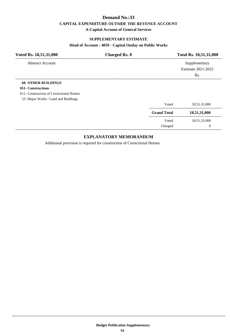# **Demand No.:33 CAPITAL EXPENDITURE OUTSIDE THE REVENUE ACCOUNT A-Capital Account of General Services**

#### **SUPPLEMENTARY ESTIMATE**

#### **Head of Account : 4059 - Capital Outlay on Public Works**

| Voted Rs. 18,51,31,000                  | <b>Charged Rs. 0</b> |                    | Total Rs. 18,51,31,000 |
|-----------------------------------------|----------------------|--------------------|------------------------|
| <b>Abstract Account</b>                 |                      |                    | Supplementary          |
|                                         |                      |                    | Estimate 2021-2022     |
|                                         |                      |                    | Rs.                    |
| <b>60- OTHER BUILDINGS</b>              |                      |                    |                        |
| 051- Constructions                      |                      |                    |                        |
| 011- Construction of Correctional Homes |                      |                    |                        |
| 53- Major Works / Land and Buildings    |                      |                    |                        |
|                                         |                      | Voted              | 18,51,31,000           |
|                                         |                      | <b>Grand Total</b> | 18,51,31,000           |
|                                         |                      | Voted              | 18,51,31,000           |
|                                         |                      | Charged            | $\boldsymbol{0}$       |

#### **EXPLANATORY MEMORANDUM**

.

Additional provision is required for construction of Correctional Homes.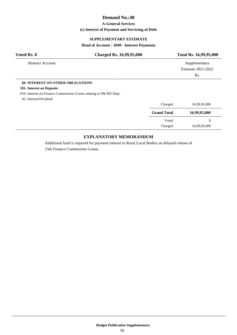### **A-General Services (c) Interest of Payment and Servicing of Debt**

#### **SUPPLEMENTARY ESTIMATE**

### **Head of Account : 2049 - Interest Payments**

.

| Voted Rs. 0                                                        | <b>Charged Rs. 16,99,95,000</b> | Total Rs. 16,99,95,000 |
|--------------------------------------------------------------------|---------------------------------|------------------------|
| Abstract Account                                                   |                                 | Supplementary          |
|                                                                    |                                 | Estimate 2021-2022     |
|                                                                    |                                 | Rs.                    |
| <b>60- INTEREST ON OTHER OBLIGATIONS</b>                           |                                 |                        |
| 101- Interest on Deposits                                          |                                 |                        |
| 010- Interest on Finance Commission Grants relating to P& RD Dept. |                                 |                        |
| 45- Interest/Dividend                                              |                                 |                        |

| 16,99,95,000   | Charged            |
|----------------|--------------------|
| 16,99,95,000   | <b>Grand Total</b> |
| $\overline{0}$ | Voted              |
| 16,99,95,000   | Charged            |

### **EXPLANATORY MEMORANDUM**

Additional fund is required for payment interest to Rural Local Bodies on delayed release of 15th Finance Commission Grants.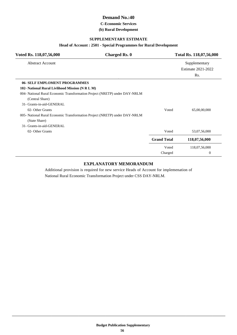### **C-Economic Services**

#### **(b) Rural Development**

#### **SUPPLEMENTARY ESTIMATE**

#### **Head of Account : 2501 - Special Programmes for Rural Development**

| Voted Rs. 118,07,56,000                                                                                                                                                                                                                                                    | Charged Rs. 0 |                    | Total Rs. 118,07,56,000                    |
|----------------------------------------------------------------------------------------------------------------------------------------------------------------------------------------------------------------------------------------------------------------------------|---------------|--------------------|--------------------------------------------|
| <b>Abstract Account</b>                                                                                                                                                                                                                                                    |               |                    | Supplementary<br>Estimate 2021-2022<br>Rs. |
| <b>06- SELF EMPLOMENT PROGRAMMES</b><br>102- National Rural Livlihood Mission (N R L M)                                                                                                                                                                                    |               |                    |                                            |
| 004- National Rural Economic Transformation Project (NRETP) under DAY-NRLM<br>(Central Share)<br>31- Grants-in-aid-GENERAL<br>02- Other Grants<br>005- National Rural Economic Transformation Project (NRETP) under DAY-NRLM<br>(State Share)<br>31- Grants-in-aid-GENERAL |               | Voted              | 65,00,00,000                               |
| 02- Other Grants                                                                                                                                                                                                                                                           |               | Voted              | 53,07,56,000                               |
|                                                                                                                                                                                                                                                                            |               | <b>Grand Total</b> | 118,07,56,000                              |
|                                                                                                                                                                                                                                                                            |               | Voted<br>Charged   | 118,07,56,000<br>$\boldsymbol{0}$          |

### **EXPLANATORY MEMORANDUM**

Additional provision is required for new service Heads of Account for implemenation of National Rural Economic Transformation Project under CSS DAY-NRLM.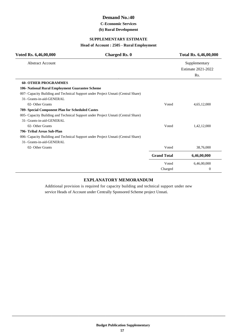**C-Economic Services**

### **(b) Rural Development**

### **SUPPLEMENTARY ESTIMATE**

**Head of Account : 2505 - Rural Employment**

| Voted Rs. 6,46,00,000                                                             | Charged Rs. 0 |                    | Total Rs. 6,46,00,000 |
|-----------------------------------------------------------------------------------|---------------|--------------------|-----------------------|
| <b>Abstract Account</b>                                                           |               |                    | Supplementary         |
|                                                                                   |               |                    | Estimate 2021-2022    |
|                                                                                   |               |                    | Rs.                   |
| <b>60- OTHER PROGRAMMES</b>                                                       |               |                    |                       |
| 106- National Rural Employment Guarantee Scheme                                   |               |                    |                       |
| 007- Capacity Building and Technical Support under Project Unnati (Central Share) |               |                    |                       |
| 31- Grants-in-aid-GENERAL                                                         |               |                    |                       |
| 02- Other Grants                                                                  |               | Voted              | 4,65,12,000           |
| 789- Special Component Plan for Scheduled Castes                                  |               |                    |                       |
| 005- Capacity Building and Technical Support under Project Unnati (Central Share) |               |                    |                       |
| 31- Grants-in-aid-GENERAL                                                         |               |                    |                       |
| 02- Other Grants                                                                  |               | Voted              | 1,42,12,000           |
| 796- Tribal Areas Sub-Plan                                                        |               |                    |                       |
| 006- Capacity Building and Technical Support under Project Unnati (Central Share) |               |                    |                       |
| 31- Grants-in-aid-GENERAL                                                         |               |                    |                       |
| 02- Other Grants                                                                  |               | Voted              | 38,76,000             |
|                                                                                   |               | <b>Grand Total</b> | 6,46,00,000           |
|                                                                                   |               | Voted              | 6,46,00,000           |
|                                                                                   |               | Charged            | $\theta$              |

### **EXPLANATORY MEMORANDUM**

Additional provision is required for capacity building and technical support under new service Heads of Account under Centrally Sponsored Scheme project Unnati.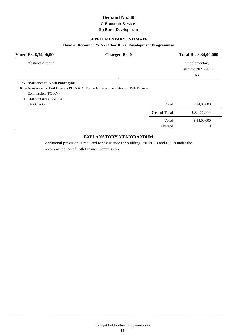### **C-Economic Services**

#### **(b) Rural Development**

#### **SUPPLEMENTARY ESTIMATE**

#### **Head of Account : 2515 - Other Rural Development Programmes**

| Voted Rs. 8,34,00,000               | <b>Charged Rs. 0</b>                                                               | Total Rs. 8,34,00,000               |
|-------------------------------------|------------------------------------------------------------------------------------|-------------------------------------|
| <b>Abstract Account</b>             |                                                                                    | Supplementary<br>Estimate 2021-2022 |
|                                     |                                                                                    | Rs.                                 |
| 197- Assistance to Block Panchayats |                                                                                    |                                     |
|                                     | 013- Assistance for Building-less PHCs & CHCs under recommendation of 15th Finance |                                     |
| Commission (FC-XV)                  |                                                                                    |                                     |
| 31- Grants-in-aid-GENERAL           |                                                                                    |                                     |
| 02- Other Grants                    | Voted                                                                              | 8,34,00,000                         |
|                                     | <b>Grand Total</b>                                                                 | 8,34,00,000                         |
|                                     | Voted                                                                              | 8,34,00,000                         |
|                                     | Charged                                                                            | $\theta$                            |

### **EXPLANATORY MEMORANDUM**

.

Additional provision is required for assistance for building less PHCs and CHCs under the recommendation of 15th Finance Commission.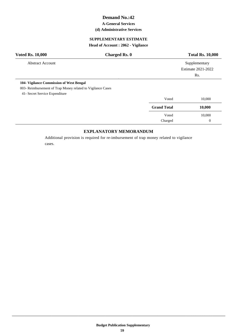**A-General Services**

**(d) Administrative Services**

#### **SUPPLEMENTARY ESTIMATE**

**Head of Account : 2062 - Vigilance**

| <b>Voted Rs. 10,000</b>                                     | <b>Charged Rs. 0</b> |                    | <b>Total Rs. 10,000</b>             |
|-------------------------------------------------------------|----------------------|--------------------|-------------------------------------|
| <b>Abstract Account</b>                                     |                      |                    | Supplementary<br>Estimate 2021-2022 |
|                                                             |                      |                    | Rs.                                 |
| 104- Vigilance Commission of West Bengal                    |                      |                    |                                     |
| 003- Reimbursement of Trap Money related to Vigilance Cases |                      |                    |                                     |
| 41- Secret Service Expenditure                              |                      |                    |                                     |
|                                                             |                      | Voted              | 10,000                              |
|                                                             |                      | <b>Grand Total</b> | 10,000                              |
|                                                             |                      | Voted              | 10,000                              |
|                                                             |                      | Charged            | $\theta$                            |

### **EXPLANATORY MEMORANDUM**

Additional provision is required for re-imbursement of trap money related to vigilance cases.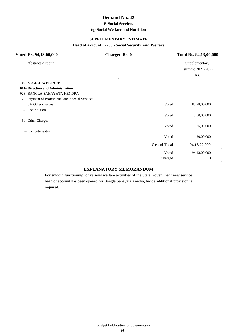### **B-Social Services**

#### **(g) Social Welfare and Nutrition**

### **SUPPLEMENTARY ESTIMATE**

#### **Head of Account : 2235 - Social Security And Welfare**

| Voted Rs. 94,13,00,000                                  | <b>Charged Rs. 0</b> |                    | Total Rs. 94,13,00,000                     |
|---------------------------------------------------------|----------------------|--------------------|--------------------------------------------|
| <b>Abstract Account</b>                                 |                      |                    | Supplementary<br>Estimate 2021-2022<br>Rs. |
| 02- SOCIAL WELFARE<br>001- Direction and Administration |                      |                    |                                            |
| 023- BANGLA SAHAYATA KENDRA                             |                      |                    |                                            |
| 28- Payment of Professional and Special Services        |                      |                    |                                            |
| 02- Other charges                                       |                      | Voted              | 83,98,00,000                               |
| 32- Contribution                                        |                      |                    |                                            |
|                                                         |                      | Voted              | 3,60,00,000                                |
| 50- Other Charges                                       |                      |                    |                                            |
|                                                         |                      | Voted              | 5,35,00,000                                |
| 77- Computerisation                                     |                      |                    |                                            |
|                                                         |                      | Voted              | 1,20,00,000                                |
|                                                         |                      | <b>Grand Total</b> | 94,13,00,000                               |
|                                                         |                      | Voted              | 94,13,00,000                               |
|                                                         |                      | Charged            | $\boldsymbol{0}$                           |

### **EXPLANATORY MEMORANDUM**

For smooth functioning of various welfare activities of the State Government new service head of account has been opened for Bangla Sahayata Kendra, hence additional provision is required.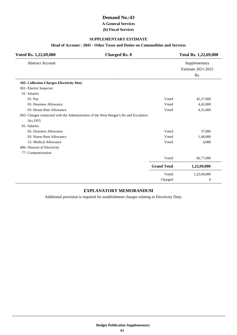**A-General Services**

#### **(b) Fiscal Services**

#### **SUPPLEMENTARY ESTIMATE**

#### **Head of Account : 2045 - Other Taxes and Duties on Commodities and Services**

| Voted Rs. 1,22,69,000                    | Charged Rs. 0                                                                          |         | Total Rs. 1,22,69,000               |
|------------------------------------------|----------------------------------------------------------------------------------------|---------|-------------------------------------|
| <b>Abstract Account</b>                  |                                                                                        |         | Supplementary<br>Estimate 2021-2022 |
|                                          |                                                                                        |         | Rs.                                 |
| 103- Collection Charges-Electricity Duty |                                                                                        |         |                                     |
| 001- Electric Inspector                  |                                                                                        |         |                                     |
| 01-Salaries                              |                                                                                        |         |                                     |
| $01 - Pay$                               |                                                                                        | Voted   | 45,27,000                           |
| 02- Dearness Allowance                   |                                                                                        | Voted   | 4,45,000                            |
| 03- House Rent Allowance                 |                                                                                        | Voted   | 4,31,000                            |
|                                          | 003- Charges connected with the Administration of the West Bengal Lifts and Excalators |         |                                     |
| Act, 1955                                |                                                                                        |         |                                     |
| 01-Salaries                              |                                                                                        |         |                                     |
| 02- Dearness Allowance                   |                                                                                        | Voted   | 37,000                              |
| 03- House Rent Allowance                 |                                                                                        | Voted   | 1,48,000                            |
| 12- Medical Allowance                    |                                                                                        | Voted   | 4,000                               |
| 006- Director of Electricity             |                                                                                        |         |                                     |
| 77- Computerisation                      |                                                                                        |         |                                     |
|                                          |                                                                                        | Voted   | 66,77,000                           |
|                                          | <b>Grand Total</b>                                                                     |         | 1,22,69,000                         |
|                                          |                                                                                        | Voted   | 1,22,69,000                         |
|                                          |                                                                                        | Charged | $\boldsymbol{0}$                    |

### **EXPLANATORY MEMORANDUM**

Additional provision is required for establishment charges relating to Electricity Duty.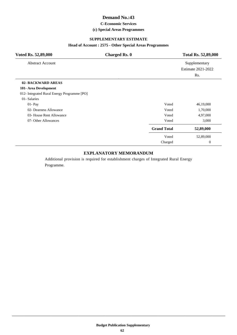### **C-Economic Services**

### **(c) Special Areas Programmes**

### **SUPPLEMENTARY ESTIMATE**

### **Head of Account : 2575 - Other Special Areas Programmes**

| Voted Rs. 52,89,000                         | Charged Rs. 0 |                    | <b>Total Rs. 52,89,000</b>                 |
|---------------------------------------------|---------------|--------------------|--------------------------------------------|
| <b>Abstract Account</b>                     |               |                    | Supplementary<br>Estimate 2021-2022<br>Rs. |
| 02- BACKWARD AREAS                          |               |                    |                                            |
| 101- Area Development                       |               |                    |                                            |
| 012- Integrated Rural Energy Programme [PO] |               |                    |                                            |
| 01-Salaries                                 |               |                    |                                            |
| $01 - Pay$                                  |               | Voted              | 46,19,000                                  |
| 02- Dearness Allowance                      |               | Voted              | 1,70,000                                   |
| 03- House Rent Allowance                    |               | Voted              | 4,97,000                                   |
| 07- Other Allowances                        |               | Voted              | 3,000                                      |
|                                             |               | <b>Grand Total</b> | 52,89,000                                  |
|                                             |               | Voted              | 52,89,000                                  |
|                                             |               | Charged            | $\mathbf{0}$                               |

### **EXPLANATORY MEMORANDUM**

Additional provision is required for establishment charges of Integrated Rural Energy Programme.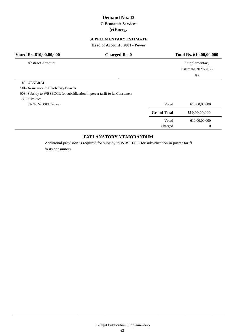**C-Economic Services**

#### **(e) Energy**

### **SUPPLEMENTARY ESTIMATE**

**Head of Account : 2801 - Power**

| Voted Rs. 610,00,00,000                                                    | <b>Charged Rs. 0</b> |                    | Total Rs. 610,00,00,000 |
|----------------------------------------------------------------------------|----------------------|--------------------|-------------------------|
| <b>Abstract Account</b>                                                    |                      |                    | Supplementary           |
|                                                                            |                      |                    | Estimate 2021-2022      |
|                                                                            |                      |                    | Rs.                     |
| 80- GENERAL                                                                |                      |                    |                         |
| 101- Assistance to Electricity Boards                                      |                      |                    |                         |
| 003- Subsidy to WBSEDCL for subsidization in power tariff to its Consumers |                      |                    |                         |
| 33- Subsidies                                                              |                      |                    |                         |
| 02- To WBSEB/Power                                                         |                      | Voted              | 610,00,00,000           |
|                                                                            |                      | <b>Grand Total</b> | 610,00,00,000           |
|                                                                            |                      | Voted              | 610,00,00,000           |
|                                                                            |                      | Charged            | $\overline{0}$          |

### **EXPLANATORY MEMORANDUM**

.

Additional provision is required for subsidy to WBSEDCL for subsidization in power tariff to its consumers.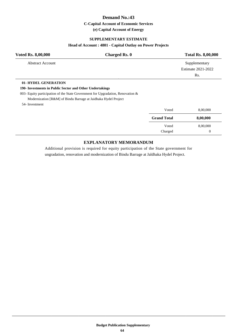**C-Capital Account of Economic Services (e) Capital Account of Energy**

#### **SUPPLEMENTARY ESTIMATE**

#### **Head of Account : 4801 - Capital Outlay on Power Projects**

| <b>Voted Rs. 8,00,000</b>                                      | <b>Charged Rs. 0</b>                                                            |                    | <b>Total Rs. 8,00,000</b>           |
|----------------------------------------------------------------|---------------------------------------------------------------------------------|--------------------|-------------------------------------|
| <b>Abstract Account</b>                                        |                                                                                 |                    | Supplementary<br>Estimate 2021-2022 |
|                                                                |                                                                                 |                    | Rs.                                 |
| 01- HYDEL GENERATION                                           |                                                                                 |                    |                                     |
| 190- Investments in Public Sector and Other Undertakings       |                                                                                 |                    |                                     |
|                                                                | 003- Equity participation of the State Government for Upgradation, Renovation & |                    |                                     |
| Modernization [R&M] of Bindu Barrage at Jaidhaka Hydel Project |                                                                                 |                    |                                     |
| 54- Investment                                                 |                                                                                 |                    |                                     |
|                                                                |                                                                                 | Voted              | 8,00,000                            |
|                                                                |                                                                                 | <b>Grand Total</b> | 8,00,000                            |
|                                                                |                                                                                 | Voted              | 8,00,000                            |
|                                                                |                                                                                 | Charged            | $\mathbf{0}$                        |

### **EXPLANATORY MEMORANDUM**

Additional provision is required for equity participation of the State government for ungradation, renovation and modernization of Bindu Barrage at Jaldhaka Hydel Project.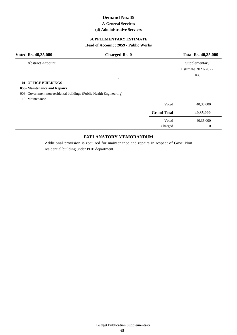**A-General Services**

#### **(d) Administrative Services**

#### **SUPPLEMENTARY ESTIMATE**

#### **Head of Account : 2059 - Public Works**

| Voted Rs. 40,35,000                                                  | <b>Charged Rs. 0</b> |                    | <b>Total Rs. 40,35,000</b> |
|----------------------------------------------------------------------|----------------------|--------------------|----------------------------|
| <b>Abstract Account</b>                                              |                      |                    | Supplementary              |
|                                                                      |                      |                    | Estimate 2021-2022         |
|                                                                      |                      |                    | Rs.                        |
| 01- OFFICE BUILDINGS                                                 |                      |                    |                            |
| 053- Maintenance and Repairs                                         |                      |                    |                            |
| 006- Government non-residental buildings (Public Health Engineering) |                      |                    |                            |
| 19- Maintenance                                                      |                      |                    |                            |
|                                                                      |                      | Voted              | 40,35,000                  |
|                                                                      |                      | <b>Grand Total</b> | 40,35,000                  |
|                                                                      |                      | Voted              | 40,35,000                  |
|                                                                      |                      | Charged            | $\theta$                   |

#### **EXPLANATORY MEMORANDUM**

.

Additional provision is required for maintenance and repairs in respect of Govt. Non residential building under PHE department.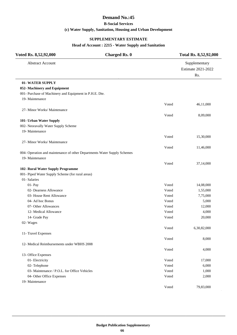### **B-Social Services**

# **(c) Water Supply, Sanitation, Housing and Urban Development**

#### **SUPPLEMENTARY ESTIMATE**

### **Head of Account : 2215 - Water Supply and Sanitation**

| Voted Rs. 8,52,92,000                                                    | <b>Charged Rs. 0</b> |       | Total Rs. 8,52,92,000               |
|--------------------------------------------------------------------------|----------------------|-------|-------------------------------------|
| <b>Abstract Account</b>                                                  |                      |       | Supplementary<br>Estimate 2021-2022 |
|                                                                          |                      |       | Rs.                                 |
| 01- WATER SUPPLY                                                         |                      |       |                                     |
| 052- Machinery and Equipment                                             |                      |       |                                     |
| 001- Purchase of Machinery and Equipment in P.H.E. Dte.                  |                      |       |                                     |
| 19- Maintenance                                                          |                      |       |                                     |
|                                                                          |                      | Voted | 46,11,000                           |
| 27- Minor Works/ Maintenance                                             |                      |       |                                     |
|                                                                          |                      | Voted | 8,09,000                            |
| 101- Urban Water Supply                                                  |                      |       |                                     |
| 002- Neoravally Water Supply Scheme                                      |                      |       |                                     |
| 19- Maintenance                                                          |                      |       |                                     |
|                                                                          |                      | Voted | 15,30,000                           |
| 27- Minor Works/ Maintenance                                             |                      |       |                                     |
|                                                                          |                      | Voted | 11,46,000                           |
| 004- Operation and maintenance of other Departments Water Supply Schemes |                      |       |                                     |
| 19- Maintenance                                                          |                      |       |                                     |
|                                                                          |                      | Voted | 37,14,000                           |
| 102- Rural Water Supply Programme                                        |                      |       |                                     |
| 001- Piped Water Supply Scheme (for rural areas)                         |                      |       |                                     |
| 01-Salaries                                                              |                      |       |                                     |
| 01- Pay                                                                  |                      | Voted | 14,08,000                           |
| 02- Dearness Allowance                                                   |                      | Voted | 1,55,000                            |
| 03- House Rent Allowance                                                 |                      | Voted | 7,75,000                            |
| 04- Ad hoc Bonus                                                         |                      | Voted | 5,000                               |
| 07- Other Allowances                                                     |                      | Voted | 12,000                              |
| 12- Medical Allowance                                                    |                      | Voted | 4,000                               |
| 14- Grade Pay                                                            |                      | Voted | 20,000                              |
| 02-Wages                                                                 |                      |       |                                     |
|                                                                          |                      | Voted | 6,30,82,000                         |
| 11- Travel Expenses                                                      |                      |       |                                     |
|                                                                          |                      | Voted | 8,000                               |
| 12- Medical Reimbursements under WBHS 2008                               |                      |       |                                     |
|                                                                          |                      | Voted | 4,000                               |
| 13- Office Expenses                                                      |                      |       |                                     |
| 01- Electricity                                                          |                      | Voted | 17,000                              |
| 02-Telephone                                                             |                      | Voted | 6,000                               |
| 03- Maintenance / P.O.L. for Office Vehicles                             |                      | Voted | 1,000                               |
| 04- Other Office Expenses                                                |                      | Voted | 2,000                               |
| 19- Maintenance                                                          |                      |       |                                     |
|                                                                          |                      | Voted | 79,83,000                           |
|                                                                          |                      |       |                                     |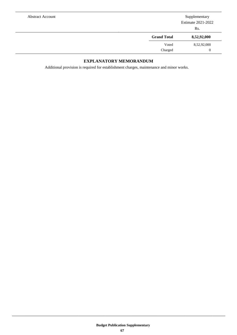| <b>Abstract Account</b> |                    | Supplementary      |
|-------------------------|--------------------|--------------------|
|                         |                    | Estimate 2021-2022 |
|                         |                    | Rs.                |
|                         | <b>Grand Total</b> | 8,52,92,000        |
|                         | Voted              | 8,52,92,000        |
|                         | Charged            | $\boldsymbol{0}$   |

# **EXPLANATORY MEMORANDUM**

Additional provision is required for establishment charges, maintenance and minor works.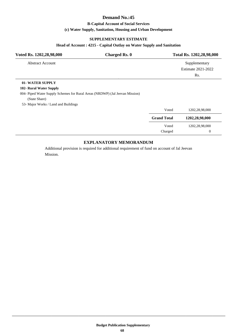## **B-Capital Account of Social Services**

## **(c) Water Supply, Sanitation, Housing and Urban Development**

### **SUPPLEMENTARY ESTIMATE**

#### **Head of Account : 4215 - Capital Outlay on Water Supply and Sanitation**

| Voted Rs. 1202,28,98,000                                                     | <b>Charged Rs. 0</b> |                    | Total Rs. 1202,28,98,000 |
|------------------------------------------------------------------------------|----------------------|--------------------|--------------------------|
| <b>Abstract Account</b>                                                      |                      |                    | Supplementary            |
|                                                                              |                      |                    | Estimate 2021-2022       |
|                                                                              |                      |                    | Rs.                      |
| 01- WATER SUPPLY                                                             |                      |                    |                          |
| 102- Rural Water Supply                                                      |                      |                    |                          |
| 004- Piped Water Supply Schemes for Rural Areas (NRDWP) (Jal Jeevan Mission) |                      |                    |                          |
| (State Share)                                                                |                      |                    |                          |
| 53- Major Works / Land and Buildings                                         |                      |                    |                          |
|                                                                              |                      | Voted              | 1202,28,98,000           |
|                                                                              |                      | <b>Grand Total</b> | 1202,28,98,000           |
|                                                                              |                      | Voted              | 1202,28,98,000           |
|                                                                              |                      | Charged            | $\theta$                 |

## **EXPLANATORY MEMORANDUM**

.

Additional provision is required for additional requirement of fund on account of Jal Jeevan Mission.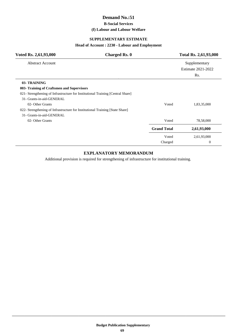### **B-Social Services**

## **(f) Labour and Labour Welfare**

## **SUPPLEMENTARY ESTIMATE**

## **Head of Account : 2230 - Labour and Employment**

| Voted Rs. 2,61,93,000                                                            | Charged Rs. 0 |                    | Total Rs. 2,61,93,000                      |
|----------------------------------------------------------------------------------|---------------|--------------------|--------------------------------------------|
| <b>Abstract Account</b>                                                          |               |                    | Supplementary<br>Estimate 2021-2022<br>Rs. |
| 03- TRAINING                                                                     |               |                    |                                            |
| 003- Training of Craftsmen and Supervisors                                       |               |                    |                                            |
| 021 - Strengthening of Infrastructure for Institutional Training [Central Share] |               |                    |                                            |
| 31- Grants-in-aid-GENERAL                                                        |               |                    |                                            |
| 02- Other Grants                                                                 |               | Voted              | 1,83,35,000                                |
| 022- Strengthening of Infrastructure for Institutional Training [State Share]    |               |                    |                                            |
| 31- Grants-in-aid-GENERAL                                                        |               |                    |                                            |
| 02- Other Grants                                                                 |               | Voted              | 78,58,000                                  |
|                                                                                  |               | <b>Grand Total</b> | 2,61,93,000                                |
|                                                                                  |               | Voted              | 2,61,93,000                                |
|                                                                                  |               | Charged            | $\overline{0}$                             |

## **EXPLANATORY MEMORANDUM**

.

Additional provision is required for strengthening of infrastructure for institutional training.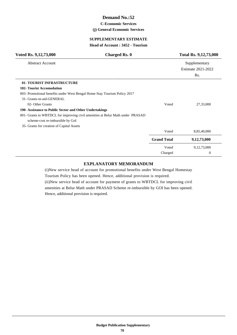**C-Economic Services**

**(j) General Economic Services**

### **SUPPLEMENTARY ESTIMATE**

**Head of Account : 3452 - Tourism**

| Voted Rs. 9,12,73,000                                                     | Charged Rs. 0                                                                  |                    | Total Rs. 9,12,73,000               |
|---------------------------------------------------------------------------|--------------------------------------------------------------------------------|--------------------|-------------------------------------|
| <b>Abstract Account</b>                                                   |                                                                                |                    | Supplementary<br>Estimate 2021-2022 |
|                                                                           |                                                                                |                    | Rs.                                 |
| 01- TOURIST INFRASTRUCTURE                                                |                                                                                |                    |                                     |
| <b>102- Tourist Accomodation</b>                                          |                                                                                |                    |                                     |
| 003- Promotional benefits under West Bengal Home Stay Tourism Policy 2017 |                                                                                |                    |                                     |
| 31- Grants-in-aid-GENERAL                                                 |                                                                                |                    |                                     |
| 02- Other Grants                                                          |                                                                                | Voted              | 27,33,000                           |
| 190- Assistance to Public Sector and Other Undertakings                   |                                                                                |                    |                                     |
| scheme-cost re-imbursible by GoI                                          | 001- Grants to WBTDCL for improving civil amenities at Belur Math under PRASAD |                    |                                     |
| 35- Grants for creation of Capital Assets                                 |                                                                                |                    |                                     |
|                                                                           |                                                                                | Voted              | 8,85,40,000                         |
|                                                                           |                                                                                | <b>Grand Total</b> | 9,12,73,000                         |
|                                                                           |                                                                                | Voted              | 9,12,73,000                         |
|                                                                           |                                                                                | Charged            | 0                                   |

## **EXPLANATORY MEMORANDUM**

.

(i)New service head of account for promotional benefits under West Bengal Homestay Tourism Policy has been opened. Hence, additional provision is required. (ii)New service head of account for payment of grants to WBTDCL for improving civil amenities at Belur Math under PRASAD Scheme re-imbursible by GOI has been opened. Hence, additional provision is required.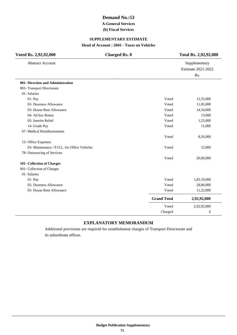**A-General Services**

**(b) Fiscal Services**

#### **SUPPLEMENTARY ESTIMATE**

**Head of Account : 2041 - Taxes on Vehicles**

| Voted Rs. 2,92,92,000                        | <b>Charged Rs. 0</b> |                    | Total Rs. 2,92,92,000                      |
|----------------------------------------------|----------------------|--------------------|--------------------------------------------|
| <b>Abstract Account</b>                      |                      |                    | Supplementary<br>Estimate 2021-2022<br>Rs. |
| 001- Direction and Administration            |                      |                    |                                            |
| 003- Transport Directorate                   |                      |                    |                                            |
| 01-Salaries                                  |                      |                    |                                            |
| 01- Pay                                      |                      | Voted              | 13,35,000                                  |
| 02- Dearness Allowance                       |                      | Voted              | 11,85,000                                  |
| 03- House Rent Allowance                     |                      | Voted              | 14,34,000                                  |
| 04- Ad hoc Bonus                             |                      | Voted              | 13,000                                     |
| 05- Interim Relief                           |                      | Voted              | 1,25,000                                   |
| 14- Grade Pay                                |                      | Voted              | 11,000                                     |
| 07- Medical Reimbursements                   |                      |                    |                                            |
|                                              |                      | Voted              | 8,56,000                                   |
| 13- Office Expenses                          |                      |                    |                                            |
| 03- Maintenance / P.O.L. for Office Vehicles |                      | Voted              | 12,000                                     |
| 78- Outsourcing of Services                  |                      |                    |                                            |
|                                              |                      | Voted              | 20,00,000                                  |
| 101- Collection of Charges                   |                      |                    |                                            |
| 001- Collection of Charges                   |                      |                    |                                            |
| 01-Salaries                                  |                      |                    |                                            |
| $01 - Pay$                                   |                      | Voted              | 1,83,19,000                                |
| 02- Dearness Allowance                       |                      | Voted              | 28,80,000                                  |
| 03- House Rent Allowance                     |                      | Voted              | 11,22,000                                  |
|                                              |                      | <b>Grand Total</b> | 2,92,92,000                                |
|                                              |                      | Voted              | 2,92,92,000                                |
|                                              |                      | Charged            | $\boldsymbol{0}$                           |

## **EXPLANATORY MEMORANDUM**

Additional provisions are required for establishment charges of Transport Directorate and its subordinate offices.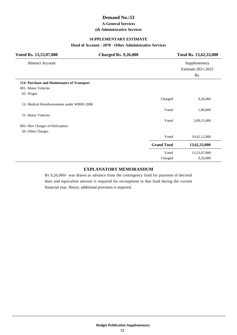#### **A-General Services**

#### **(d) Administrative Services**

### **SUPPLEMENTARY ESTIMATE**

#### **Head of Account : 2070 - Other Administrative Services**

| Voted Rs. 13,53,07,000                     | <b>Charged Rs. 9,26,000</b> | Total Rs. 13,62,33,000              |
|--------------------------------------------|-----------------------------|-------------------------------------|
| <b>Abstract Account</b>                    |                             | Supplementary<br>Estimate 2021-2022 |
|                                            |                             | Rs.                                 |
| 114- Purchase and Maintenance of Transport |                             |                                     |
| 001-Motor Vehicles                         |                             |                                     |
| 02-Wages                                   |                             |                                     |
|                                            | Charged                     | 9,26,000                            |
| 12- Medical Reimbursements under WBHS 2008 |                             |                                     |
|                                            | Voted                       | 1,80,000                            |
| 51- Motor Vehicles                         |                             |                                     |
|                                            | Voted                       | 3,09,15,000                         |
| 003- Hire Charges of Helicopters           |                             |                                     |
| 50- Other Charges                          |                             |                                     |
|                                            | Voted                       | 10,42,12,000                        |
|                                            | <b>Grand Total</b>          | 13,62,33,000                        |
|                                            | Voted                       | 13,53,07,000                        |
|                                            | Charged                     | 9,26,000                            |

## **EXPLANATORY MEMORANDUM**

Rs 9,26,000/- was drawn as advance from the contingency fund for payment of decretal dues and equivalent amount is required for recoupment to that fund during the current financial year. Hence, additional provision is required.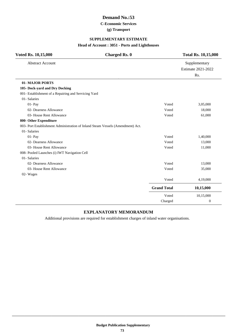**C-Economic Services**

### **(g) Transport**

### **SUPPLEMENTARY ESTIMATE**

**Head of Account : 3051 - Ports and Lighthouses**

| Voted Rs. 10,15,000                                                             | <b>Charged Rs. 0</b> | <b>Total Rs. 10,15,000</b>                 |
|---------------------------------------------------------------------------------|----------------------|--------------------------------------------|
| <b>Abstract Account</b>                                                         |                      | Supplementary<br>Estimate 2021-2022<br>Rs. |
| 01-MAJOR PORTS                                                                  |                      |                                            |
| 105- Dock-yard and Dry Docking                                                  |                      |                                            |
| 001- Establishment of a Repairing and Servicing Yard                            |                      |                                            |
| 01-Salaries                                                                     |                      |                                            |
| 01- Pay                                                                         | Voted                | 3,05,000                                   |
| 02- Dearness Allowance                                                          | Voted                | 18,000                                     |
| 03- House Rent Allowance                                                        | Voted                | 61,000                                     |
| 800- Other Expenditure                                                          |                      |                                            |
| 003- Port Establishment Administration of Inland Steam Vessels (Amendment) Act. |                      |                                            |
| 01-Salaries                                                                     |                      |                                            |
| $01 - Pay$                                                                      | Voted                | 1,40,000                                   |
| 02- Dearness Allowance                                                          | Voted                | 13,000                                     |
| 03- House Rent Allowance                                                        | Voted                | 11,000                                     |
| 008- Pooled Launches (i) IWT Navigation Cell                                    |                      |                                            |
| 01-Salaries                                                                     |                      |                                            |
| 02- Dearness Allowance                                                          | Voted                | 13,000                                     |
| 03- House Rent Allowance                                                        | Voted                | 35,000                                     |
| 02-Wages                                                                        |                      |                                            |
|                                                                                 | Voted                | 4,19,000                                   |
|                                                                                 | <b>Grand Total</b>   | 10,15,000                                  |
|                                                                                 | Voted                | 10,15,000                                  |
|                                                                                 | Charged              | $\boldsymbol{0}$                           |

## **EXPLANATORY MEMORANDUM**

Additional provisions are required for establishment charges of inland water organisations.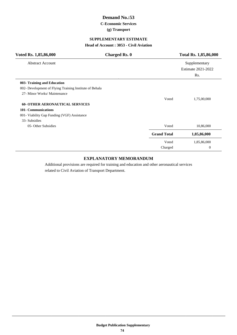**C-Economic Services**

## **(g) Transport**

### **SUPPLEMENTARY ESTIMATE**

**Head of Account : 3053 - Civil Aviation**

| Voted Rs. 1,85,86,000                                   | Charged Rs. 0 |                    | Total Rs. 1,85,86,000                      |
|---------------------------------------------------------|---------------|--------------------|--------------------------------------------|
| <b>Abstract Account</b>                                 |               |                    | Supplementary<br>Estimate 2021-2022<br>Rs. |
| 003- Training and Education                             |               |                    |                                            |
| 002- Development of Flying Training Institute of Behala |               |                    |                                            |
| 27- Minor Works/ Maintenance                            |               |                    |                                            |
|                                                         |               | Voted              | 1,75,00,000                                |
| <b>60- OTHER AERONAUTICAL SERVICES</b>                  |               |                    |                                            |
| <b>101- Communications</b>                              |               |                    |                                            |
| 001- Viability Gap Funding (VGF) Assistance             |               |                    |                                            |
| 33- Subsidies                                           |               |                    |                                            |
| 05- Other Subsidies                                     |               | Voted              | 10,86,000                                  |
|                                                         |               | <b>Grand Total</b> | 1,85,86,000                                |
|                                                         |               | Voted              | 1,85,86,000                                |
|                                                         |               | Charged            | $\boldsymbol{0}$                           |

## **EXPLANATORY MEMORANDUM**

.

Additional provisions are required for training and education and other aeronautical services related to Civil Aviation of Transport Department.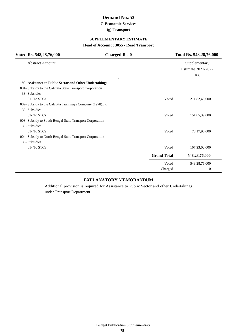**C-Economic Services**

### **(g) Transport**

### **SUPPLEMENTARY ESTIMATE**

**Head of Account : 3055 - Road Transport**

| Voted Rs. 548,28,76,000                                  | Charged Rs. 0 |                    | Total Rs. 548,28,76,000 |
|----------------------------------------------------------|---------------|--------------------|-------------------------|
| <b>Abstract Account</b>                                  |               |                    | Supplementary           |
|                                                          |               |                    | Estimate 2021-2022      |
|                                                          |               |                    | Rs.                     |
| 190- Assistance to Public Sector and Other Undertakings  |               |                    |                         |
| 001- Subsidy to the Calcutta State Transport Corporation |               |                    |                         |
| 33- Subsidies                                            |               |                    |                         |
| 01-To STCs                                               |               | Voted              | 211,82,45,000           |
| 002- Subsidy to the Calcutta Tramways Company (1978)Ltd  |               |                    |                         |
| 33- Subsidies                                            |               |                    |                         |
| 01-To STCs                                               |               | Voted              | 151,05,39,000           |
| 003- Subsidy to South Bengal State Transport Corporation |               |                    |                         |
| 33- Subsidies                                            |               |                    |                         |
| 01-To STCs                                               |               | Voted              | 78,17,90,000            |
| 004- Subsidy to North Bengal State Transport Corporation |               |                    |                         |
| 33- Subsidies                                            |               |                    |                         |
| 01-To STCs                                               |               | Voted              | 107,23,02,000           |
|                                                          |               | <b>Grand Total</b> | 548,28,76,000           |
|                                                          |               | Voted              | 548,28,76,000           |
|                                                          |               | Charged            | $\mathbf{0}$            |

## **EXPLANATORY MEMORANDUM**

Additional provision is required for Assistance to Public Sector and other Undertakings under Transport Department.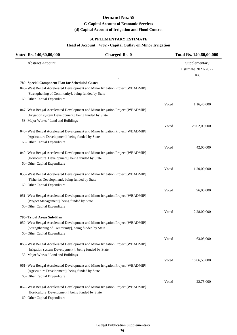## **C-Capital Account of Economic Services (d) Capital Account of Irrigation and Flood Control**

### **SUPPLEMENTARY ESTIMATE**

## **Head of Account : 4702 - Capital Outlay on Minor Irrigation**

| Voted Rs. 140,60,00,000                                | <b>Charged Rs. 0</b>                                                            |       | Total Rs. 140,60,00,000                    |
|--------------------------------------------------------|---------------------------------------------------------------------------------|-------|--------------------------------------------|
| <b>Abstract Account</b>                                |                                                                                 |       | Supplementary<br>Estimate 2021-2022<br>Rs. |
| 789- Special Component Plan for Scheduled Castes       |                                                                                 |       |                                            |
| [Strengthening of Community], being funded by State    | 046- West Bengal Accelerated Development and Minor Irrigation Project [WBADMIP] |       |                                            |
| 60- Other Capital Expenditure                          |                                                                                 |       |                                            |
|                                                        |                                                                                 | Voted | 1,16,40,000                                |
|                                                        | 047- West Bengal Accelerated Development and Minor Irrigation Project [WBADMIP] |       |                                            |
| [Irrigation system Development], being funded by State |                                                                                 |       |                                            |
| 53- Major Works / Land and Buildings                   |                                                                                 |       |                                            |
|                                                        |                                                                                 | Voted | 28,02,00,000                               |
| [Agriculture Development], being funded by State       | 048- West Bengal Accelerated Development and Minor Irrigation Project [WBADMIP] |       |                                            |
| 60- Other Capital Expenditure                          |                                                                                 |       |                                            |
|                                                        | 049- West Bengal Accelerated Development and Minor Irrigation Project [WBADMIP] | Voted | 42,00,000                                  |
| [Horticulture Development], being funded by State      |                                                                                 |       |                                            |
| 60- Other Capital Expenditure                          |                                                                                 |       |                                            |
|                                                        |                                                                                 | Voted | 1,20,00,000                                |
| [Fisheries Development], being funded by State         | 050- West Bengal Accelerated Development and Minor Irrigation Project [WBADMIP] |       |                                            |
| 60- Other Capital Expenditure                          |                                                                                 |       |                                            |
|                                                        |                                                                                 | Voted | 96,00,000                                  |
|                                                        | 051- West Bengal Accelerated Development and Minor Irrigation Project [WBADMIP] |       |                                            |
| [Project Management], being funded by State            |                                                                                 |       |                                            |
| 60- Other Capital Expenditure                          |                                                                                 |       |                                            |
|                                                        |                                                                                 | Voted | 2,28,00,000                                |
| 796- Tribal Areas Sub-Plan                             |                                                                                 |       |                                            |
| [Strengthening of Community], being funded by State    | 059- West Bengal Accelerated Development and Minor Irrigation Project [WBADMIP] |       |                                            |
| 60- Other Capital Expenditure                          |                                                                                 |       |                                            |
|                                                        |                                                                                 | Voted | 63,05,000                                  |
| [Irrigation system Development], being funded by State | 060- West Bengal Accelerated Development and Minor Irrigation Project [WBADMIP] |       |                                            |
| 53- Major Works / Land and Buildings                   |                                                                                 |       |                                            |
|                                                        |                                                                                 | Voted | 16,06,50,000                               |
|                                                        | 061- West Bengal Accelerated Development and Minor Irrigation Project [WBADMIP] |       |                                            |
| [Agriculture Development], being funded by State       |                                                                                 |       |                                            |
| 60- Other Capital Expenditure                          |                                                                                 |       |                                            |
|                                                        |                                                                                 | Voted | 22,75,000                                  |
|                                                        | 062- West Bengal Accelerated Development and Minor Irrigation Project [WBADMIP] |       |                                            |
| [Horticulture Development], being funded by State      |                                                                                 |       |                                            |
| 60- Other Capital Expenditure                          |                                                                                 |       |                                            |
|                                                        |                                                                                 |       |                                            |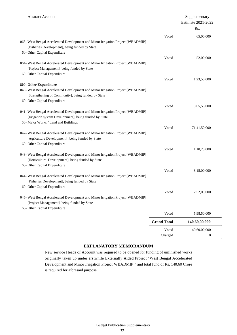| <b>Abstract Account</b>                                                                                                                                                           |                    | Supplementary<br>Estimate 2021-2022<br>Rs. |
|-----------------------------------------------------------------------------------------------------------------------------------------------------------------------------------|--------------------|--------------------------------------------|
|                                                                                                                                                                                   | Voted              | 65,00,000                                  |
| 063- West Bengal Accelerated Development and Minor Irrigation Project [WBADMIP]<br>[Fisheries Development], being funded by State<br>60- Other Capital Expenditure                |                    |                                            |
|                                                                                                                                                                                   | Voted              | 52,00,000                                  |
| 064- West Bengal Accelerated Development and Minor Irrigation Project [WBADMIP]<br>[Project Management], being funded by State<br>60- Other Capital Expenditure                   |                    |                                            |
|                                                                                                                                                                                   | Voted              | 1,23,50,000                                |
| 800- Other Expenditure                                                                                                                                                            |                    |                                            |
| 040- West Bengal Accelerated Development and Minor Irrigation Project [WBADMIP]<br>[Strengthening of Community], being funded by State<br>60- Other Capital Expenditure           |                    |                                            |
|                                                                                                                                                                                   | Voted              | 3,05,55,000                                |
| 041- West Bengal Accelerated Development and Minor Irrigation Project [WBADMIP]<br>[Irrigation system Development], being funded by State<br>53- Major Works / Land and Buildings |                    |                                            |
|                                                                                                                                                                                   | Voted              | 71,41,50,000                               |
| 042- West Bengal Accelerated Development and Minor Irrigation Project [WBADMIP]<br>[Agriculture Development], being funded by State<br>60- Other Capital Expenditure              |                    |                                            |
|                                                                                                                                                                                   | Voted              | 1,10,25,000                                |
| 043- West Bengal Accelerated Development and Minor Irrigation Project [WBADMIP]<br>[Horticulture Development], being funded by State<br>60- Other Capital Expenditure             |                    |                                            |
|                                                                                                                                                                                   | Voted              | 3,15,00,000                                |
| 044- West Bengal Accelerated Development and Minor Irrigation Project [WBADMIP]<br>[Fisheries Development], being funded by State<br>60- Other Capital Expenditure                |                    |                                            |
|                                                                                                                                                                                   | Voted              | 2,52,00,000                                |
| 045- West Bengal Accelerated Development and Minor Irrigation Project [WBADMIP]<br>[Project Management], being funded by State<br>60- Other Capital Expenditure                   |                    |                                            |
|                                                                                                                                                                                   | Voted              | 5,98,50,000                                |
|                                                                                                                                                                                   | <b>Grand Total</b> | 140,60,00,000                              |
|                                                                                                                                                                                   | Voted<br>Charged   | 140,60,00,000<br>$\boldsymbol{0}$          |

 $\overline{\phantom{0}}$ 

 $\sim$ 

## **EXPLANATORY MEMORANDUM**

New service Heads of Account was required to be opened for funding of unfinished works originally taken up under erstwhile Externally Aided Project "West Bengal Accelerated Development and Minor Irrigation Project[WBADMIP]" and total fund of Rs. 140.60 Crore is required for aforesaid purpose.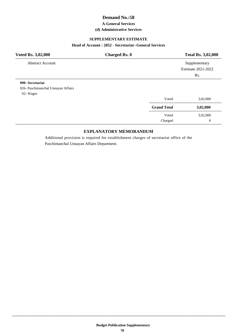### **A-General Services**

## **(d) Administrative Services**

#### **SUPPLEMENTARY ESTIMATE**

#### **Head of Account : 2052 - Secretariat--General Services**

| Voted Rs. 3,02,000                 | <b>Charged Rs. 0</b> |                    | <b>Total Rs. 3,02,000</b>           |
|------------------------------------|----------------------|--------------------|-------------------------------------|
| <b>Abstract Account</b>            |                      |                    | Supplementary<br>Estimate 2021-2022 |
|                                    |                      |                    | Rs.                                 |
| 090- Secretariat                   |                      |                    |                                     |
| 026- Paschimanchal Unnayan Affairs |                      |                    |                                     |
| 02-Wages                           |                      |                    |                                     |
|                                    |                      | Voted              | 3,02,000                            |
|                                    |                      | <b>Grand Total</b> | 3,02,000                            |
|                                    |                      | Voted              | 3,02,000                            |
|                                    |                      | Charged            | $\boldsymbol{0}$                    |

#### **EXPLANATORY MEMORANDUM**

Additional provision is required for establishment charges of secretariat office of the Paschimanchal Unnayan Affairs Department.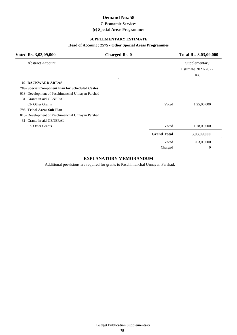## **C-Economic Services**

### **(c) Special Areas Programmes**

### **SUPPLEMENTARY ESTIMATE**

## **Head of Account : 2575 - Other Special Areas Programmes**

| Voted Rs. 3,03,09,000                             | Charged Rs. 0 |                    | Total Rs. 3,03,09,000               |
|---------------------------------------------------|---------------|--------------------|-------------------------------------|
| <b>Abstract Account</b>                           |               |                    | Supplementary<br>Estimate 2021-2022 |
|                                                   |               |                    | Rs.                                 |
| 02- BACKWARD AREAS                                |               |                    |                                     |
| 789- Special Component Plan for Scheduled Castes  |               |                    |                                     |
| 013- Development of Paschimanchal Unnayan Parshad |               |                    |                                     |
| 31- Grants-in-aid-GENERAL                         |               |                    |                                     |
| 02- Other Grants                                  |               | Voted              | 1,25,00,000                         |
| 796- Tribal Areas Sub-Plan                        |               |                    |                                     |
| 013- Development of Paschimanchal Unnayan Parshad |               |                    |                                     |
| 31- Grants-in-aid-GENERAL                         |               |                    |                                     |
| 02- Other Grants                                  |               | Voted              | 1,78,09,000                         |
|                                                   |               | <b>Grand Total</b> | 3,03,09,000                         |
|                                                   |               | Voted              | 3,03,09,000                         |
|                                                   |               | Charged            | $\boldsymbol{0}$                    |

## **EXPLANATORY MEMORANDUM**

.

Additional provisions are required for grants to Paschimanchal Unnayan Parshad.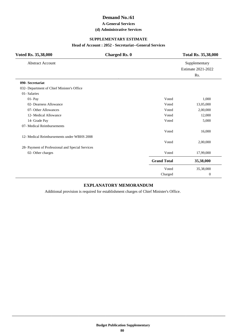## **A-General Services**

## **(d) Administrative Services**

#### **SUPPLEMENTARY ESTIMATE**

#### **Head of Account : 2052 - Secretariat--General Services**

| Voted Rs. 35,38,000                              | Charged Rs. 0 |                    | <b>Total Rs. 35,38,000</b> |
|--------------------------------------------------|---------------|--------------------|----------------------------|
| <b>Abstract Account</b>                          |               |                    | Supplementary              |
|                                                  |               |                    | <b>Estimate 2021-2022</b>  |
|                                                  |               |                    | Rs.                        |
| 090- Secretariat                                 |               |                    |                            |
| 032- Department of Chief Minister's Office       |               |                    |                            |
| 01-Salaries                                      |               |                    |                            |
| 01- Pay                                          |               | Voted              | 1,000                      |
| 02- Dearness Allowance                           |               | Voted              | 13,05,000                  |
| 07- Other Allowances                             |               | Voted              | 2,00,000                   |
| 12- Medical Allowance                            |               | Voted              | 12,000                     |
| 14- Grade Pay                                    |               | Voted              | 5,000                      |
| 07- Medical Reimbursements                       |               |                    |                            |
|                                                  |               | Voted              | 16,000                     |
| 12- Medical Reimbursements under WBHS 2008       |               |                    |                            |
|                                                  |               | Voted              | 2,00,000                   |
| 28- Payment of Professional and Special Services |               |                    |                            |
| 02- Other charges                                |               | Voted              | 17,99,000                  |
|                                                  |               | <b>Grand Total</b> | 35,38,000                  |
|                                                  |               | Voted              | 35,38,000                  |
|                                                  |               | Charged            | $\boldsymbol{0}$           |

## **EXPLANATORY MEMORANDUM**

Additional provision is required for establishment charges of Chief Minister's Office.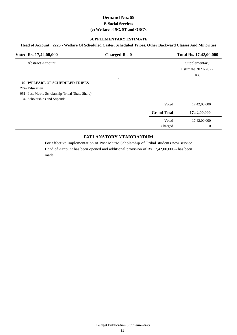#### **B-Social Services**

### **(e) Welfare of SC, ST and OBC's**

#### **SUPPLEMENTARY ESTIMATE**

#### **Head of Account : 2225 - Welfare Of Scheduled Castes, Scheduled Tribes, Other Backward Classes And Minorities**

| Voted Rs. 17,42,00,000                            | <b>Charged Rs. 0</b> |                    | Total Rs. 17,42,00,000 |
|---------------------------------------------------|----------------------|--------------------|------------------------|
| <b>Abstract Account</b>                           |                      |                    | Supplementary          |
|                                                   |                      |                    | Estimate 2021-2022     |
|                                                   |                      |                    | Rs.                    |
| 02- WELFARE OF SCHEDULED TRIBES                   |                      |                    |                        |
| 277- Education                                    |                      |                    |                        |
| 051- Post Matric Scholarship-Tribal (State Share) |                      |                    |                        |
| 34- Scholarships and Stipends                     |                      |                    |                        |
|                                                   |                      | Voted              | 17,42,00,000           |
|                                                   |                      | <b>Grand Total</b> | 17,42,00,000           |
|                                                   |                      | Voted              | 17,42,00,000           |
|                                                   |                      | Charged            | $\boldsymbol{0}$       |

### **EXPLANATORY MEMORANDUM**

.

For effective implementation of Post Matric Scholarship of Tribal students new service Head of Account has been opened and additional provision of Rs 17,42,00,000/- has been made.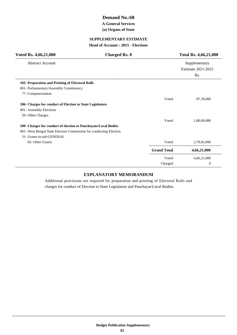**A-General Services**

**(a) Organs of State**

## **SUPPLEMENTARY ESTIMATE**

**Head of Account : 2015 - Elections**

| Voted Rs. 4,66,21,000                                              | <b>Charged Rs. 0</b> |                    | Total Rs. 4,66,21,000 |
|--------------------------------------------------------------------|----------------------|--------------------|-----------------------|
| <b>Abstract Account</b>                                            |                      |                    | Supplementary         |
|                                                                    |                      |                    | Estimate 2021-2022    |
|                                                                    |                      |                    | Rs.                   |
| 103- Preparation and Printing of Electoral Rolls                   |                      |                    |                       |
| 001- Parliamentary/Assembly Constituency                           |                      |                    |                       |
| 77- Computerisation                                                |                      |                    |                       |
|                                                                    |                      | Voted              | 87,39,000             |
| 106- Charges for conduct of Election to State Legislature          |                      |                    |                       |
| 001- Assembly Elections                                            |                      |                    |                       |
| 50- Other Charges                                                  |                      |                    |                       |
|                                                                    |                      | Voted              | 1,00,00,000           |
| 109- Charges for conduct of election to Panchayats/Local Bodies    |                      |                    |                       |
| 001- West Bengal State Election Commission for conducting Election |                      |                    |                       |
| 31- Grants-in-aid-GENERAL                                          |                      |                    |                       |
| 02- Other Grants                                                   |                      | Voted              | 2,78,82,000           |
|                                                                    |                      | <b>Grand Total</b> | 4,66,21,000           |
|                                                                    |                      | Voted              | 4,66,21,000           |
|                                                                    |                      | Charged            | $\boldsymbol{0}$      |

## **EXPLANATORY MEMORANDUM**

Additional provisions are required for preparation and printing of Electoral Rolls and charges for conduct of Election to State Legislature and Panchayat/Local Bodies.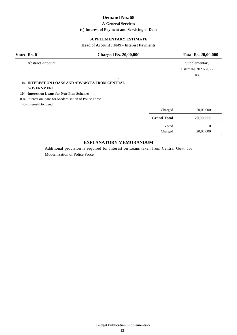## **A-General Services (c) Interest of Payment and Servicing of Debt**

#### **SUPPLEMENTARY ESTIMATE**

## **Head of Account : 2049 - Interest Payments**

| Voted Rs. 0                                              | <b>Charged Rs. 20,00,000</b> |                    | <b>Total Rs. 20,00,000</b>          |
|----------------------------------------------------------|------------------------------|--------------------|-------------------------------------|
| <b>Abstract Account</b>                                  |                              |                    | Supplementary<br>Estimate 2021-2022 |
|                                                          |                              |                    | Rs.                                 |
| 04- INTEREST ON LOANS AND ADVANCES FROM CENTRAL          |                              |                    |                                     |
| <b>GOVERNMENT</b>                                        |                              |                    |                                     |
| 104- Interest on Loans for Non-Plan Schemes              |                              |                    |                                     |
| 004- Interest on loans for Modernisation of Police Force |                              |                    |                                     |
| 45- Interest/Dividend                                    |                              |                    |                                     |
|                                                          |                              | Charged            | 20,00,000                           |
|                                                          |                              | <b>Grand Total</b> | 20,00,000                           |
|                                                          |                              | Voted              | $\overline{0}$                      |
|                                                          |                              | Charged            | 20,00,000                           |

### **EXPLANATORY MEMORANDUM**

.

Additional provision is required for Interest on Loans taken from Central Govt. for Modernization of Police Force.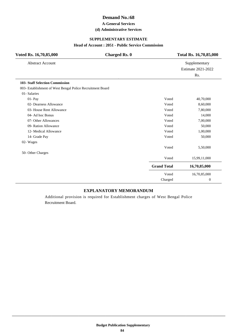## **A-General Services**

**(d) Administrative Services**

### **SUPPLEMENTARY ESTIMATE**

#### **Head of Account : 2051 - Public Service Commission**

| Voted Rs. 16,70,85,000                                     | Charged Rs. 0 |                    | Total Rs. 16,70,85,000              |
|------------------------------------------------------------|---------------|--------------------|-------------------------------------|
| <b>Abstract Account</b>                                    |               |                    | Supplementary<br>Estimate 2021-2022 |
|                                                            |               |                    | Rs.                                 |
| <b>103- Staff Selection Commission</b>                     |               |                    |                                     |
| 003- Establishment of West Bengal Police Recruitment Board |               |                    |                                     |
| 01-Salaries                                                |               |                    |                                     |
| $01 - Pay$                                                 |               | Voted              | 40,70,000                           |
| 02- Dearness Allowance                                     |               | Voted              | 8,60,000                            |
| 03- House Rent Allowance                                   |               | Voted              | 7,80,000                            |
| 04- Ad hoc Bonus                                           |               | Voted              | 14,000                              |
| 07- Other Allowances                                       |               | Voted              | 7,00,000                            |
| 09- Ration Allowance                                       |               | Voted              | 50,000                              |
| 12- Medical Allowance                                      |               | Voted              | 1,00,000                            |
| 14- Grade Pay                                              |               | Voted              | 50,000                              |
| 02-Wages                                                   |               |                    |                                     |
|                                                            |               | Voted              | 5,50,000                            |
| 50- Other Charges                                          |               |                    |                                     |
|                                                            |               | Voted              | 15,99,11,000                        |
|                                                            |               | <b>Grand Total</b> | 16,70,85,000                        |
|                                                            |               | Voted              | 16,70,85,000                        |
|                                                            |               | Charged            | $\boldsymbol{0}$                    |

## **EXPLANATORY MEMORANDUM**

Additional provision is required for Establishment charges of West Bengal Police Recruitment Board.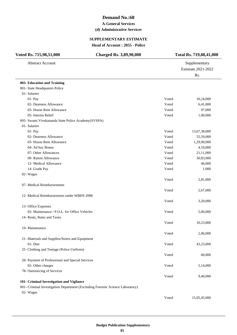**A-General Services**

**(d) Administrative Services**

#### **SUPPLEMENTARY ESTIMATE**

**Head of Account : 2055 - Police**

| Voted Rs. 715,98,51,000                                                        | <b>Charged Rs. 3,89,90,000</b> |       | Total Rs. 719,88,41,000                    |
|--------------------------------------------------------------------------------|--------------------------------|-------|--------------------------------------------|
| <b>Abstract Account</b>                                                        |                                |       | Supplementary<br>Estimate 2021-2022<br>Rs. |
| 003- Education and Training                                                    |                                |       |                                            |
| 001- State Headquaters Police                                                  |                                |       |                                            |
| 01-Salaries                                                                    |                                |       |                                            |
| $01 - Pay$                                                                     |                                | Voted | 10,24,000                                  |
| 02- Dearness Allowance                                                         |                                | Voted | 6,41,000                                   |
| 03- House Rent Allowance                                                       |                                | Voted | 97,000                                     |
| 05- Interim Relief                                                             |                                | Voted | 1,00,000                                   |
| 005- Swami Vivekananda State Police Academy(SVSPA)                             |                                |       |                                            |
| 01-Salaries                                                                    |                                |       |                                            |
| 01- Pay                                                                        |                                | Voted | 13,67,38,000                               |
| 02- Dearness Allowance                                                         |                                | Voted | 55,59,000                                  |
| 03- House Rent Allowance                                                       |                                | Voted | 1,29,90,000                                |
| 04- Ad hoc Bonus                                                               |                                | Voted | 4,10,000                                   |
| 07- Other Allowances                                                           |                                | Voted | 21,11,000                                  |
| 09- Ration Allowance                                                           |                                | Voted | 30,83,000                                  |
| 12- Medical Allowance                                                          |                                | Voted | 46,000                                     |
| 14- Grade Pay                                                                  |                                | Voted | 1,000                                      |
| 02-Wages                                                                       |                                |       |                                            |
|                                                                                |                                | Voted | 2,81,000                                   |
| 07- Medical Reimbursements                                                     |                                |       |                                            |
|                                                                                |                                | Voted | 2,67,000                                   |
| 12- Medical Reimbursements under WBHS 2008                                     |                                |       |                                            |
|                                                                                |                                | Voted | 3,20,000                                   |
| 13- Office Expenses                                                            |                                |       |                                            |
| 03- Maintenance / P.O.L. for Office Vehicles                                   |                                | Voted | 5,06,000                                   |
| 14- Rents, Rates and Taxes                                                     |                                |       |                                            |
|                                                                                |                                | Voted | 10,23,000                                  |
| 19- Maintenance                                                                |                                |       |                                            |
|                                                                                |                                | Voted | 2,06,000                                   |
| 21- Materials and Supplies/Stores and Equipment                                |                                |       |                                            |
| 01-Diet                                                                        |                                | Voted | 43,23,000                                  |
| 25- Clothing and Tentage (Police Uniform)                                      |                                |       |                                            |
|                                                                                |                                | Voted | 60,000                                     |
| 28- Payment of Professional and Special Services                               |                                |       |                                            |
| 02- Other charges                                                              |                                | Voted | 5,14,000                                   |
| 78- Outsourcing of Services                                                    |                                |       |                                            |
|                                                                                |                                | Voted | 9,40,000                                   |
| 101- Criminal Investigation and Vigilance                                      |                                |       |                                            |
| 001- Criminal Investigation Department (Excluding Forensic Science Laboratory) |                                |       |                                            |
| 02-Wages                                                                       |                                |       |                                            |
|                                                                                |                                | Voted | 15,05,45,000                               |
|                                                                                |                                |       |                                            |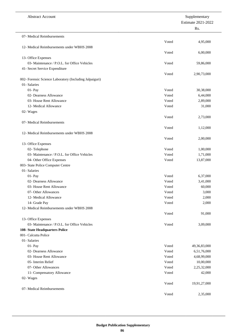| <b>Abstract Account</b>                                 |                | Supplementary<br>Estimate 2021-2022<br>Rs. |
|---------------------------------------------------------|----------------|--------------------------------------------|
|                                                         |                |                                            |
| 07- Medical Reimbursements                              | Voted          | 4,95,000                                   |
| 12- Medical Reimbursements under WBHS 2008              |                |                                            |
|                                                         | Voted          | 6,00,000                                   |
| 13- Office Expenses                                     |                |                                            |
| 03- Maintenance / P.O.L. for Office Vehicles            | Voted          | 59,86,000                                  |
| 41- Secret Service Expenditure                          |                |                                            |
|                                                         | Voted          | 2,90,73,000                                |
| 002- Forensic Science Laboratory (Including Jalpaiguri) |                |                                            |
| 01-Salaries                                             |                |                                            |
| 01- Pay                                                 | Voted          | 30,38,000                                  |
| 02- Dearness Allowance                                  | Voted          | 6,44,000                                   |
| 03- House Rent Allowance                                | Voted          | 2,89,000                                   |
| 12- Medical Allowance                                   | Voted          | 31,000                                     |
| 02-Wages                                                |                |                                            |
|                                                         | Voted          | 2,73,000                                   |
| 07- Medical Reimbursements                              |                |                                            |
|                                                         | Voted          | 1,12,000                                   |
| 12- Medical Reimbursements under WBHS 2008              |                |                                            |
|                                                         | Voted          | 2,00,000                                   |
| 13- Office Expenses                                     |                |                                            |
| 02-Telephone                                            | Voted          | 1,00,000                                   |
| 03- Maintenance / P.O.L. for Office Vehicles            | Voted          | 1,71,000                                   |
| 04- Other Office Expenses                               | Voted          | 13,87,000                                  |
| 003- State Police Computer Centre                       |                |                                            |
| 01-Salaries                                             |                |                                            |
| $01 - Pay$<br>02- Dearness Allowance                    | Voted          | 6,37,000                                   |
|                                                         | Voted          | 3,41,000                                   |
| 03- House Rent Allowance<br>07- Other Allowances        | Voted          | 60,000                                     |
| 12- Medical Allowance                                   | Voted<br>Voted | 3,000                                      |
| 14- Grade Pay                                           | Voted          | 2,000<br>2,000                             |
| 12- Medical Reimbursements under WBHS 2008              |                |                                            |
|                                                         | Voted          | 91,000                                     |
| 13- Office Expenses                                     |                |                                            |
| 03- Maintenance / P.O.L. for Office Vehicles            | Voted          | 3,09,000                                   |
| 108- State Headquarters Police                          |                |                                            |
| 001- Calcutta Police                                    |                |                                            |
| 01-Salaries                                             |                |                                            |
| 01- Pay                                                 | Voted          | 49,36,83,000                               |
| 02- Dearness Allowance                                  | Voted          | 6,51,76,000                                |
| 03- House Rent Allowance                                | Voted          | 4,68,99,000                                |
| 05- Interim Relief                                      | Voted          | 10,00,000                                  |
| 07- Other Allowances                                    | Voted          | 2,25,32,000                                |
| 11- Compensatory Allowance                              | Voted          | 42,000                                     |
| 02-Wages                                                |                |                                            |
|                                                         | Voted          | 19,91,27,000                               |
| 07- Medical Reimbursements                              |                |                                            |
|                                                         | Voted          | 2,35,000                                   |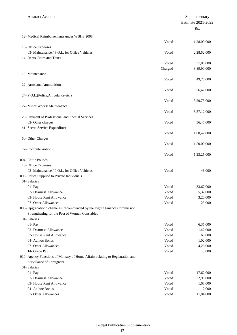| <b>Abstract Account</b>                                                                         |                | Supplementary<br>Estimate 2021-2022 |
|-------------------------------------------------------------------------------------------------|----------------|-------------------------------------|
|                                                                                                 |                | Rs.                                 |
| 12- Medical Reimbursements under WBHS 2008                                                      |                |                                     |
|                                                                                                 | Voted          | 1,28,00,000                         |
| 13- Office Expenses                                                                             |                |                                     |
| 03- Maintenance / P.O.L. for Office Vehicles                                                    | Voted          | 2,28,52,000                         |
| 14- Rents, Rates and Taxes                                                                      |                |                                     |
|                                                                                                 | Voted          | 31,88,000                           |
|                                                                                                 | Charged        | 3,89,90,000                         |
| 19- Maintenance                                                                                 |                |                                     |
|                                                                                                 | Voted          | 49,70,000                           |
| 22- Arms and Ammunition                                                                         |                |                                     |
|                                                                                                 | Voted          | 56,42,000                           |
| 24- P.O.L.(Police, Ambulance etc.)                                                              |                |                                     |
|                                                                                                 | Voted          | 5,29,75,000                         |
| 27- Minor Works/ Maintenance                                                                    |                |                                     |
|                                                                                                 | Voted          | 3,57,12,000                         |
| 28- Payment of Professional and Special Services                                                | Voted          |                                     |
| 02- Other charges<br>41- Secret Service Expenditure                                             |                | 36,45,000                           |
|                                                                                                 | Voted          | 1,08,47,000                         |
| 50- Other Charges                                                                               |                |                                     |
|                                                                                                 | Voted          | 1,50,00,000                         |
| 77- Computerisation                                                                             |                |                                     |
|                                                                                                 | Voted          | 1,23,25,000                         |
| 004- Cattle Pounds                                                                              |                |                                     |
| 13- Office Expenses                                                                             |                |                                     |
| 03- Maintenance / P.O.L. for Office Vehicles                                                    | Voted          | 46,000                              |
| 006- Police Supplied to Private Individuals                                                     |                |                                     |
| 01-Salaries                                                                                     |                |                                     |
| $01 - Pay$                                                                                      | Voted          | 33,67,000                           |
| 02- Dearness Allowance                                                                          | Voted          | 5,32,000                            |
| 03- House Rent Allowance                                                                        | Voted          | 3,20,000                            |
| 07- Other Allowances                                                                            | Voted          | 23,000                              |
| 008- Upgradation Scheme as Recommended by the Eighth Finance Commission                         |                |                                     |
| Strengthening for the Post of Women Constables                                                  |                |                                     |
| 01-Salaries                                                                                     |                |                                     |
| 01- Pay                                                                                         | Voted          | 6,35,000                            |
| 02- Dearness Allowance                                                                          | Voted          | 1,42,000                            |
| 03- House Rent Allowance                                                                        | Voted<br>Voted | 60,000                              |
| 04- Ad hoc Bonus<br>07- Other Allowances                                                        | Voted          | 1,02,000                            |
|                                                                                                 | Voted          | 4,28,000<br>3,000                   |
| 14- Grade Pay<br>010- Agency Functions of Ministry of Home Affairs relating to Registration and |                |                                     |
| Survillance of Foreigners                                                                       |                |                                     |
| 01-Salaries                                                                                     |                |                                     |
| 01- Pay                                                                                         | Voted          | 17,62,000                           |
| 02- Dearness Allowance                                                                          | Voted          | 32,98,000                           |
| 03- House Rent Allowance                                                                        | Voted          | 1,68,000                            |
| 04- Ad hoc Bonus                                                                                | Voted          | 2,000                               |
| 07- Other Allowances                                                                            | Voted          | 11,84,000                           |
|                                                                                                 |                |                                     |

 $\overline{\phantom{0}}$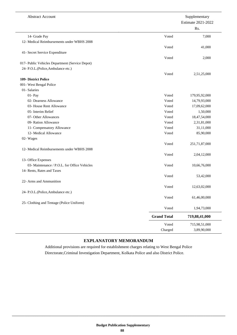| <b>Abstract Account</b>                         |                    | Supplementary<br>Estimate 2021-2022<br>Rs. |
|-------------------------------------------------|--------------------|--------------------------------------------|
| 14- Grade Pay                                   | Voted              | 7,000                                      |
| 12- Medical Reimbursements under WBHS 2008      |                    |                                            |
|                                                 | Voted              | 41,000                                     |
| 41- Secret Service Expenditure                  |                    |                                            |
|                                                 | Voted              | 2,000                                      |
| 017- Public Vehicles Department (Service Depot) |                    |                                            |
| 24- P.O.L.(Police, Ambulance etc.)              |                    |                                            |
|                                                 | Voted              | 2,51,25,000                                |
| <b>109- District Police</b>                     |                    |                                            |
| 001- West Bengal Police                         |                    |                                            |
| 01-Salaries                                     |                    |                                            |
| 01- Pay                                         | Voted              | 179,95,92,000                              |
| 02- Dearness Allowance                          | Voted              | 14,79,93,000                               |
| 03- House Rent Allowance                        | Voted              | 17,09,62,000                               |
| 05- Interim Relief                              | Voted              | 1,50,000                                   |
| 07- Other Allowances                            | Voted              | 18,47,54,000                               |
| 09- Ration Allowance                            | Voted              | 2,31,81,000                                |
| 11- Compensatory Allowance                      | Voted              | 31,11,000                                  |
| 12- Medical Allowance                           | Voted              | 85,90,000                                  |
| 02-Wages                                        |                    |                                            |
|                                                 | Voted              | 251,71,87,000                              |
| 12- Medical Reimbursements under WBHS 2008      |                    |                                            |
|                                                 | Voted              | 2,04,12,000                                |
| 13- Office Expenses                             |                    |                                            |
| 03- Maintenance / P.O.L. for Office Vehicles    | Voted              | 10,66,76,000                               |
| 14- Rents, Rates and Taxes                      |                    |                                            |
|                                                 | Voted              | 53,42,000                                  |
| 22- Arms and Ammunition                         |                    |                                            |
|                                                 | Voted              | 12,63,02,000                               |
| 24- P.O.L.(Police, Ambulance etc.)              |                    |                                            |
|                                                 | Voted              | 61,46,00,000                               |
| 25- Clothing and Tentage (Police Uniform)       |                    |                                            |
|                                                 | Voted              | 1,94,73,000                                |
|                                                 | <b>Grand Total</b> | 719,88,41,000                              |
|                                                 | Voted              | 715,98,51,000                              |
|                                                 | Charged            | 3,89,90,000                                |
|                                                 |                    |                                            |

 $\overline{\phantom{0}}$ 

 $\overline{\phantom{a}}$ 

## **EXPLANATORY MEMORANDUM**

Additional provisions are required for establishment charges relating to West Bengal Police Directorate,Criminal Investigation Department, Kolkata Police and also District Police.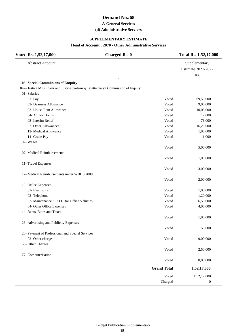### **A-General Services**

**(d) Administrative Services**

## **SUPPLEMENTARY ESTIMATE**

#### **Head of Account : 2070 - Other Administrative Services**

| Voted Rs. 1,52,17,000                                                           | Charged Rs. 0      | Total Rs. 1,52,17,000               |
|---------------------------------------------------------------------------------|--------------------|-------------------------------------|
| <b>Abstract Account</b>                                                         |                    | Supplementary<br>Estimate 2021-2022 |
|                                                                                 |                    | Rs.                                 |
| 105- Special Commissions of Enquiry                                             |                    |                                     |
| 047- Justice M B Lokur and Justice Jyotirmoy Bhattacharya Commission of Inquiry |                    |                                     |
| 01-Salaries                                                                     |                    |                                     |
| 01- Pay                                                                         | Voted              | 69,50,000                           |
| 02- Dearness Allowance                                                          | Voted              | 9,00,000                            |
| 03- House Rent Allowance                                                        | Voted              | 10,08,000                           |
| 04- Ad hoc Bonus                                                                | Voted              | 12,000                              |
| 05- Interim Relief                                                              | Voted              | 76,000                              |
| 07- Other Allowances                                                            | Voted              | 16,20,000                           |
| 12- Medical Allowance                                                           | Voted              | 1,00,000                            |
| 14- Grade Pay                                                                   | Voted              | 1,000                               |
| 02-Wages                                                                        |                    |                                     |
|                                                                                 | Voted              | 5,00,000                            |
| 07- Medical Reimbursements                                                      |                    |                                     |
|                                                                                 | Voted              | 1,00,000                            |
| 11- Travel Expenses                                                             |                    |                                     |
|                                                                                 | Voted              | 3,00,000                            |
| 12- Medical Reimbursements under WBHS 2008                                      |                    |                                     |
|                                                                                 | Voted              | 2,00,000                            |
| 13- Office Expenses                                                             |                    |                                     |
| 01- Electricity                                                                 | Voted              | 1,00,000                            |
| 02-Telephone                                                                    | Voted              | 1,20,000                            |
| 03- Maintenance / P.O.L. for Office Vehicles                                    | Voted              | 6,50,000                            |
| 04- Other Office Expenses                                                       | Voted              | 4,00,000                            |
| 14- Rents, Rates and Taxes                                                      |                    |                                     |
|                                                                                 | Voted              | 1,00,000                            |
| 26- Advertising and Publicity Expenses                                          |                    |                                     |
|                                                                                 | Voted              | 50,000                              |
| 28- Payment of Professional and Special Services                                |                    |                                     |
| 02- Other charges                                                               | Voted              | 9,00,000                            |
| 50- Other Charges                                                               |                    |                                     |
|                                                                                 | Voted              | 2,50,000                            |
| 77- Computerisation                                                             |                    |                                     |
|                                                                                 | Voted              | 8,80,000                            |
|                                                                                 | <b>Grand Total</b> | 1,52,17,000                         |
|                                                                                 | Voted              | 1,52,17,000                         |
|                                                                                 | Charged            | $\boldsymbol{0}$                    |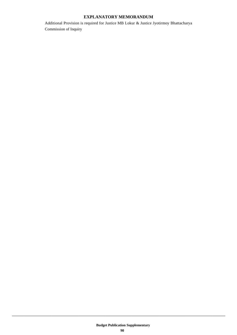## **EXPLANATORY MEMORANDUM**

Additional Provision is required for Justice MB Lokur & Justice Jyotirmoy Bhattacharya Commission of Inquiry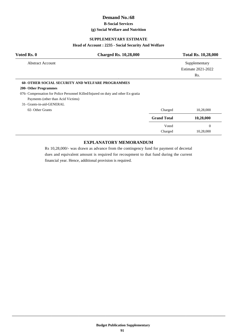#### **B-Social Services**

#### **(g) Social Welfare and Nutrition**

### **SUPPLEMENTARY ESTIMATE**

#### **Head of Account : 2235 - Social Security And Welfare**

| Voted Rs. 0                                             | <b>Charged Rs. 10,28,000</b>                                                      |                    | <b>Total Rs. 10,28,000</b>          |
|---------------------------------------------------------|-----------------------------------------------------------------------------------|--------------------|-------------------------------------|
| <b>Abstract Account</b>                                 |                                                                                   |                    | Supplementary<br>Estimate 2021-2022 |
|                                                         |                                                                                   |                    | Rs.                                 |
| <b>60- OTHER SOCIAL SECURITY AND WELFARE PROGRAMMES</b> |                                                                                   |                    |                                     |
| <b>200- Other Programmes</b>                            |                                                                                   |                    |                                     |
|                                                         | 076- Compensation for Police Personnel Killed/Injured on duty and other Ex-gratia |                    |                                     |
| Payments (other than Acid Victims)                      |                                                                                   |                    |                                     |
| 31- Grants-in-aid-GENERAL                               |                                                                                   |                    |                                     |
| 02- Other Grants                                        |                                                                                   | Charged            | 10,28,000                           |
|                                                         |                                                                                   | <b>Grand Total</b> | 10,28,000                           |
|                                                         |                                                                                   | Voted              | $\overline{0}$                      |
|                                                         |                                                                                   | Charged            | 10,28,000                           |

## **EXPLANATORY MEMORANDUM**

.

Rs 10,28,000/- was drawn as advance from the contingency fund for payment of decretal dues and equivalent amount is required for recoupment to that fund during the current financial year. Hence, additional provision is required.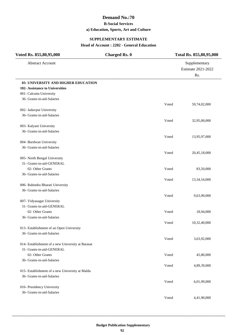### **B-Social Services**

**a) Education, Sports, Art and Culture**

## **SUPPLEMENTARY ESTIMATE**

**Head of Account : 2202 - General Education**

| Voted Rs. 855,80,95,000                           | Charged Rs. 0 |       | Total Rs. 855,80,95,000                    |
|---------------------------------------------------|---------------|-------|--------------------------------------------|
| <b>Abstract Account</b>                           |               |       | Supplementary<br>Estimate 2021-2022<br>Rs. |
| 03- UNIVERSITY AND HIGHER EDUCATION               |               |       |                                            |
| 102- Assistance to Universities                   |               |       |                                            |
| 001- Calcutta University                          |               |       |                                            |
| 36- Grants-in-aid-Salaries                        |               |       |                                            |
|                                                   |               | Voted | 59,74,02,000                               |
| 002- Jadavpur University                          |               |       |                                            |
| 36- Grants-in-aid-Salaries                        |               |       |                                            |
|                                                   |               | Voted | 32,95,00,000                               |
| 003- Kalyani University                           |               |       |                                            |
| 36- Grants-in-aid-Salaries                        |               |       |                                            |
|                                                   |               | Voted | 13,95,97,000                               |
| 004- Burdwan University                           |               |       |                                            |
| 36- Grants-in-aid-Salaries                        |               |       |                                            |
|                                                   |               | Voted | 20,45,18,000                               |
| 005- North Bengal University                      |               |       |                                            |
| 31- Grants-in-aid-GENERAL                         |               |       |                                            |
| 02- Other Grants                                  |               | Voted | 83,50,000                                  |
| 36- Grants-in-aid-Salaries                        |               |       |                                            |
|                                                   |               | Voted | 13,34,54,000                               |
| 006- Rabindra Bharati University                  |               |       |                                            |
| 36- Grants-in-aid-Salaries                        |               | Voted | 9,63,90,000                                |
| 007- Vidyasagar University                        |               |       |                                            |
| 31- Grants-in-aid-GENERAL                         |               |       |                                            |
| 02- Other Grants                                  |               | Voted | 18,94,000                                  |
| 36- Grants-in-aid-Salaries                        |               |       |                                            |
|                                                   |               | Voted | 10,32,40,000                               |
| 013- Establishment of an Open University          |               |       |                                            |
| 36- Grants-in-aid-Salaries                        |               |       |                                            |
|                                                   |               | Voted | 3,63,92,000                                |
| 014- Establishment of a new University at Barasat |               |       |                                            |
| 31- Grants-in-aid-GENERAL                         |               |       |                                            |
| 02- Other Grants                                  |               | Voted | 45,80,000                                  |
| 36- Grants-in-aid-Salaries                        |               |       |                                            |
|                                                   |               | Voted | 4,89,39,000                                |
| 015- Establishment of a new University at Malda   |               |       |                                            |
| 36- Grants-in-aid-Salaries                        |               |       |                                            |
|                                                   |               | Voted | 6,01,99,000                                |
| 016- Presidency University                        |               |       |                                            |
| 36- Grants-in-aid-Salaries                        |               |       |                                            |
|                                                   |               | Voted | 4,41,90,000                                |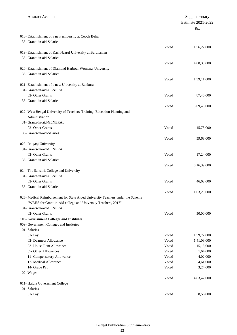| <b>Abstract Account</b>                                                         |       | Supplementary<br>Estimate 2021-2022<br>Rs. |
|---------------------------------------------------------------------------------|-------|--------------------------------------------|
| 018- Establishment of a new university at Cooch Behar                           |       |                                            |
| 36- Grants-in-aid-Salaries                                                      |       |                                            |
|                                                                                 | Voted | 1,56,27,000                                |
| 019- Establishment of Kazi Nazrul University at Bardhaman                       |       |                                            |
| 36- Grants-in-aid-Salaries                                                      |       |                                            |
|                                                                                 | Voted | 4,08,30,000                                |
| 020- Establishment of Diamond Harbour Women,s University                        |       |                                            |
| 36- Grants-in-aid-Salaries                                                      |       |                                            |
| 021- Establishment of a new University at Bankura                               | Voted | 1,39,11,000                                |
| 31- Grants-in-aid-GENERAL                                                       |       |                                            |
| 02- Other Grants                                                                | Voted | 87,40,000                                  |
| 36- Grants-in-aid-Salaries                                                      |       |                                            |
|                                                                                 | Voted | 5,09,48,000                                |
| 022- West Bengal University of Teachers' Training, Education Planning and       |       |                                            |
| Administration                                                                  |       |                                            |
| 31- Grants-in-aid-GENERAL                                                       |       |                                            |
| 02- Other Grants                                                                | Voted | 15,78,000                                  |
| 36- Grants-in-aid-Salaries                                                      |       |                                            |
|                                                                                 | Voted | 59,68,000                                  |
| 023- Raiganj University                                                         |       |                                            |
| 31- Grants-in-aid-GENERAL                                                       |       |                                            |
| 02- Other Grants                                                                | Voted | 17,24,000                                  |
| 36- Grants-in-aid-Salaries                                                      |       |                                            |
|                                                                                 | Voted | 6,16,39,000                                |
| 024- The Sanskrit College and University                                        |       |                                            |
| 31- Grants-in-aid-GENERAL                                                       |       |                                            |
| 02- Other Grants                                                                | Voted | 46,62,000                                  |
| 36- Grants-in-aid-Salaries                                                      |       |                                            |
| 026- Medical Reimbursement for State Aided University Teachers under the Scheme | Voted | 1,03,20,000                                |
| "WBHS for Grant-in-Aid college and University Teachers, 2017"                   |       |                                            |
| 31- Grants-in-aid-GENERAL                                                       |       |                                            |
| 02- Other Grants                                                                | Voted | 50,00,000                                  |
| 103- Government Colleges and Institutes                                         |       |                                            |
| 009- Government Colleges and Institutes                                         |       |                                            |
| 01-Salaries                                                                     |       |                                            |
| $01 - Pay$                                                                      | Voted | 1,59,72,000                                |
| 02- Dearness Allowance                                                          | Voted | 1,41,09,000                                |
| 03- House Rent Allowance                                                        | Voted | 15,18,000                                  |
| 07- Other Allowances                                                            | Voted | 1,64,000                                   |
| 11- Compensatory Allowance                                                      | Voted | 4,02,000                                   |
| 12- Medical Allowance                                                           | Voted | 4,61,000                                   |
| 14- Grade Pay                                                                   | Voted | 3,24,000                                   |
| 02-Wages                                                                        |       |                                            |
|                                                                                 | Voted | 4,83,42,000                                |
| 011- Haldia Government College                                                  |       |                                            |
| 01-Salaries                                                                     |       |                                            |
| 01- Pay                                                                         | Voted | 8,56,000                                   |
|                                                                                 |       |                                            |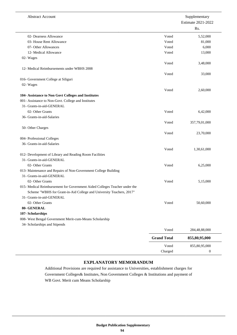| <b>Abstract Account</b>                                                    |                    | Supplementary<br>Estimate 2021-2022<br>Rs. |
|----------------------------------------------------------------------------|--------------------|--------------------------------------------|
|                                                                            |                    |                                            |
| 02- Dearness Allowance                                                     | Voted<br>Voted     | 5,52,000                                   |
| 03- House Rent Allowance                                                   |                    | 81,000                                     |
| 07- Other Allowances                                                       | Voted              | 6,000                                      |
| 12- Medical Allowance                                                      | Voted              | 13,000                                     |
| 02-Wages                                                                   |                    |                                            |
|                                                                            | Voted              | 3,48,000                                   |
| 12- Medical Reimbursements under WBHS 2008                                 |                    |                                            |
|                                                                            | Voted              | 33,000                                     |
| 016- Government College at Siliguri                                        |                    |                                            |
| 02-Wages                                                                   |                    |                                            |
|                                                                            | Voted              | 2,60,000                                   |
| 104- Assistance to Non Govt Colleges and Institutes                        |                    |                                            |
| 001- Assistance to Non-Govt. College and Institutes                        |                    |                                            |
| 31- Grants-in-aid-GENERAL                                                  |                    |                                            |
| 02- Other Grants                                                           | Voted              | 6,42,000                                   |
| 36- Grants-in-aid-Salaries                                                 |                    |                                            |
|                                                                            | Voted              | 357,79,01,000                              |
| 50- Other Charges                                                          |                    |                                            |
|                                                                            | Voted              | 23,70,000                                  |
| 004- Professional Colleges                                                 |                    |                                            |
| 36- Grants-in-aid-Salaries                                                 |                    |                                            |
|                                                                            | Voted              | 1,30,61,000                                |
| 012- Development of Library and Reading Room Facilities                    |                    |                                            |
| 31- Grants-in-aid-GENERAL                                                  |                    |                                            |
| 02- Other Grants                                                           | Voted              | 6,25,000                                   |
| 013- Maintenance and Repairs of Non-Government College Building            |                    |                                            |
| 31- Grants-in-aid-GENERAL                                                  |                    |                                            |
| 02- Other Grants                                                           | Voted              | 5,15,000                                   |
| 015- Medical Reimbursement for Government Aided Colleges Teacher under the |                    |                                            |
| Scheme "WBHS for Grant-in-Aid College and University Teachers, 2017"       |                    |                                            |
| 31- Grants-in-aid-GENERAL                                                  |                    |                                            |
| 02- Other Grants                                                           | Voted              | 50,60,000                                  |
| 80- GENERAL                                                                |                    |                                            |
| 107-Scholarships                                                           |                    |                                            |
| 008- West Bengal Government Merit-cum-Means Scholarship                    |                    |                                            |
| 34- Scholarships and Stipends                                              |                    |                                            |
|                                                                            | Voted              | 284,48,88,000                              |
|                                                                            | <b>Grand Total</b> | 855,80,95,000                              |
|                                                                            | Voted              | 855,80,95,000                              |
|                                                                            | Charged            | $\boldsymbol{0}$                           |
|                                                                            |                    |                                            |

 $\overline{a}$ 

#### **EXPLANATORY MEMORANDUM**

Additional Provisions are required for assistance to Universities, establishment charges for Government Colleges& Institutes, Non Government Colleges & Institutions and payment of WB Govt. Merit cum Means Scholarship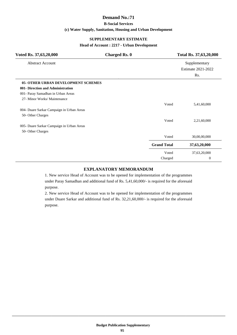#### **B-Social Services**

#### **(c) Water Supply, Sanitation, Housing and Urban Development**

#### **SUPPLEMENTARY ESTIMATE**

**Head of Account : 2217 - Urban Development**

| Voted Rs. 37,63,20,000                     | <b>Charged Rs. 0</b> |                    | Total Rs. 37,63,20,000                     |
|--------------------------------------------|----------------------|--------------------|--------------------------------------------|
| <b>Abstract Account</b>                    |                      |                    | Supplementary<br><b>Estimate 2021-2022</b> |
|                                            |                      |                    | Rs.                                        |
| <b>05- OTHER URBAN DEVELOPMENT SCHEMES</b> |                      |                    |                                            |
| 001- Direction and Administration          |                      |                    |                                            |
| 001- Paray Samadhan in Urban Areas         |                      |                    |                                            |
| 27- Minor Works/ Maintenance               |                      |                    |                                            |
|                                            |                      | Voted              | 5,41,60,000                                |
| 004- Duare Sarkar Campaign in Urban Areas  |                      |                    |                                            |
| 50- Other Charges                          |                      |                    |                                            |
|                                            |                      | Voted              | 2,21,60,000                                |
| 005- Duare Sarkar Campaign in Urban Areas  |                      |                    |                                            |
| 50- Other Charges                          |                      |                    |                                            |
|                                            |                      | Voted              | 30,00,00,000                               |
|                                            |                      | <b>Grand Total</b> | 37,63,20,000                               |
|                                            |                      | Voted              | 37,63,20,000                               |
|                                            |                      | Charged            | $\boldsymbol{0}$                           |

## **EXPLANATORY MEMORANDUM**

1. New service Head of Account was to be opened for implementation of the programmes under Paray Samadhan and additional fund of Rs. 5,41,60,000/- is required for the aforesaid purpose.

2. New service Head of Account was to be opened for implementation of the programmes under Duare Sarkar and additional fund of Rs. 32,21,60,000/- is required for the aforesaid purpose.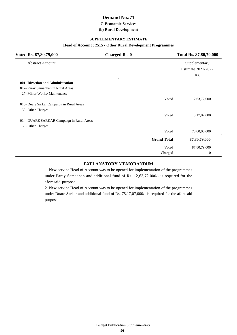## **C-Economic Services**

#### **(b) Rural Development**

#### **SUPPLEMENTARY ESTIMATE**

#### **Head of Account : 2515 - Other Rural Development Programmes**

| Voted Rs. 87,80,79,000                    | <b>Charged Rs. 0</b> |                    | Total Rs. 87,80,79,000              |
|-------------------------------------------|----------------------|--------------------|-------------------------------------|
| <b>Abstract Account</b>                   |                      |                    | Supplementary<br>Estimate 2021-2022 |
|                                           |                      |                    | Rs.                                 |
| 001- Direction and Administration         |                      |                    |                                     |
| 012- Paray Samadhan in Rural Areas        |                      |                    |                                     |
| 27- Minor Works/ Maintenance              |                      |                    |                                     |
|                                           |                      | Voted              | 12,63,72,000                        |
| 013- Duare Sarkar Campaign in Rural Areas |                      |                    |                                     |
| 50- Other Charges                         |                      |                    |                                     |
|                                           |                      | Voted              | 5,17,07,000                         |
| 014- DUARE SARKAR Campaign in Rural Areas |                      |                    |                                     |
| 50- Other Charges                         |                      |                    |                                     |
|                                           |                      | Voted              | 70,00,00,000                        |
|                                           |                      | <b>Grand Total</b> | 87,80,79,000                        |
|                                           |                      | Voted              | 87,80,79,000                        |
|                                           |                      | Charged            | $\boldsymbol{0}$                    |

## **EXPLANATORY MEMORANDUM**

1. New service Head of Account was to be opened for implementation of the programmes under Paray Samadhan and additional fund of Rs. 12,63,72,000/- is required for the aforesaid purpose.

2. New service Head of Account was to be opened for implementation of the programmes under Duare Sarkar and additional fund of Rs. 75,17,07,000/- is required for the aforesaid purpose.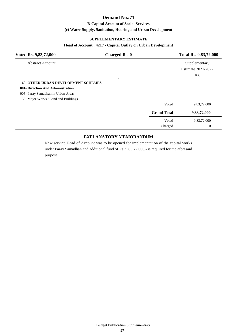## **B-Capital Account of Social Services**

#### **(c) Water Supply, Sanitation, Housing and Urban Development**

### **SUPPLEMENTARY ESTIMATE**

#### **Head of Account : 4217 - Capital Outlay on Urban Development**

| Voted Rs. 9,83,72,000                      | Charged Rs. 0 |                    | Total Rs. 9,83,72,000 |
|--------------------------------------------|---------------|--------------------|-----------------------|
| <b>Abstract Account</b>                    |               |                    | Supplementary         |
|                                            |               |                    | Estimate 2021-2022    |
|                                            |               |                    | Rs.                   |
| <b>60- OTHER URBAN DEVELOPMENT SCHEMES</b> |               |                    |                       |
| 001- Direction And Administration          |               |                    |                       |
| 005- Paray Samadhan in Urban Areas         |               |                    |                       |
| 53- Major Works / Land and Buildings       |               |                    |                       |
|                                            |               | Voted              | 9,83,72,000           |
|                                            |               | <b>Grand Total</b> | 9,83,72,000           |
|                                            |               | Voted              | 9,83,72,000           |
|                                            |               | Charged            | $\theta$              |

### **EXPLANATORY MEMORANDUM**

.

New service Head of Account was to be opened for implementation of the capital works under Paray Samadhan and additional fund of Rs. 9,83,72,000/- is required for the aforesaid purpose.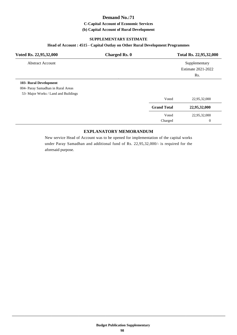## **C-Capital Account of Economic Services**

#### **(b) Capital Account of Rural Development**

### **SUPPLEMENTARY ESTIMATE**

#### **Head of Account : 4515 - Capital Outlay on Other Rural Development Programmes**

| Voted Rs. 22,95,32,000               | Charged Rs. 0 |                    | Total Rs. 22,95,32,000 |
|--------------------------------------|---------------|--------------------|------------------------|
| <b>Abstract Account</b>              |               |                    | Supplementary          |
|                                      |               |                    | Estimate 2021-2022     |
|                                      |               |                    | Rs.                    |
| 103- Rural Development               |               |                    |                        |
| 004- Paray Samadhan in Rural Areas   |               |                    |                        |
| 53- Major Works / Land and Buildings |               |                    |                        |
|                                      |               | Voted              | 22,95,32,000           |
|                                      |               | <b>Grand Total</b> | 22,95,32,000           |
|                                      |               | Voted              | 22,95,32,000           |
|                                      |               | Charged            | $\overline{0}$         |

### **EXPLANATORY MEMORANDUM**

New service Head of Account was to be opened for implementation of the capital works under Paray Samadhan and additional fund of Rs. 22,95,32,000/- is required for the aforesaid purpose.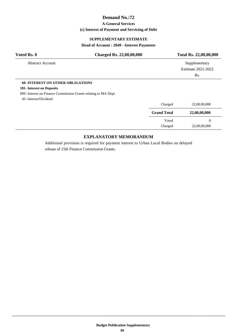## **A-General Services (c) Interest of Payment and Servicing of Debt**

### **SUPPLEMENTARY ESTIMATE**

## **Head of Account : 2049 - Interest Payments**

.

.

.

.

Voted 0 Charged 22,00,00,000

| Voted Rs. 0                                                     | <b>Charged Rs. 22,00,00,000</b> |                    | Total Rs. 22,00,00,000 |
|-----------------------------------------------------------------|---------------------------------|--------------------|------------------------|
| <b>Abstract Account</b>                                         |                                 |                    | Supplementary          |
|                                                                 |                                 |                    | Estimate 2021-2022     |
|                                                                 |                                 |                    | Rs.                    |
| <b>60- INTEREST ON OTHER OBLIGATIONS</b>                        |                                 |                    |                        |
| 101- Interest on Deposits                                       |                                 |                    |                        |
| 009- Interest on Finance Commission Grants relating to MA Dept. |                                 |                    |                        |
| 45- Interest/Dividend                                           |                                 |                    |                        |
|                                                                 |                                 | Charged            | 22,00,00,000           |
|                                                                 |                                 | <b>Grand Total</b> | 22,00,00,000           |

# **EXPLANATORY MEMORANDUM**

Additional provision is required for payment interest to Urban Local Bodies on delayed release of 15th Finance Commission Grants.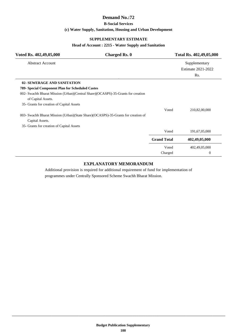### **B-Social Services**

## **(c) Water Supply, Sanitation, Housing and Urban Development**

### **SUPPLEMENTARY ESTIMATE**

#### **Head of Account : 2215 - Water Supply and Sanitation**

| Voted Rs. 402,49,05,000                          | Charged Rs. 0                                                                       |                    | Total Rs. 402,49,05,000             |
|--------------------------------------------------|-------------------------------------------------------------------------------------|--------------------|-------------------------------------|
| <b>Abstract Account</b>                          |                                                                                     |                    | Supplementary<br>Estimate 2021-2022 |
|                                                  |                                                                                     |                    | Rs.                                 |
| 02- SEWERAGE AND SANITATION                      |                                                                                     |                    |                                     |
| 789- Special Component Plan for Scheduled Castes |                                                                                     |                    |                                     |
|                                                  | 002- Swachh Bharat Mission (Urban) (Central Share) (OCASPS)-35-Grants for creation  |                    |                                     |
| of Capital Assets.                               |                                                                                     |                    |                                     |
| 35- Grants for creation of Capital Assets        |                                                                                     |                    |                                     |
|                                                  |                                                                                     | Voted              | 210,82,00,000                       |
|                                                  | 003- Swachh Bharat Mission (Urban) (State Share) (OCASPS)-35-Grants for creation of |                    |                                     |
| Capital Assets.                                  |                                                                                     |                    |                                     |
| 35- Grants for creation of Capital Assets        |                                                                                     |                    |                                     |
|                                                  |                                                                                     | Voted              | 191,67,05,000                       |
|                                                  |                                                                                     | <b>Grand Total</b> | 402,49,05,000                       |
|                                                  |                                                                                     | Voted              | 402,49,05,000                       |
|                                                  |                                                                                     | Charged            | $\theta$                            |

## **EXPLANATORY MEMORANDUM**

.

Additional provision is required for additional requirement of fund for implementation of programmes under Centrally Sponsored Scheme Swachh Bharat Mission.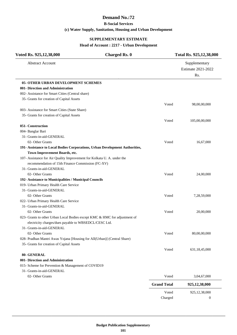### **B-Social Services**

**(c) Water Supply, Sanitation, Housing and Urban Development**

### **SUPPLEMENTARY ESTIMATE**

**Head of Account : 2217 - Urban Development**

| Voted Rs. 925,12,38,000                                                      | <b>Charged Rs. 0</b> |                    | Total Rs. 925, 12, 38, 000                 |
|------------------------------------------------------------------------------|----------------------|--------------------|--------------------------------------------|
| <b>Abstract Account</b>                                                      |                      |                    | Supplementary<br>Estimate 2021-2022<br>Rs. |
| <b>05- OTHER URBAN DEVELOPMENT SCHEMES</b>                                   |                      |                    |                                            |
| 001- Direction and Administration                                            |                      |                    |                                            |
| 002- Assistance for Smart Cities (Central share)                             |                      |                    |                                            |
| 35- Grants for creation of Capital Assets                                    |                      |                    |                                            |
|                                                                              |                      | Voted              | 98,00,00,000                               |
| 003- Assistance for Smart Cities (State Share)                               |                      |                    |                                            |
| 35- Grants for creation of Capital Assets                                    |                      |                    |                                            |
|                                                                              |                      | Voted              | 105,00,00,000                              |
| 051- Construction                                                            |                      |                    |                                            |
| 004- Banglar Bari                                                            |                      |                    |                                            |
| 31- Grants-in-aid-GENERAL                                                    |                      |                    |                                            |
| 02- Other Grants                                                             |                      | Voted              | 16,67,000                                  |
| 191- Assistance to Local Bodies Corporations, Urban Development Authorities, |                      |                    |                                            |
| Town Improvement Boards, etc.                                                |                      |                    |                                            |
| 107- Assistance for Air Quality Improvement for Kolkata U. A. under the      |                      |                    |                                            |
| recommendation of 15th Finance Commission (FC-XV)                            |                      |                    |                                            |
| 31- Grants-in-aid-GENERAL                                                    |                      |                    |                                            |
| 02- Other Grants                                                             |                      | Voted              | 24,00,000                                  |
| 192- Assistance to Municipalities / Municipal Councils                       |                      |                    |                                            |
| 019- Urban Primary Health Care Service                                       |                      |                    |                                            |
| 31- Grants-in-aid-GENERAL                                                    |                      |                    |                                            |
| 02- Other Grants                                                             |                      | Voted              | 7,28,59,000                                |
| 022- Urban Primary Health Care Service                                       |                      |                    |                                            |
| 31- Grants-in-aid-GENERAL                                                    |                      |                    |                                            |
| 02- Other Grants                                                             |                      | Voted              | 20,00,000                                  |
| 023- Grants to other Urban Local Bodies except KMC & HMC for adjustment of   |                      |                    |                                            |
| electricity charges/dues payable to WBSEDCL/CESC Ltd.                        |                      |                    |                                            |
| 31- Grants-in-aid-GENERAL                                                    |                      |                    |                                            |
| 02- Other Grants                                                             |                      | Voted              | 80,00,00,000                               |
| 028- Pradhan Mantri Awas Yojana [Housing for All(Urban)] (Central Share)     |                      |                    |                                            |
| 35- Grants for creation of Capital Assets                                    |                      |                    |                                            |
|                                                                              |                      | Voted              | 631,18,45,000                              |
| 80- GENERAL                                                                  |                      |                    |                                            |
| 001- Direction and Administration                                            |                      |                    |                                            |
| 015- Scheme for Prevention & Management of COVID19                           |                      |                    |                                            |
| 31- Grants-in-aid-GENERAL                                                    |                      |                    |                                            |
| 02- Other Grants                                                             |                      | Voted              | 3,04,67,000                                |
|                                                                              |                      | <b>Grand Total</b> | 925, 12, 38, 000                           |
|                                                                              |                      | Voted              | 925,12,38,000                              |
|                                                                              |                      | Charged            | $\mathbf{0}$                               |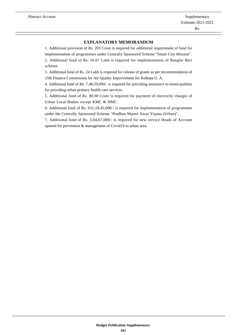.

### **EXPLANATORY MEMORANDUM**

.

1. Additional provision of Rs. 203 Crore is required for additional requirement of fund for implementation of programmes under Centrally Sponsored Scheme "Smart City Mission".

2. Additional fund of Rs. 16.67 Lakh is required for implementation of Banglar Bari scheme.

3. Additional fund of Rs. 24 Lakh is required for release of grants as per recommendation of 15th Finance Commission for Air Quality Improvement for Kolkata U. A.

4. Additional fund of Rs. 7,48,59,000/- is required for providing assistance to municipalities for providing urban primary health care services.

5. Additional fund of Rs. 80.00 Crore is required for payment of electricity charges of Urban Local Bodies except KMC & HMC.

6. Additional fund of Rs. 631,18,45,000/- is required for implementation of programmes under the Centrally Sponsored Scheme "Pradhan Mantri Awas Yojana (Urban)".

7. Additional fund of Rs. 3,04,67,000/- is required for new service Heads of Account opened for prevention & management of Covid19 in urban area.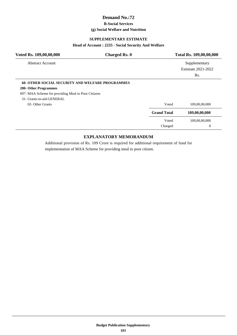### **B-Social Services**

### **(g) Social Welfare and Nutrition**

### **SUPPLEMENTARY ESTIMATE**

#### **Head of Account : 2235 - Social Security And Welfare**

| Voted Rs. 109,00,00,000                                 | <b>Charged Rs. 0</b> |                    | Total Rs. 109,00,00,000 |
|---------------------------------------------------------|----------------------|--------------------|-------------------------|
| <b>Abstract Account</b>                                 |                      |                    | Supplementary           |
|                                                         |                      |                    | Estimate 2021-2022      |
|                                                         |                      |                    | Rs.                     |
| <b>60- OTHER SOCIAL SECURITY AND WELFARE PROGRAMMES</b> |                      |                    |                         |
| <b>200- Other Programmes</b>                            |                      |                    |                         |
| 097- MAA Scheme for providing Meal to Poor Citizens     |                      |                    |                         |
| 31- Grants-in-aid-GENERAL                               |                      |                    |                         |
| 02- Other Grants                                        |                      | Voted              | 109,00,00,000           |
|                                                         |                      | <b>Grand Total</b> | 109,00,00,000           |
|                                                         |                      | Voted              | 109,00,00,000           |
|                                                         |                      | Charged            | $\overline{0}$          |

### **EXPLANATORY MEMORANDUM**

.

Additional provision of Rs. 109 Crore is required for additional requirement of fund for implementation of MAA Scheme for providing meal to poor citizen.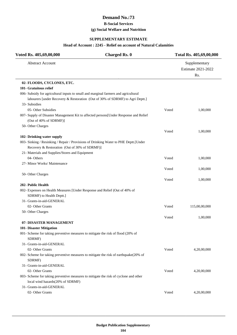#### **B-Social Services**

# **(g) Social Welfare and Nutrition**

### **SUPPLEMENTARY ESTIMATE**

#### **Head of Account : 2245 - Relief on account of Natural Calamities**

| Voted Rs. 405,69,00,000                                                                                                                                             | <b>Charged Rs. 0</b>                                                                 |       | Total Rs. 405,69,00,000                    |
|---------------------------------------------------------------------------------------------------------------------------------------------------------------------|--------------------------------------------------------------------------------------|-------|--------------------------------------------|
| <b>Abstract Account</b>                                                                                                                                             |                                                                                      |       | Supplementary<br>Estimate 2021-2022<br>Rs. |
| 02- FLOODS, CYCLONES, ETC.                                                                                                                                          |                                                                                      |       |                                            |
| 101- Gratuitous relief                                                                                                                                              |                                                                                      |       |                                            |
| 006- Subsidy for agricultural inputs to small and marginal farmers and agricultural<br>33- Subsidies                                                                | labourers [under Recovery & Restoration (Out of 30% of SDRMF) to Agri Deptt.]        |       |                                            |
| 05- Other Subsidies                                                                                                                                                 |                                                                                      | Voted | 1,00,000                                   |
| (Out of 40% of SDRMF)]                                                                                                                                              | 007- Supply of Disaster Management Kit to affected persons[Under Response and Relief |       |                                            |
| 50- Other Charges                                                                                                                                                   |                                                                                      |       |                                            |
|                                                                                                                                                                     |                                                                                      | Voted | 1,00,000                                   |
| 102- Drinking water supply<br>003- Sinking / Resinking / Repair / Provisions of Drinking Water to PHE Deptt.[Under<br>Recovery & Restoration (Out of 30% of SDRMF)] |                                                                                      |       |                                            |
| 21- Materials and Supplies/Stores and Equipment                                                                                                                     |                                                                                      |       |                                            |
| 04-Others                                                                                                                                                           |                                                                                      | Voted | 1,00,000                                   |
| 27- Minor Works/ Maintenance                                                                                                                                        |                                                                                      |       |                                            |
| 50- Other Charges                                                                                                                                                   |                                                                                      | Voted | 1,00,000                                   |
| 282- Public Health                                                                                                                                                  |                                                                                      | Voted | 1,00,000                                   |
| 002- Expenses on Health Measures [Under Response and Relief (Out of 40% of<br>SDRMF) to Health Deptt.]                                                              |                                                                                      |       |                                            |
| 31- Grants-in-aid-GENERAL                                                                                                                                           |                                                                                      |       |                                            |
| 02- Other Grants                                                                                                                                                    |                                                                                      | Voted | 115,00,00,000                              |
| 50- Other Charges                                                                                                                                                   |                                                                                      |       |                                            |
|                                                                                                                                                                     |                                                                                      | Voted | 1,00,000                                   |
| 07- DISASTER MANAGEMENT                                                                                                                                             |                                                                                      |       |                                            |
| 101- Disaster Mitigation                                                                                                                                            |                                                                                      |       |                                            |
| 001- Scheme for taking preventive measures to mitigate the risk of flood (20% of<br>SDRMF)                                                                          |                                                                                      |       |                                            |
| 31- Grants-in-aid-GENERAL                                                                                                                                           |                                                                                      |       |                                            |
| 02- Other Grants                                                                                                                                                    |                                                                                      | Voted | 4,20,00,000                                |
| 002- Scheme for taking preventive measures to mitigate the risk of earthquake(20% of<br>SDRMF)                                                                      |                                                                                      |       |                                            |
| 31- Grants-in-aid-GENERAL                                                                                                                                           |                                                                                      |       |                                            |
| 02- Other Grants                                                                                                                                                    |                                                                                      | Voted | 4,20,00,000                                |
| 003- Scheme for taking preventive measures to mitigate the risk of cyclone and other<br>local wind hazards(20% of SDRMF)                                            |                                                                                      |       |                                            |
| 31- Grants-in-aid-GENERAL                                                                                                                                           |                                                                                      |       |                                            |
| 02- Other Grants                                                                                                                                                    |                                                                                      | Voted | 4,20,00,000                                |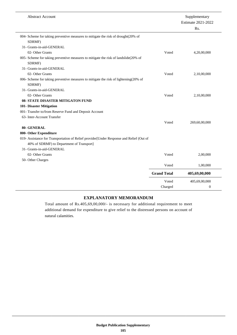| <b>Abstract Account</b>                                                                                                              |                    | Supplementary<br>Estimate 2021-2022<br>Rs. |
|--------------------------------------------------------------------------------------------------------------------------------------|--------------------|--------------------------------------------|
| 004- Scheme for taking preventive measures to mitigate the risk of drought(20% of<br>SDRMF)                                          |                    |                                            |
| 31- Grants-in-aid-GENERAL                                                                                                            |                    |                                            |
| 02- Other Grants                                                                                                                     | Voted              | 4,20,00,000                                |
| 005- Scheme for taking preventive measures to mitigate the risk of landslide(20% of<br>SDRMF)                                        |                    |                                            |
| 31- Grants-in-aid-GENERAL                                                                                                            |                    |                                            |
| 02- Other Grants                                                                                                                     | Voted              | 2,10,00,000                                |
| 006- Scheme for taking preventive measures to mitigate the risk of lightening(20% of<br>SDRMF)                                       |                    |                                            |
| 31- Grants-in-aid-GENERAL                                                                                                            |                    |                                            |
| 02- Other Grants                                                                                                                     | Voted              | 2,10,00,000                                |
| 08- STATE DISASTER MITIGATON FUND                                                                                                    |                    |                                            |
| 101- Disaster Mitigation                                                                                                             |                    |                                            |
| 001- Transfer to/from Reserve Fund and Deposit Account                                                                               |                    |                                            |
| 63- Inter-Account Transfer                                                                                                           | Voted              | 269,60,00,000                              |
| 80- GENERAL                                                                                                                          |                    |                                            |
| 800- Other Expenditure                                                                                                               |                    |                                            |
| 019- Assistance for Transportation of Relief provider[Under Response and Relief (Out of<br>40% of SDRMF) to Department of Transport] |                    |                                            |
| 31- Grants-in-aid-GENERAL                                                                                                            |                    |                                            |
| 02- Other Grants                                                                                                                     | Voted              | 2,00,000                                   |
| 50- Other Charges                                                                                                                    | Voted              | 1,00,000                                   |
|                                                                                                                                      | <b>Grand Total</b> | 405,69,00,000                              |
|                                                                                                                                      | Voted              | 405,69,00,000                              |
|                                                                                                                                      | Charged            | $\overline{0}$                             |

 $\overline{\phantom{0}}$ 

# **EXPLANATORY MEMORANDUM**

Total amount of Rs.405,69,00,000/- is necessary for additional requirement to meet additional demand for expenditure to give relief to the distressed persons on account of natural calamities.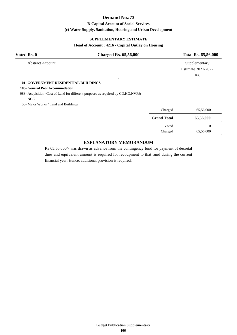# **B-Capital Account of Social Services**

**(c) Water Supply, Sanitation, Housing and Urban Development**

### **SUPPLEMENTARY ESTIMATE**

#### **Head of Account : 4216 - Capital Outlay on Housing**

| Voted Rs. 0                          | <b>Charged Rs. 65,56,000</b>                                                       |                    | <b>Total Rs. 65,56,000</b>          |
|--------------------------------------|------------------------------------------------------------------------------------|--------------------|-------------------------------------|
| <b>Abstract Account</b>              |                                                                                    |                    | Supplementary<br>Estimate 2021-2022 |
|                                      |                                                                                    |                    | Rs.                                 |
| 01- GOVERNMENT RESIDENTIAL BUILDINGS |                                                                                    |                    |                                     |
| 106- General Pool Accommodation      |                                                                                    |                    |                                     |
|                                      | 083- Acquisition - Cost of Land for different purposes as required by CD, HG, NVF& |                    |                                     |
| NCC                                  |                                                                                    |                    |                                     |
| 53- Major Works / Land and Buildings |                                                                                    |                    |                                     |
|                                      |                                                                                    | Charged            | 65,56,000                           |
|                                      |                                                                                    | <b>Grand Total</b> | 65,56,000                           |
|                                      |                                                                                    | Voted              | $\theta$                            |
|                                      |                                                                                    | Charged            | 65,56,000                           |

# **EXPLANATORY MEMORANDUM**

Rs 65,56,000/- was drawn as advance from the contingency fund for payment of decretal dues and equivalent amount is required for recoupment to that fund during the current financial year. Hence, additional provision is required.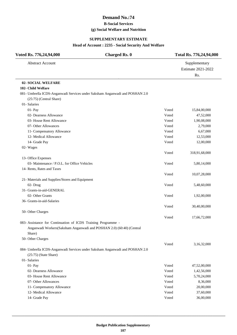#### **B-Social Services**

**(g) Social Welfare and Nutrition**

# **SUPPLEMENTARY ESTIMATE**

**Head of Account : 2235 - Social Security And Welfare**

| Voted Rs. 776,24,94,000                                       | <b>Charged Rs. 0</b>                                                         |       | Total Rs. 776,24,94,000                    |
|---------------------------------------------------------------|------------------------------------------------------------------------------|-------|--------------------------------------------|
| <b>Abstract Account</b>                                       |                                                                              |       | Supplementary<br>Estimate 2021-2022<br>Rs. |
| <b>02- SOCIAL WELFARE</b>                                     |                                                                              |       |                                            |
| 102- Child Welfare                                            |                                                                              |       |                                            |
|                                                               | 081- Umbrella ICDS-Anganwadi Services under Saksham Anganwadi and POSHAN 2.0 |       |                                            |
| (25:75) (Central Share)                                       |                                                                              |       |                                            |
| 01-Salaries                                                   |                                                                              |       |                                            |
| 01- Pay                                                       |                                                                              | Voted | 15,84,00,000                               |
| 02- Dearness Allowance                                        |                                                                              | Voted | 47,52,000                                  |
| 03- House Rent Allowance                                      |                                                                              | Voted | 1,90,08,000                                |
| 07- Other Allowances                                          |                                                                              | Voted | 2,79,000                                   |
| 11- Compensatory Allowance                                    |                                                                              | Voted | 6,67,000                                   |
| 12- Medical Allowance                                         |                                                                              | Voted | 12,53,000                                  |
| 14- Grade Pay                                                 |                                                                              | Voted | 12,00,000                                  |
| 02-Wages                                                      |                                                                              |       |                                            |
|                                                               |                                                                              | Voted | 318,91,68,000                              |
| 13- Office Expenses                                           |                                                                              |       |                                            |
| 03- Maintenance / P.O.L. for Office Vehicles                  |                                                                              | Voted | 5,80,14,000                                |
| 14- Rents, Rates and Taxes                                    |                                                                              |       |                                            |
|                                                               |                                                                              | Voted | 10,07,28,000                               |
| 21- Materials and Supplies/Stores and Equipment               |                                                                              |       |                                            |
| 02-Drug                                                       |                                                                              | Voted | 5,48,60,000                                |
| 31- Grants-in-aid-GENERAL                                     |                                                                              |       |                                            |
| 02- Other Grants                                              |                                                                              | Voted | 1,92,00,000                                |
| 36- Grants-in-aid-Salaries                                    |                                                                              |       |                                            |
|                                                               |                                                                              | Voted | 30,40,00,000                               |
| 50- Other Charges                                             |                                                                              |       |                                            |
|                                                               |                                                                              | Voted | 17,66,72,000                               |
| 083- Assistance for Continuation of ICDS Training Programme - |                                                                              |       |                                            |
|                                                               | Anganwadi Workers(Saksham Anganwadi and POSHAN 2.0) (60:40) (Central         |       |                                            |
| Share)                                                        |                                                                              |       |                                            |
| 50- Other Charges                                             |                                                                              |       |                                            |
|                                                               |                                                                              | Voted | 3,16,32,000                                |
|                                                               | 084- Umbrella ICDS-Anganwadi Services under Saksham Anganwadi and POSHAN 2.0 |       |                                            |
| $(25:75)$ (State Share)                                       |                                                                              |       |                                            |
| 01-Salaries                                                   |                                                                              |       |                                            |
| 01- Pay                                                       |                                                                              | Voted | 47,52,00,000                               |
| 02- Dearness Allowance                                        |                                                                              | Voted | 1,42,56,000                                |
| 03- House Rent Allowance                                      |                                                                              | Voted | 5,70,24,000                                |
| 07- Other Allowances                                          |                                                                              | Voted | 8,36,000                                   |
| 11- Compensatory Allowance                                    |                                                                              | Voted | 20,00,000                                  |
| 12- Medical Allowance                                         |                                                                              | Voted | 37,60,000                                  |
| 14- Grade Pay                                                 |                                                                              | Voted | 36,00,000                                  |
|                                                               |                                                                              |       |                                            |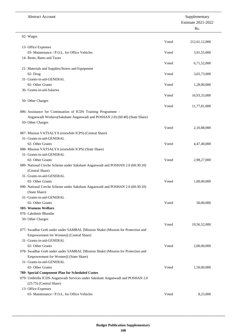| <b>Abstract Account</b>                                                                                 |       | Supplementary<br>Estimate 2021-2022<br>Rs. |
|---------------------------------------------------------------------------------------------------------|-------|--------------------------------------------|
| 02-Wages                                                                                                |       |                                            |
|                                                                                                         | Voted | 212,61,12,000                              |
| 13- Office Expenses<br>03- Maintenance / P.O.L. for Office Vehicles                                     |       |                                            |
|                                                                                                         | Voted | 3,91,55,000                                |
| 14- Rents, Rates and Taxes                                                                              | Voted | 6,71,52,000                                |
| 21- Materials and Supplies/Stores and Equipment                                                         |       |                                            |
| 02-Drug                                                                                                 | Voted | 3,65,73,000                                |
| 31- Grants-in-aid-GENERAL                                                                               |       |                                            |
| 02- Other Grants                                                                                        | Voted | 1,28,00,000                                |
| 36- Grants-in-aid-Salaries                                                                              |       |                                            |
|                                                                                                         | Voted | 16,93,33,000                               |
| 50- Other Charges                                                                                       |       |                                            |
| 086- Assistance for Continuation of ICDS Training Programme -                                           | Voted | 11,77,81,000                               |
| Anganwadi Workers(Saksham Anganwadi and POSHAN 2.0) (60:40) (State Share)                               |       |                                            |
| 50- Other Charges                                                                                       |       |                                            |
|                                                                                                         | Voted | 2,10,88,000                                |
| 087- Mission VATSALYA (erstwhile ICPS) (Central Share)                                                  |       |                                            |
| 31- Grants-in-aid-GENERAL                                                                               |       |                                            |
| 02- Other Grants                                                                                        | Voted | 4,47,40,000                                |
| 088- Mission VATSALYA (erstwhile ICPS) (State Share)                                                    |       |                                            |
| 31- Grants-in-aid-GENERAL                                                                               |       |                                            |
| 02- Other Grants                                                                                        | Voted | 2,98,27,000                                |
| 089- National Creche Scheme under Saksham Anganwadi and POSHAN 2.0 (60:30:10)                           |       |                                            |
| (Central Share)                                                                                         |       |                                            |
| 31- Grants-in-aid-GENERAL                                                                               |       |                                            |
| 02- Other Grants                                                                                        | Voted | 1,00,00,000                                |
| 090- National Creche Scheme under Saksham Anganwadi and POSHAN 2.0 (60:30:10)                           |       |                                            |
| (State Share)                                                                                           |       |                                            |
| 31- Grants-in-aid-GENERAL                                                                               |       |                                            |
| 02- Other Grants                                                                                        | Voted | 50,00,000                                  |
| 103- Womens Welfare                                                                                     |       |                                            |
| 076- Lakshmir Bhandar                                                                                   |       |                                            |
| 50- Other Charges                                                                                       |       |                                            |
|                                                                                                         | Voted | 19,56,52,000                               |
| 077- Swadhar Greh under under SAMBAL [Mission Shakti (Mission for Protection and                        |       |                                            |
| Empowerment for Women)] (Central Share)                                                                 |       |                                            |
| 31- Grants-in-aid-GENERAL                                                                               |       |                                            |
| 02- Other Grants                                                                                        | Voted | 2,00,00,000                                |
| 078- Swadhar Greh under under SAMBAL [Mission Shakti (Mission for Protection and                        |       |                                            |
| Empowerment for Women)] (State Share)                                                                   |       |                                            |
| 31- Grants-in-aid-GENERAL                                                                               |       |                                            |
| 02- Other Grants                                                                                        | Voted | 1,50,00,000                                |
| 789- Special Component Plan for Scheduled Castes                                                        |       |                                            |
| 079- Umbrella ICDS-Anganwadi Services under Saksham Anganwadi and POSHAN 2.0<br>(25:75) (Central Share) |       |                                            |
| 13- Office Expenses                                                                                     |       |                                            |
| 03- Maintenance / P.O.L. for Office Vehicles                                                            | Voted | 8,23,000                                   |
|                                                                                                         |       |                                            |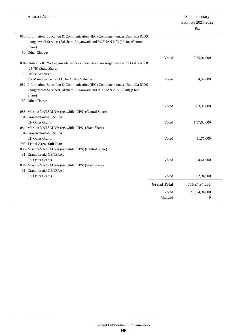| <b>Abstract Account</b>                                                                                                                                              |                    | Supplementary<br>Estimate 2021-2022<br>Rs. |
|----------------------------------------------------------------------------------------------------------------------------------------------------------------------|--------------------|--------------------------------------------|
| 080- Information, Education & Communication (IEC) Component under Umbrella ICDS<br>- Anganwadi Services(Saksham Anganwadi and POSHAN 2.0) (60:40) (Central<br>Share) |                    |                                            |
| 50- Other Charges                                                                                                                                                    |                    |                                            |
|                                                                                                                                                                      | Voted              | 8,75,04,000                                |
| 081- Umbrella ICDS-Anganwadi Services under Saksham Anganwadi and POSHAN 2.0<br>$(25:75)$ (State Share)                                                              |                    |                                            |
| 13- Office Expenses                                                                                                                                                  |                    |                                            |
| 03- Maintenance / P.O.L. for Office Vehicles                                                                                                                         | Voted              | 4,37,000                                   |
| 082- Information, Education & Communication (IEC) Component under Umbrella ICDS<br>- Anganwadi Services(Saksham Anganwadi and POSHAN 2.0) (60:40) (State<br>Share)   |                    |                                            |
| 50- Other Charges                                                                                                                                                    |                    |                                            |
|                                                                                                                                                                      | Voted              | 5,83,36,000                                |
| 083- Mission VATSALYA (erstwhile ICPS) (Central Share)                                                                                                               |                    |                                            |
| 31- Grants-in-aid-GENERAL                                                                                                                                            |                    |                                            |
| 02- Other Grants                                                                                                                                                     | Voted              | 1,37,62,000                                |
| 084- Mission VATSALYA (erstwhile ICPS) (State Share)                                                                                                                 |                    |                                            |
| 31- Grants-in-aid-GENERAL                                                                                                                                            |                    |                                            |
| 02- Other Grants                                                                                                                                                     | Voted              | 91,75,000                                  |
| 796- Tribal Areas Sub-Plan                                                                                                                                           |                    |                                            |
| 083- Mission VATSALYA (erstwhile ICPS) (Central Share)                                                                                                               |                    |                                            |
| 31- Grants-in-aid-GENERAL                                                                                                                                            |                    |                                            |
| 02- Other Grants                                                                                                                                                     | Voted              | 34,41,000                                  |
| 084- Mission VATSALYA (erstwhile ICPS) (State Share)                                                                                                                 |                    |                                            |
| 31- Grants-in-aid-GENERAL                                                                                                                                            |                    |                                            |
| 02- Other Grants                                                                                                                                                     | Voted              | 22,94,000                                  |
|                                                                                                                                                                      | <b>Grand Total</b> | 776,24,94,000                              |
|                                                                                                                                                                      | Voted              | 776,24,94,000                              |
|                                                                                                                                                                      | Charged            | 0                                          |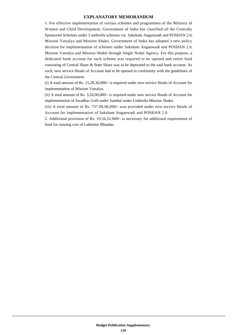#### **EXPLANATORY MEMORANDUM**

1. For effective implementation of various schemes and programmes of the Ministry of Women and Child Development, Government of India has classified all the Centrally Sponsored Schemes under 3 umbrella schemes viz. Saksham Anganwadi and POSHAN 2.0, Mission Vatsalya and Mission Shakti. Government of India has adopted a new policy decision for implementation of schemes under Saksham Anganwadi and POSHAN 2.0, Mission Vatsalya and Mission Shakti through Single Nodal Agency. For this purpose, a dedicated bank account for each scheme was required to be opened and entire fund consisting of Central Share & State Share was to be deposited to the said bank account. As such, new service Heads of Account had to be opened in conformity with the guidelines of the Central Government.

(i) A total amount of Rs. 15,28,36,000/- is required under new service Heads of Account for implementation of Mission Vatsalya.

(ii) A total amount of Rs. 3,50,00,000/- is required under new service Heads of Account for implementation of Swadhar Greh under Sambal under Umbrella Mission Shakti.

(iii) A total amount of Rs. 737,90,06,000/- was provided under new service Heads of Account for implementation of Saksham Anganwadi and POSHAN 2.0.

2. Additional provision of Rs. 19,56,52,000/- is necessary for additional requirement of fund for running cost of Lakhsmir Bhandar.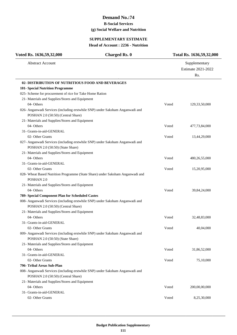#### **B-Social Services**

**(g) Social Welfare and Nutrition**

### **SUPPLEMENTARY ESTIMATE**

**Head of Account : 2236 - Nutrition**

.

| Voted Rs. 1636,59,32,000                                                                                            | Charged Rs. 0 |       | Total Rs. 1636,59,32,000                   |
|---------------------------------------------------------------------------------------------------------------------|---------------|-------|--------------------------------------------|
| <b>Abstract Account</b>                                                                                             |               |       | Supplementary<br>Estimate 2021-2022<br>Rs. |
| 02- DISTRIBUTION OF NUTRITIOUS FOOD AND BEVERAGES                                                                   |               |       |                                            |
| <b>101- Special Nutrition Programme</b>                                                                             |               |       |                                            |
| 025- Scheme for procurement of rice for Take Home Ration                                                            |               |       |                                            |
| 21- Materials and Supplies/Stores and Equipment                                                                     |               |       |                                            |
| 04-Others                                                                                                           |               | Voted | 129, 33, 50, 000                           |
| 026- Anganwadi Services (including erstwhile SNP) under Saksham Anganwadi and<br>POSHAN 2.0 (50:50) (Central Share) |               |       |                                            |
| 21- Materials and Supplies/Stores and Equipment                                                                     |               |       |                                            |
| 04-Others                                                                                                           |               | Voted | 477,73,84,000                              |
| 31- Grants-in-aid-GENERAL                                                                                           |               |       |                                            |
| 02- Other Grants                                                                                                    |               | Voted | 13,44,29,000                               |
| 027- Anganwadi Services (including erstwhile SNP) under Saksham Anganwadi and<br>POSHAN 2.0 (50:50) (State Share)   |               |       |                                            |
| 21- Materials and Supplies/Stores and Equipment                                                                     |               |       |                                            |
| 04-Others                                                                                                           |               | Voted | 480,26,55,000                              |
| 31- Grants-in-aid-GENERAL                                                                                           |               |       |                                            |
| 02- Other Grants                                                                                                    |               | Voted | 15,20,95,000                               |
| 028- Wheat Based Nutrition Programme (State Share) under Saksham Anganwadi and                                      |               |       |                                            |
| POSHAN <sub>2.0</sub>                                                                                               |               |       |                                            |
| 21- Materials and Supplies/Stores and Equipment                                                                     |               |       |                                            |
| 04-Others                                                                                                           |               | Voted | 39,84,24,000                               |
| 789- Special Component Plan for Scheduled Castes                                                                    |               |       |                                            |
| 008- Anganwadi Services (including erstwhile SNP) under Saksham Anganwadi and<br>POSHAN 2.0 (50:50) (Central Share) |               |       |                                            |
| 21- Materials and Supplies/Stores and Equipment                                                                     |               |       |                                            |
| 04-Others                                                                                                           |               | Voted | 32,48,83,000                               |
| 31- Grants-in-aid-GENERAL                                                                                           |               |       |                                            |
| 02- Other Grants                                                                                                    |               | Voted | 40,04,000                                  |
| 009- Anganwadi Services (including erstwhile SNP) under Saksham Anganwadi and<br>POSHAN 2.0 (50:50) (State Share)   |               |       |                                            |
| 21- Materials and Supplies/Stores and Equipment                                                                     |               |       |                                            |
| 04-Others                                                                                                           |               | Voted | 31,86,52,000                               |
| 31- Grants-in-aid-GENERAL                                                                                           |               |       |                                            |
| 02- Other Grants                                                                                                    |               | Voted | 75,10,000                                  |
| 796- Tribal Areas Sub-Plan                                                                                          |               |       |                                            |
| 008- Anganwadi Services (including erstwhile SNP) under Saksham Anganwadi and                                       |               |       |                                            |
| POSHAN 2.0 (50:50) (Central Share)                                                                                  |               |       |                                            |
| 21- Materials and Supplies/Stores and Equipment                                                                     |               |       |                                            |
| 04-Others                                                                                                           |               | Voted | 200,00,00,000                              |
| 31- Grants-in-aid-GENERAL                                                                                           |               |       |                                            |
| 02- Other Grants                                                                                                    |               | Voted | 8,25,30,000                                |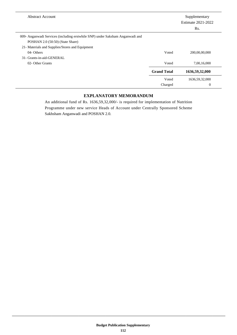| <b>Abstract Account</b>                                                       |                    | Supplementary<br>Estimate 2021-2022<br>Rs. |
|-------------------------------------------------------------------------------|--------------------|--------------------------------------------|
| 009- Anganwadi Services (including erstwhile SNP) under Saksham Anganwadi and |                    |                                            |
| POSHAN 2.0 (50:50) (State Share)                                              |                    |                                            |
| 21- Materials and Supplies/Stores and Equipment                               |                    |                                            |
| 04- Others                                                                    | Voted              | 200,00,00,000                              |
| 31- Grants-in-aid-GENERAL                                                     |                    |                                            |
| 02- Other Grants                                                              | Voted              | 7,00,16,000                                |
|                                                                               | <b>Grand Total</b> | 1636,59,32,000                             |
|                                                                               | Voted              | 1636, 59, 32, 000                          |
|                                                                               | Charged            | $\theta$                                   |

# **EXPLANATORY MEMORANDUM**

An additional fund of Rs. 1636,59,32,000/- is required for implementation of Nutrition Programme under new service Heads of Account under Centrally Sponsored Scheme Sakhsham Anganwadi and POSHAN 2.0.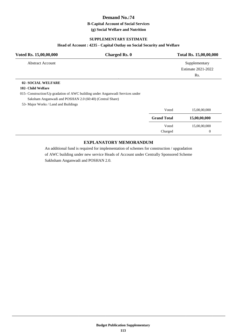**B-Capital Account of Social Services**

**(g) Social Welfare and Nutrition**

#### **SUPPLEMENTARY ESTIMATE**

#### **Head of Account : 4235 - Capital Outlay on Social Security and Welfare**

| Voted Rs. 15,00,00,000                                                        | <b>Charged Rs. 0</b> |                    | Total Rs. 15,00,00,000 |
|-------------------------------------------------------------------------------|----------------------|--------------------|------------------------|
| <b>Abstract Account</b>                                                       |                      |                    | Supplementary          |
|                                                                               |                      |                    | Estimate 2021-2022     |
|                                                                               |                      |                    | Rs.                    |
| 02- SOCIAL WELFARE                                                            |                      |                    |                        |
| 102- Child Welfare                                                            |                      |                    |                        |
| 015- Construction/Up gradation of AWC building under Anganwadi Services under |                      |                    |                        |
| Saksham Anganwadi and POSHAN 2.0 (60:40) (Central Share)                      |                      |                    |                        |
| 53- Major Works / Land and Buildings                                          |                      |                    |                        |
|                                                                               |                      | Voted              | 15,00,00,000           |
|                                                                               |                      | <b>Grand Total</b> | 15,00,00,000           |
|                                                                               |                      | Voted              | 15,00,00,000           |
|                                                                               |                      | Charged            | $\theta$               |

# **EXPLANATORY MEMORANDUM**

.

An additional fund is required for implementation of schemes for construction / upgradation of AWC building under new service Heads of Account under Centrally Sponsored Scheme Sakhsham Anganwadi and POSHAN 2.0.